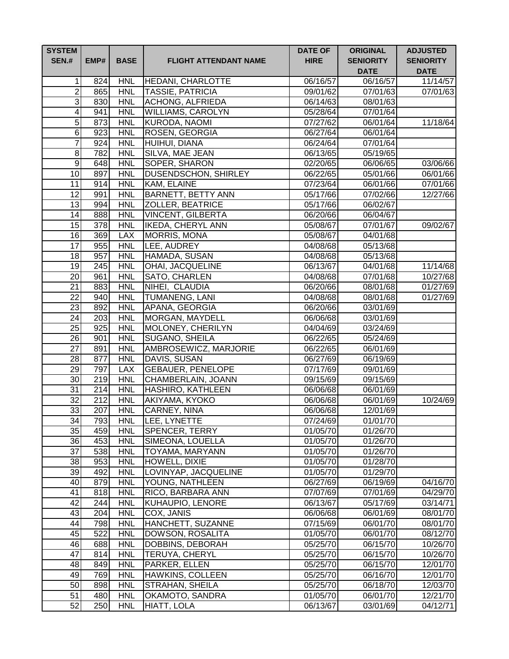| <b>SYSTEM</b><br><b>SEN.#</b> | EMP#             | <b>BASE</b> | <b>FLIGHT ATTENDANT NAME</b> | <b>DATE OF</b><br><b>HIRE</b> | <b>ORIGINAL</b><br><b>SENIORITY</b><br><b>DATE</b> | <b>ADJUSTED</b><br><b>SENIORITY</b><br><b>DATE</b> |
|-------------------------------|------------------|-------------|------------------------------|-------------------------------|----------------------------------------------------|----------------------------------------------------|
| 1                             | 824              | <b>HNL</b>  | <b>HEDANI, CHARLOTTE</b>     | $\overline{06/16/57}$         | 06/16/57                                           | 11/14/57                                           |
| $\overline{2}$                | 865              | <b>HNL</b>  | <b>TASSIE, PATRICIA</b>      | 09/01/62                      | 07/01/63                                           | 07/01/63                                           |
| 3                             | 830              | <b>HNL</b>  | <b>ACHONG, ALFRIEDA</b>      | 06/14/63                      | 08/01/63                                           |                                                    |
| 4                             | $\overline{9}41$ | <b>HNL</b>  | <b>WILLIAMS, CAROLYN</b>     | 05/28/64                      | 07/01/64                                           |                                                    |
| 5                             | 873              | <b>HNL</b>  | KURODA, NAOMI                | 07/27/62                      | 06/01/64                                           | 11/18/64                                           |
| 6                             | 923              | <b>HNL</b>  | <b>ROSEN, GEORGIA</b>        | 06/27/64                      | 06/01/64                                           |                                                    |
| $\overline{7}$                | 924              | <b>HNL</b>  | HUIHUI, DIANA                | 06/24/64                      | 07/01/64                                           |                                                    |
| 8                             | 782              | <b>HNL</b>  | SILVA, MAE JEAN              | 06/13/65                      | 05/19/65                                           |                                                    |
| $\overline{9}$                | 648              | <b>HNL</b>  | SOPER, SHARON                | 02/20/65                      | 06/06/65                                           | 03/06/66                                           |
| 10                            | 897              | <b>HNL</b>  | <b>DUSENDSCHON, SHIRLEY</b>  | 06/22/65                      | 05/01/66                                           | 06/01/66                                           |
| $\overline{11}$               | 914              | <b>HNL</b>  | KAM, ELAINE                  | 07/23/64                      | 06/01/66                                           | 07/01/66                                           |
| $\overline{12}$               | 991              | <b>HNL</b>  | <b>BARNETT, BETTY ANN</b>    | 05/17/66                      | 07/02/66                                           | 12/27/66                                           |
| 13                            | 994              | <b>HNL</b>  | <b>ZOLLER, BEATRICE</b>      | 05/17/66                      | 06/02/67                                           |                                                    |
| 14                            | 888              | <b>HNL</b>  | <b>VINCENT, GILBERTA</b>     | 06/20/66                      | 06/04/67                                           |                                                    |
| 15                            | 378              | <b>HNL</b>  | <b>IKEDA, CHERYL ANN</b>     | 05/08/67                      | 07/01/67                                           | 09/02/67                                           |
| 16                            | 369              | <b>LAX</b>  | <b>MORRIS, MONA</b>          | 05/08/67                      | 04/01/68                                           |                                                    |
| 17                            | 955              | <b>HNL</b>  | LEE, AUDREY                  | 04/08/68                      | 05/13/68                                           |                                                    |
| $\overline{18}$               | 957              | <b>HNL</b>  | HAMADA, SUSAN                | 04/08/68                      | 05/13/68                                           |                                                    |
| 19                            | 245              | <b>HNL</b>  | <b>OHAI, JACQUELINE</b>      | 06/13/67                      | 04/01/68                                           | 11/14/68                                           |
| 20                            | 961              | <b>HNL</b>  | SATO, CHARLEN                | 04/08/68                      | $\overline{07/0}1/68$                              | 10/27/68                                           |
| 21                            | 883              | <b>HNL</b>  | NIHEI, CLAUDIA               | 06/20/66                      | 08/01/68                                           | 01/27/69                                           |
| $\overline{22}$               | 940              | <b>HNL</b>  | <b>TUMANENG, LANI</b>        | 04/08/68                      | 08/01/68                                           | 01/27/69                                           |
| 23                            | 892              | <b>HNL</b>  | APANA, GEORGIA               | 06/20/66                      | 03/01/69                                           |                                                    |
| 24                            | 203              | <b>HNL</b>  | MORGAN, MAYDELL              | 06/06/68                      | 03/01/69                                           |                                                    |
| $\overline{25}$               | 925              | <b>HNL</b>  | MOLONEY, CHERILYN            | 04/04/69                      | 03/24/69                                           |                                                    |
| $\overline{26}$               | 901              | <b>HNL</b>  | SUGANO, SHEILA               | 06/22/65                      | 05/24/69                                           |                                                    |
| $\overline{27}$               | 891              | <b>HNL</b>  | AMBROSEWICZ, MARJORIE        | 06/22/65                      | 06/01/69                                           |                                                    |
| $\overline{28}$               | $\overline{87}$  | <b>HNL</b>  | DAVIS, SUSAN                 | 06/27/69                      | 06/19/69                                           |                                                    |
| $\overline{29}$               | 797              | <b>LAX</b>  | <b>GEBAUER, PENELOPE</b>     | 07/17/69                      | 09/01/69                                           |                                                    |
| $\overline{30}$               | 219              | <b>HNL</b>  | CHAMBERLAIN, JOANN           | 09/15/69                      | 09/15/69                                           |                                                    |
| $\overline{31}$               | 214              | <b>HNL</b>  | HASHIRO, KATHLEEN            | 06/06/68                      | 06/01/69                                           |                                                    |
| $\overline{32}$               | 212              | <b>HNL</b>  | AKIYAMA, KYOKO               | 06/06/68                      | 06/01/69                                           | 10/24/69                                           |
| $\overline{33}$               | 207              | <b>HNL</b>  | CARNEY, NINA                 | 06/06/68                      | 12/01/69                                           |                                                    |
| 34                            | 793              | <b>HNL</b>  | LEE, LYNETTE                 | 07/24/69                      | 01/01/70                                           |                                                    |
| 35                            | $\overline{459}$ | <b>HNL</b>  | <b>SPENCER, TERRY</b>        | 01/05/70                      | 01/26/70                                           |                                                    |
| 36                            | 453              | <b>HNL</b>  | SIMEONA, LOUELLA             | 01/05/70                      | 01/26/70                                           |                                                    |
| 37                            | 538              | <b>HNL</b>  | <b>TOYAMA, MARYANN</b>       | 01/05/70                      | 01/26/70                                           |                                                    |
| 38                            | 953              | <b>HNL</b>  | HOWELL, DIXIE                | 01/05/70                      | 01/28/70                                           |                                                    |
| 39                            | 492              | <b>HNL</b>  | LOVINYAP, JACQUELINE         | 01/05/70                      | 01/29/70                                           |                                                    |
| 40                            | 879              | <b>HNL</b>  | YOUNG, NATHLEEN              | 06/27/69                      | $\frac{06}{19/69}$                                 | 04/16/70                                           |
| 41                            | 818              | <b>HNL</b>  | RICO, BARBARA ANN            | 07/07/69                      | 07/01/69                                           | 04/29/70                                           |
| 42                            | 244              | <b>HNL</b>  | <b>KUHAUPIO, LENORE</b>      | 06/13/67                      | 05/17/69                                           | 03/14/71                                           |
| 43                            | 204              | <b>HNL</b>  | COX, JANIS                   | 06/06/68                      | 06/01/69                                           | 08/01/70                                           |
| 44                            | 798              | <b>HNL</b>  | HANCHETT, SUZANNE            | 07/15/69                      | 06/01/70                                           | 08/01/70                                           |
| 45                            | 522              | <b>HNL</b>  | DOWSON, ROSALITA             | 01/05/70                      | 06/01/70                                           | 08/12/70                                           |
| 46                            | 688              | <b>HNL</b>  | DOBBINS, DEBORAH             | 05/25/70                      | 06/15/70                                           | 10/26/70                                           |
| 47                            | 814              | <b>HNL</b>  | <b>TERUYA, CHERYL</b>        | 05/25/70                      | 06/15/70                                           | 10/26/70                                           |
| 48                            | 849              | <b>HNL</b>  | PARKER, ELLEN                | 05/25/70                      | 06/15/70                                           | 12/01/70                                           |
| 49                            | 769              | <b>HNL</b>  | <b>HAWKINS, COLLEEN</b>      | 05/25/70                      | 06/16/70                                           | 12/01/70                                           |
| 50                            | 898              | <b>HNL</b>  | <b>STRAHAN, SHEILA</b>       | 05/25/70                      | 06/18/70                                           | 12/03/70                                           |
| 51                            | 480              | <b>HNL</b>  | OKAMOTO, SANDRA              | 01/05/70                      | 06/01/70                                           | 12/21/70                                           |
| 52                            | 250              | <b>HNL</b>  | HIATT, LOLA                  | 06/13/67                      | 03/01/69                                           | 04/12/71                                           |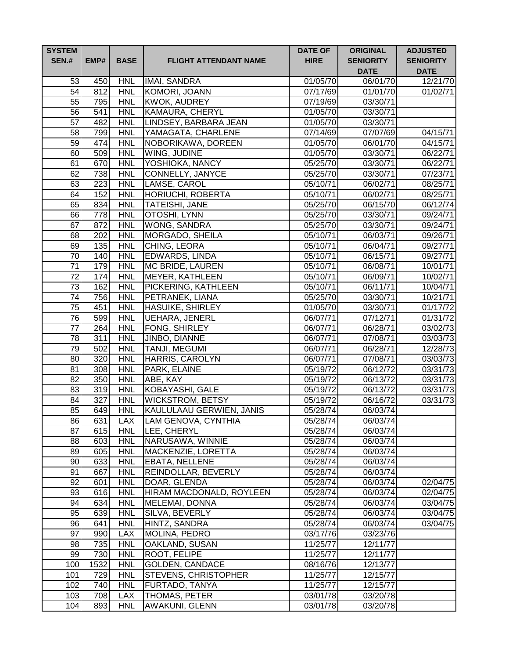| <b>SYSTEM</b><br><b>SEN.#</b> | EMP# | <b>BASE</b> | <b>FLIGHT ATTENDANT NAME</b> | <b>DATE OF</b><br><b>HIRE</b> | <b>ORIGINAL</b><br><b>SENIORITY</b><br><b>DATE</b> | <b>ADJUSTED</b><br><b>SENIORITY</b><br><b>DATE</b> |
|-------------------------------|------|-------------|------------------------------|-------------------------------|----------------------------------------------------|----------------------------------------------------|
| 53                            | 450  | <b>HNL</b>  | <b>IMAI, SANDRA</b>          | 01/05/70                      | 06/01/70                                           | 12/21/70                                           |
| 54                            | 812  | <b>HNL</b>  | KOMORI, JOANN                | 07/17/69                      | 01/01/70                                           | 01/02/71                                           |
| 55                            | 795  | <b>HNL</b>  | <b>KWOK, AUDREY</b>          | 07/19/69                      | 03/30/71                                           |                                                    |
| 56                            | 541  | <b>HNL</b>  | KAMAURA, CHERYL              | 01/05/70                      | 03/30/71                                           |                                                    |
| $\overline{57}$               | 482  | <b>HNL</b>  | LINDSEY, BARBARA JEAN        | 01/05/70                      | 03/30/71                                           |                                                    |
| $\overline{58}$               | 799  | <b>HNL</b>  | YAMAGATA, CHARLENE           | 07/14/69                      | 07/07/69                                           | 04/15/71                                           |
| 59                            | 474  | <b>HNL</b>  | NOBORIKAWA, DOREEN           | 01/05/70                      | 06/01/70                                           | 04/15/71                                           |
| 60                            | 509  | <b>HNL</b>  | WING, JUDINE                 | 01/05/70                      | 03/30/71                                           | 06/22/71                                           |
| 61                            | 670  | <b>HNL</b>  | YOSHIOKA, NANCY              | 05/25/70                      | 03/30/71                                           | 06/22/71                                           |
| 62                            | 738  | <b>HNL</b>  | <b>CONNELLY, JANYCE</b>      | 05/25/70                      | 03/30/71                                           | 07/23/71                                           |
| 63                            | 223  | <b>HNL</b>  | LAMSE, CAROL                 | 05/10/71                      | 06/02/71                                           | 08/25/71                                           |
| 64                            | 152  | <b>HNL</b>  | <b>HORIUCHI, ROBERTA</b>     | 05/10/71                      | 06/02/71                                           | 08/25/71                                           |
| 65                            | 834  | <b>HNL</b>  | TATEISHI, JANE               | 05/25/70                      | 06/15/70                                           | 06/12/74                                           |
| 66                            | 778  | <b>HNL</b>  | OTOSHI, LYNN                 | $\overline{0}5/25/70$         | 03/30/71                                           | 09/24/71                                           |
| 67                            | 872  | <b>HNL</b>  | <b>WONG, SANDRA</b>          | 05/25/70                      | 03/30/71                                           | 09/24/71                                           |
| 68                            | 202  | <b>HNL</b>  | MORGADO, SHEILA              | 05/10/71                      | 06/03/71                                           | 09/26/71                                           |
| 69                            | 135  | <b>HNL</b>  | CHING, LEORA                 | 05/10/71                      | 06/04/71                                           | 09/27/71                                           |
| 70                            | 140  | <b>HNL</b>  | <b>EDWARDS, LINDA</b>        | 05/10/71                      | 06/15/71                                           | 09/27/71                                           |
| $\overline{71}$               | 179  | <b>HNL</b>  | MC BRIDE, LAUREN             | 05/10/71                      | 06/08/71                                           | 10/01/71                                           |
| $\overline{72}$               | 174  | <b>HNL</b>  | <b>MEYER, KATHLEEN</b>       | 05/10/71                      | 06/09/71                                           | 10/02/71                                           |
| $\overline{73}$               | 162  | <b>HNL</b>  | PICKERING, KATHLEEN          | 05/10/71                      | 06/11/71                                           | 10/04/71                                           |
| $\overline{74}$               | 756  | <b>HNL</b>  | PETRANEK, LIANA              | 05/25/70                      | 03/30/71                                           | 10/21/71                                           |
| $\overline{75}$               | 451  | <b>HNL</b>  | <b>HASUIKE, SHIRLEY</b>      | 01/05/70                      | 03/30/71                                           | 01/17/72                                           |
| 76                            | 599  | <b>HNL</b>  | <b>UEHARA, JENERL</b>        | 06/07/71                      | 07/12/71                                           | 01/31/72                                           |
| 77                            | 264  | <b>HNL</b>  | <b>FONG, SHIRLEY</b>         | 06/07/71                      | 06/28/71                                           | 03/02/73                                           |
| $\overline{78}$               | 311  | <b>HNL</b>  | JINBO, DIANNE                | 06/07/71                      | 07/08/71                                           | 03/03/73                                           |
| 79                            | 502  | <b>HNL</b>  | <b>TANJI, MEGUMI</b>         | 06/07/71                      | 06/28/71                                           | 12/28/73                                           |
| 80                            | 320  | <b>HNL</b>  | HARRIS, CAROLYN              | 06/07/71                      | $\frac{1}{07}/08/71$                               | 03/03/73                                           |
| 81                            | 308  | <b>HNL</b>  | PARK, ELAINE                 | 05/19/72                      | 06/12/72                                           | 03/31/73                                           |
| 82                            | 350  | <b>HNL</b>  | ABE, KAY                     | 05/19/72                      | 06/13/72                                           | 03/31/73                                           |
| 83                            | 319  | <b>HNL</b>  | KOBAYASHI, GALE              | 05/19/72                      | 06/13/72                                           | 03/31/73                                           |
| 84                            | 327  | <b>HNL</b>  | <b>WICKSTROM, BETSY</b>      | 05/19/72                      | 06/16/72                                           | 03/31/73                                           |
| 85                            | 649  | <b>HNL</b>  | KAULULAAU GERWIEN, JANIS     | 05/28/74                      | 06/03/74                                           |                                                    |
| 86                            | 631  | LAX         | LAM GENOVA, CYNTHIA          | 05/28/74                      | 06/03/74                                           |                                                    |
| 87                            | 615  | <b>HNL</b>  | LEE, CHERYL                  | 05/28/74                      | 06/03/74                                           |                                                    |
| 88                            | 603  | <b>HNL</b>  | NARUSAWA, WINNIE             | 05/28/74                      | 06/03/74                                           |                                                    |
| 89                            | 605  | <b>HNL</b>  | MACKENZIE, LORETTA           | 05/28/74                      | 06/03/74                                           |                                                    |
| 90                            | 633  | <b>HNL</b>  | <b>EBATA, NELLENE</b>        | 05/28/74                      | 06/03/74                                           |                                                    |
| 91                            | 667  | <b>HNL</b>  | REINDOLLAR, BEVERLY          | 05/28/74                      | 06/03/74                                           |                                                    |
| 92                            | 601  | <b>HNL</b>  | DOAR, GLENDA                 | 05/28/74                      | 06/03/74                                           | 02/04/75                                           |
| 93                            | 616  | <b>HNL</b>  | HIRAM MACDONALD, ROYLEEN     | 05/28/74                      | 06/03/74                                           | 02/04/75                                           |
| 94                            | 634  | <b>HNL</b>  | MELEMAI, DONNA               | 05/28/74                      | 06/03/74                                           | 03/04/75                                           |
| 95                            | 639  | <b>HNL</b>  | SILVA, BEVERLY               | 05/28/74                      | 06/03/74                                           | 03/04/75                                           |
| 96                            | 641  | <b>HNL</b>  | HINTZ, SANDRA                | 05/28/74                      | 06/03/74                                           | 03/04/75                                           |
| 97                            | 990  | <b>LAX</b>  | MOLINA, PEDRO                | 03/17/76                      | 03/23/76                                           |                                                    |
| 98                            | 735  | <b>HNL</b>  | OAKLAND, SUSAN               | 11/25/77                      | 12/11/77                                           |                                                    |
| 99                            | 730  | <b>HNL</b>  | ROOT, FELIPE                 | 11/25/77                      | 12/11/77                                           |                                                    |
| 100                           | 1532 | <b>HNL</b>  | <b>GOLDEN, CANDACE</b>       | 08/16/76                      | 12/13/77                                           |                                                    |
| 101                           | 729  | <b>HNL</b>  | <b>STEVENS, CHRISTOPHER</b>  | 11/25/77                      | 12/15/77                                           |                                                    |
| 102                           | 740  | <b>HNL</b>  | FURTADO, TANYA               | 11/25/77                      | 12/15/77                                           |                                                    |
| 103                           | 708  | <b>LAX</b>  | THOMAS, PETER                | 03/01/78                      | 03/20/78                                           |                                                    |
| 104                           | 893  | <b>HNL</b>  | AWAKUNI, GLENN               | 03/01/78                      | 03/20/78                                           |                                                    |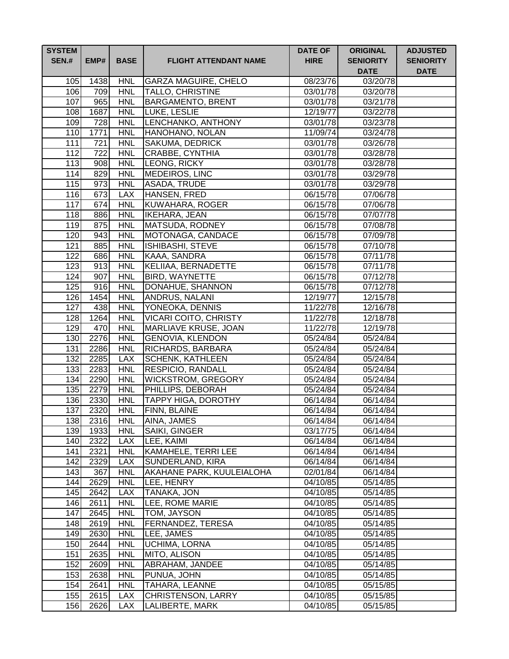| <b>SYSTEM</b><br><b>SEN.#</b> | EMP#        | <b>BASE</b>              | <b>FLIGHT ATTENDANT NAME</b>                         | <b>DATE OF</b><br><b>HIRE</b> | <b>ORIGINAL</b><br><b>SENIORITY</b><br><b>DATE</b> | <b>ADJUSTED</b><br><b>SENIORITY</b><br><b>DATE</b> |
|-------------------------------|-------------|--------------------------|------------------------------------------------------|-------------------------------|----------------------------------------------------|----------------------------------------------------|
| 105                           | 1438        | <b>HNL</b>               | <b>GARZA MAGUIRE, CHELO</b>                          | 08/23/76                      | 03/20/78                                           |                                                    |
| 106                           | 709         | <b>HNL</b>               | <b>TALLO, CHRISTINE</b>                              | 03/01/78                      | 03/20/78                                           |                                                    |
| 107                           | 965         | <b>HNL</b>               | <b>BARGAMENTO, BRENT</b>                             | 03/01/78                      | 03/21/78                                           |                                                    |
| 108                           | 1687        | <b>HNL</b>               | LUKE, LESLIE                                         | 12/19/77                      | 03/22/78                                           |                                                    |
| 109                           | 728         | <b>HNL</b>               | LENCHANKO, ANTHONY                                   | 03/01/78                      | 03/23/78                                           |                                                    |
| 110                           | 1771        | <b>HNL</b>               | HANOHANO, NOLAN                                      | 11/09/74                      | 03/24/78                                           |                                                    |
| 111                           | 721         | <b>HNL</b>               | <b>SAKUMA, DEDRICK</b>                               | 03/01/78                      | 03/26/78                                           |                                                    |
| 112                           | 722         | <b>HNL</b>               | CRABBE, CYNTHIA                                      | 03/01/78                      | 03/28/78                                           |                                                    |
| 113                           | 908         | <b>HNL</b>               | LEONG, RICKY                                         | 03/01/78                      | 03/28/78                                           |                                                    |
| $\overline{114}$              | 829         | <b>HNL</b>               | MEDEIROS, LINC                                       | 03/01/78                      | 03/29/78                                           |                                                    |
| 115                           | 973         | <b>HNL</b>               | <b>ASADA, TRUDE</b>                                  | 03/01/78                      | 03/29/78                                           |                                                    |
| 116                           | 673         | <b>LAX</b>               | HANSEN, FRED                                         | 06/15/78                      | 07/06/78                                           |                                                    |
| 117                           | 674         | <b>HNL</b>               | KUWAHARA, ROGER                                      | 06/15/78                      | 07/06/78                                           |                                                    |
| 118                           | 886         | <b>HNL</b>               | <b>IKEHARA, JEAN</b>                                 | 06/15/78                      | 07/07/78                                           |                                                    |
| 119                           | 875         | <b>HNL</b>               | MATSUDA, RODNEY                                      | 06/15/78                      | 07/08/78                                           |                                                    |
| 120                           | 943         | <b>HNL</b>               | MOTONAGA, CANDACE                                    | 06/15/78                      | 07/09/78                                           |                                                    |
| 121                           | 885         | <b>HNL</b>               | <b>ISHIBASHI, STEVE</b>                              | 06/15/78                      | 07/10/78                                           |                                                    |
| 122                           | 686         | <b>HNL</b>               | KAAA, SANDRA                                         | 06/15/78                      | 07/11/78                                           |                                                    |
| 123                           | 913         | <b>HNL</b>               | <b>KELIIAA, BERNADETTE</b>                           | 06/15/78                      | 07/11/78                                           |                                                    |
| 124                           | 907         | <b>HNL</b>               | <b>BIRD, WAYNETTE</b>                                | 06/15/78                      | 07/12/78                                           |                                                    |
| 125                           | 916         | <b>HNL</b>               | DONAHUE, SHANNON                                     | 06/15/78                      | 07/12/78                                           |                                                    |
| 126                           | 1454        | <b>HNL</b>               | ANDRUS, NALANI                                       | 12/19/77                      | 12/15/78                                           |                                                    |
| 127                           | 438         | <b>HNL</b>               | YONEOKA, DENNIS                                      | 11/22/78                      | 12/16/78<br>12/18/78                               |                                                    |
| 128<br>129                    | 1264<br>470 | <b>HNL</b><br><b>HNL</b> | <b>VICARI COITO, CHRISTY</b><br>MARLIAVE KRUSE, JOAN | 11/22/78<br>11/22/78          | 12/19/78                                           |                                                    |
| 130                           | 2276        | <b>HNL</b>               | <b>GENOVIA, KLENDON</b>                              | 05/24/84                      | 05/24/84                                           |                                                    |
| 131                           | 2286        | <b>HNL</b>               | RICHARDS, BARBARA                                    | 05/24/84                      | 05/24/84                                           |                                                    |
| 132                           | 2285        | <b>LAX</b>               | <b>SCHENK, KATHLEEN</b>                              | 05/24/84                      | 05/24/84                                           |                                                    |
| 133                           | 2283        | <b>HNL</b>               | RESPICIO, RANDALL                                    | 05/24/84                      | 05/24/84                                           |                                                    |
| 134                           | 2290        | <b>HNL</b>               | <b>WICKSTROM, GREGORY</b>                            | 05/24/84                      | 05/24/84                                           |                                                    |
| 135                           | 2279        | <b>HNL</b>               | PHILLIPS, DEBORAH                                    | 05/24/84                      | 05/24/84                                           |                                                    |
| 136                           | 2330        | <b>HNL</b>               | TAPPY HIGA, DOROTHY                                  | 06/14/84                      | 06/14/84                                           |                                                    |
| 137                           | 2320        | <b>HNL</b>               | FINN, BLAINE                                         | 06/14/84                      | 06/14/84                                           |                                                    |
| 138                           | 2316        | <b>HNL</b>               | AINA, JAMES                                          | 06/14/84                      | 06/14/84                                           |                                                    |
| 139                           | 1933        | <b>HNL</b>               | <b>SAIKI, GINGER</b>                                 | 03/17/75                      | 06/14/84                                           |                                                    |
| 140                           | 2322        | <b>LAX</b>               | LEE, KAIMI                                           | 06/14/84                      | 06/14/84                                           |                                                    |
| 141                           | 2321        | <b>HNL</b>               | KAMAHELE, TERRI LEE                                  | 06/14/84                      | 06/14/84                                           |                                                    |
| 142                           | 2329        | <b>LAX</b>               | SUNDERLAND, KIRA                                     | 06/14/84                      | 06/14/84                                           |                                                    |
| 143                           | 367         | <b>HNL</b>               | AKAHANE PARK, KUULEIALOHA                            | 02/01/84                      | 06/14/84                                           |                                                    |
| 144                           | 2629        | <b>HNL</b>               | LEE, HENRY                                           | 04/10/85                      | 05/14/85                                           |                                                    |
| 145                           | 2642        | <b>LAX</b>               | TANAKA, JON                                          | 04/10/85                      | 05/14/85                                           |                                                    |
| 146                           | 2611        | <b>HNL</b>               | LEE, ROME MARIE                                      | 04/10/85                      | 05/14/85                                           |                                                    |
| 147                           | 2645        | <b>HNL</b>               | TOM, JAYSON                                          | 04/10/85                      | 05/14/85                                           |                                                    |
| 148                           | 2619        | <b>HNL</b>               | FERNANDEZ, TERESA                                    | 04/10/85                      | 05/14/85                                           |                                                    |
| 149                           | 2630        | <b>HNL</b>               | LEE, JAMES                                           | 04/10/85                      | 05/14/85                                           |                                                    |
| 150                           | 2644        | <b>HNL</b>               | UCHIMA, LORNA                                        | 04/10/85                      | 05/14/85                                           |                                                    |
| 151                           | 2635        | <b>HNL</b>               | MITO, ALISON                                         | 04/10/85                      | 05/14/85                                           |                                                    |
| 152                           | 2609        | <b>HNL</b>               | ABRAHAM, JANDEE                                      | 04/10/85                      | 05/14/85                                           |                                                    |
| 153                           | 2638        | <b>HNL</b>               | PUNUA, JOHN                                          | 04/10/85                      | 05/14/85                                           |                                                    |
| 154                           | 2641        | <b>HNL</b>               | TAHARA, LEANNE                                       | 04/10/85                      | 05/15/85                                           |                                                    |
| 155                           | 2615        | <b>LAX</b>               | CHRISTENSON, LARRY                                   | 04/10/85                      | 05/15/85                                           |                                                    |
| 156                           | 2626        | <b>LAX</b>               | LALIBERTE, MARK                                      | 04/10/85                      | 05/15/85                                           |                                                    |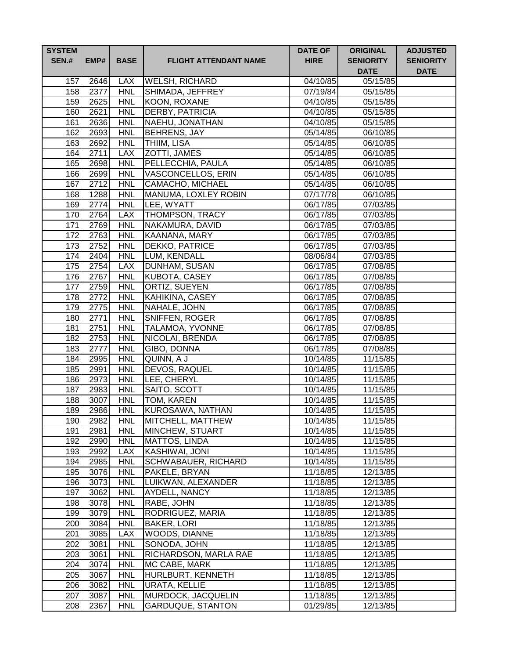| <b>SYSTEM</b><br><b>SEN.#</b> | EMP#         | <b>BASE</b>              | <b>FLIGHT ATTENDANT NAME</b>             | <b>DATE OF</b><br><b>HIRE</b> | <b>ORIGINAL</b><br><b>SENIORITY</b><br><b>DATE</b> | <b>ADJUSTED</b><br><b>SENIORITY</b><br><b>DATE</b> |
|-------------------------------|--------------|--------------------------|------------------------------------------|-------------------------------|----------------------------------------------------|----------------------------------------------------|
| 157                           | 2646         | <b>LAX</b>               | <b>WELSH, RICHARD</b>                    | 04/10/85                      | 05/15/85                                           |                                                    |
| 158                           | 2377         | <b>HNL</b>               | SHIMADA, JEFFREY                         | 07/19/84                      | 05/15/85                                           |                                                    |
| 159                           | 2625         | <b>HNL</b>               | KOON, ROXANE                             | 04/10/85                      | 05/15/85                                           |                                                    |
| 160                           | 2621         | <b>HNL</b>               | <b>DERBY, PATRICIA</b>                   | 04/10/85                      | 05/15/85                                           |                                                    |
| 161                           | 2636         | <b>HNL</b>               | NAEHU, JONATHAN                          | 04/10/85                      | 05/15/85                                           |                                                    |
| 162                           | 2693         | <b>HNL</b>               | <b>BEHRENS, JAY</b>                      | 05/14/85                      | 06/10/85                                           |                                                    |
| 163                           | 2692         | <b>HNL</b>               | <b>THIIM, LISA</b>                       | 05/14/85                      | 06/10/85                                           |                                                    |
| 164                           | 2711         | <b>LAX</b>               | ZOTTI, JAMES                             | 05/14/85                      | 06/10/85                                           |                                                    |
| 165                           | 2698         | <b>HNL</b>               | PELLECCHIA, PAULA                        | 05/14/85                      | 06/10/85                                           |                                                    |
| 166                           | 2699         | <b>HNL</b>               | <b>VASCONCELLOS, ERIN</b>                | 05/14/85                      | 06/10/85                                           |                                                    |
| 167                           | 2712         | <b>HNL</b>               | <b>CAMACHO, MICHAEL</b>                  | 05/14/85                      | 06/10/85                                           |                                                    |
| 168                           | 1288         | <b>HNL</b>               | MANUMA, LOXLEY ROBIN                     | 07/17/78                      | 06/10/85                                           |                                                    |
| 169                           | 2774         | <b>HNL</b>               | LEE, WYATT                               | 06/17/85                      | 07/03/85                                           |                                                    |
| 170                           | 2764         | <b>LAX</b>               | <b>THOMPSON, TRACY</b>                   | 06/17/85                      | 07/03/85                                           |                                                    |
| 171                           | 2769         | <b>HNL</b>               | NAKAMURA, DAVID                          | 06/17/85                      | 07/03/85                                           |                                                    |
| 172                           | 2763         | <b>HNL</b>               | KAANANA, MARY                            | 06/17/85                      | 07/03/85                                           |                                                    |
| 173                           | 2752         | <b>HNL</b>               | DEKKO, PATRICE                           | 06/17/85                      | 07/03/85                                           |                                                    |
| 174                           | 2404         | <b>HNL</b>               | LUM, KENDALL                             | 08/06/84                      | $\overline{07/03/85}$                              |                                                    |
| 175                           | 2754         | <b>LAX</b>               | <b>DUNHAM, SUSAN</b>                     | 06/17/85                      | 07/08/85                                           |                                                    |
| 176                           | 2767         | <b>HNL</b>               | <b>KUBOTA, CASEY</b>                     | 06/17/85                      | 07/08/85                                           |                                                    |
| 177                           | 2759         | <b>HNL</b>               | ORTIZ, SUEYEN                            | 06/17/85                      | 07/08/85                                           |                                                    |
| 178<br>179                    | 2772         | <b>HNL</b>               | KAHIKINA, CASEY                          | 06/17/85                      | 07/08/85                                           |                                                    |
|                               | 2775         | <b>HNL</b>               | NAHALE, JOHN                             | 06/17/85                      | 07/08/85                                           |                                                    |
| 180<br>$\overline{181}$       | 2771<br>2751 | <b>HNL</b><br><b>HNL</b> | SNIFFEN, ROGER<br><b>TALAMOA, YVONNE</b> | 06/17/85<br>06/17/85          | 07/08/85<br>07/08/85                               |                                                    |
| 182                           | 2753         | <b>HNL</b>               | NICOLAI, BRENDA                          | 06/17/85                      | 07/08/85                                           |                                                    |
| 183                           | 2777         | <b>HNL</b>               | GIBO, DONNA                              | 06/17/85                      | 07/08/85                                           |                                                    |
| 184                           | 2995         | <b>HNL</b>               | QUINN, A J                               | 10/14/85                      | 11/15/85                                           |                                                    |
| 185                           | 2991         | <b>HNL</b>               | DEVOS, RAQUEL                            | 10/14/85                      | 11/15/85                                           |                                                    |
| 186                           | 2973         | <b>HNL</b>               | LEE, CHERYL                              | 10/14/85                      | 11/15/85                                           |                                                    |
| 187                           | 2983         | <b>HNL</b>               | SAITO, SCOTT                             | 10/14/85                      | 11/15/85                                           |                                                    |
| 188                           | 3007         | <b>HNL</b>               | <b>TOM, KAREN</b>                        | 10/14/85                      | 11/15/85                                           |                                                    |
| 189                           | 2986         | <b>HNL</b>               | KUROSAWA, NATHAN                         | 10/14/85                      | $\overline{11/15/85}$                              |                                                    |
| 190                           | 2982         | <b>HNL</b>               | MITCHELL, MATTHEW                        | 10/14/85                      | 11/15/85                                           |                                                    |
| 191                           | 2981         | <b>HNL</b>               | MINCHEW, STUART                          | 10/14/85                      | 11/15/85                                           |                                                    |
| 192                           | 2990         | <b>HNL</b>               | <b>MATTOS, LINDA</b>                     | 10/14/85                      | 11/15/85                                           |                                                    |
| 193                           | 2992         | <b>LAX</b>               | <b>KASHIWAI, JONI</b>                    | 10/14/85                      | 11/15/85                                           |                                                    |
| 194                           | 2985         | <b>HNL</b>               | SCHWABAUER, RICHARD                      | 10/14/85                      | 11/15/85                                           |                                                    |
| 195                           | 3076         | <b>HNL</b>               | PAKELE, BRYAN                            | 11/18/85                      | 12/13/85                                           |                                                    |
| 196                           | 3073         | <b>HNL</b>               | LUIKWAN, ALEXANDER                       | 11/18/85                      | 12/13/85                                           |                                                    |
| 197                           | 3062         | <b>HNL</b>               | AYDELL, NANCY                            | 11/18/85                      | 12/13/85                                           |                                                    |
| 198                           | 3078         | <b>HNL</b>               | RABE, JOHN                               | 11/18/85                      | 12/13/85                                           |                                                    |
| 199                           | 3079         | <b>HNL</b>               | RODRIGUEZ, MARIA                         | 11/18/85                      | 12/13/85                                           |                                                    |
| 200                           | 3084         | <b>HNL</b>               | <b>BAKER, LORI</b>                       | 11/18/85                      | 12/13/85                                           |                                                    |
| 201                           | 3085         | <b>LAX</b>               | WOODS, DIANNE                            | 11/18/85                      | 12/13/85                                           |                                                    |
| 202                           | 3081         | <b>HNL</b>               | SONODA, JOHN                             | 11/18/85                      | 12/13/85                                           |                                                    |
| 203                           | 3061         | <b>HNL</b>               | RICHARDSON, MARLA RAE                    | 11/18/85                      | 12/13/85                                           |                                                    |
| 204                           | 3074         | <b>HNL</b>               | MC CABE, MARK                            | 11/18/85                      | 12/13/85                                           |                                                    |
| 205                           | 3067         | <b>HNL</b>               | HURLBURT, KENNETH                        | 11/18/85                      | 12/13/85                                           |                                                    |
| 206                           | 3082         | <b>HNL</b>               | <b>URATA, KELLIE</b>                     | 11/18/85                      | 12/13/85                                           |                                                    |
| 207                           | 3087         | <b>HNL</b>               | MURDOCK, JACQUELIN                       | 11/18/85                      | 12/13/85                                           |                                                    |
| 208                           | 2367         | <b>HNL</b>               | GARDUQUE, STANTON                        | 01/29/85                      | 12/13/85                                           |                                                    |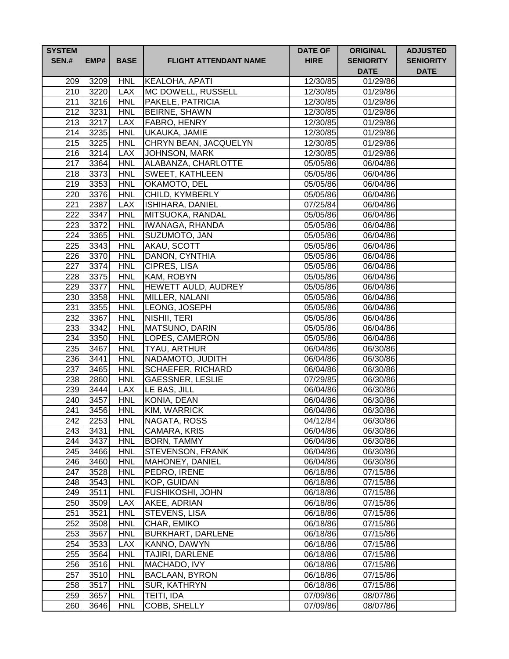| <b>SYSTEM</b><br><b>SEN.#</b> | EMP#         | <b>BASE</b>              | <b>FLIGHT ATTENDANT NAME</b> | <b>DATE OF</b><br><b>HIRE</b> | <b>ORIGINAL</b><br><b>SENIORITY</b><br><b>DATE</b> | <b>ADJUSTED</b><br><b>SENIORITY</b><br><b>DATE</b> |
|-------------------------------|--------------|--------------------------|------------------------------|-------------------------------|----------------------------------------------------|----------------------------------------------------|
| 209                           | 3209         | <b>HNL</b>               | KEALOHA, APATI               | 12/30/85                      | 01/29/86                                           |                                                    |
| 210                           | 3220         | <b>LAX</b>               | MC DOWELL, RUSSELL           | 12/30/85                      | 01/29/86                                           |                                                    |
| 211                           | 3216         | <b>HNL</b>               | PAKELE, PATRICIA             | 12/30/85                      | 01/29/86                                           |                                                    |
| 212                           | 3231         | <b>HNL</b>               | <b>BEIRNE, SHAWN</b>         | 12/30/85                      | 01/29/86                                           |                                                    |
| 213                           | 3217         | <b>LAX</b>               | <b>FABRO, HENRY</b>          | 12/30/85                      | 01/29/86                                           |                                                    |
| 214                           | 3235         | <b>HNL</b>               | <b>UKAUKA, JAMIE</b>         | 12/30/85                      | 01/29/86                                           |                                                    |
| 215                           | 3225         | <b>HNL</b>               | CHRYN BEAN, JACQUELYN        | 12/30/85                      | $\overline{01}/29/86$                              |                                                    |
| 216                           | 3214         | <b>LAX</b>               | <b>JOHNSON, MARK</b>         | 12/30/85                      | 01/29/86                                           |                                                    |
| 217                           | 3364         | <b>HNL</b>               | ALABANZA, CHARLOTTE          | 05/05/86                      | 06/04/86                                           |                                                    |
| 218                           | 3373         | <b>HNL</b>               | <b>SWEET, KATHLEEN</b>       | 05/05/86                      | 06/04/86                                           |                                                    |
| 219                           | 3353         | <b>HNL</b>               | OKAMOTO, DEL                 | 05/05/86                      | 06/04/86                                           |                                                    |
| 220                           | 3376         | <b>HNL</b>               | CHILD, KYMBERLY              | 05/05/86                      | 06/04/86                                           |                                                    |
| 221                           | 2387         | <b>LAX</b>               | ISHIHARA, DANIEL             | 07/25/84                      | 06/04/86                                           |                                                    |
| 222                           | 3347         | <b>HNL</b>               | MITSUOKA, RANDAL             | 05/05/86                      | 06/04/86                                           |                                                    |
| 223                           | 3372         | <b>HNL</b>               | <b>IWANAGA, RHANDA</b>       | 05/05/86                      | 06/04/86                                           |                                                    |
| 224                           | 3365         | <b>HNL</b>               | SUZUMOTO, JAN                | 05/05/86                      | 06/04/86                                           |                                                    |
| 225                           | 3343         | <b>HNL</b>               | AKAU, SCOTT                  | 05/05/86                      | 06/04/86                                           |                                                    |
| 226                           | 3370         | <b>HNL</b>               | DANON, CYNTHIA               | 05/05/86                      | 06/04/86                                           |                                                    |
| 227                           | 3374         | <b>HNL</b>               | CIPRES, LISA                 | 05/05/86                      | 06/04/86                                           |                                                    |
| 228                           | 3375         | <b>HNL</b>               | KAM, ROBYN                   | 05/05/86                      | 06/04/86                                           |                                                    |
| 229                           | 3377         | <b>HNL</b>               | HEWETT AULD, AUDREY          | 05/05/86                      | 06/04/86                                           |                                                    |
| 230                           | 3358         | <b>HNL</b>               | MILLER, NALANI               | 05/05/86                      | 06/04/86                                           |                                                    |
| 231                           | 3355         | <b>HNL</b>               | LEONG, JOSEPH                | 05/05/86                      | 06/04/86                                           |                                                    |
| 232                           | 3367         | <b>HNL</b>               | <b>NISHII, TERI</b>          | 05/05/86                      | 06/04/86                                           |                                                    |
| 233                           | 3342         | <b>HNL</b>               | MATSUNO, DARIN               | 05/05/86                      | 06/04/86                                           |                                                    |
| 234                           | 3350         | <b>HNL</b>               | LOPES, CAMERON               | 05/05/86                      | 06/04/86                                           |                                                    |
| 235                           | 3467         | <b>HNL</b>               | TYAU, ARTHUR                 | 06/04/86                      | 06/30/86                                           |                                                    |
| 236                           | 3441         | <b>HNL</b>               | NADAMOTO, JUDITH             | 06/04/86                      | 06/30/86                                           |                                                    |
| 237<br>238                    | 3465         | <b>HNL</b>               | <b>SCHAEFER, RICHARD</b>     | 06/04/86                      | 06/30/86                                           |                                                    |
|                               | 2860         | <b>HNL</b>               | <b>GAESSNER, LESLIE</b>      | 07/29/85                      | 06/30/86                                           |                                                    |
| 239<br>240                    | 3444<br>3457 | <b>LAX</b><br><b>HNL</b> | LE BAS, JILL<br>KONIA, DEAN  | 06/04/86                      | 06/30/86                                           |                                                    |
| 241                           | 3456         | <b>HNL</b>               | KIM, WARRICK                 | 06/04/86<br>06/04/86          | 06/30/86<br>06/30/86                               |                                                    |
| 242                           | 2253         | <b>HNL</b>               | NAGATA, ROSS                 | 04/12/84                      | 06/30/86                                           |                                                    |
| 243                           | 3431         | <b>HNL</b>               | <b>CAMARA, KRIS</b>          | 06/04/86                      | 06/30/86                                           |                                                    |
| 244                           | 3437         | <b>HNL</b>               | <b>BORN, TAMMY</b>           | 06/04/86                      | 06/30/86                                           |                                                    |
| 245                           | 3466         | <b>HNL</b>               | <b>STEVENSON, FRANK</b>      | 06/04/86                      | 06/30/86                                           |                                                    |
| 246                           | 3460         | <b>HNL</b>               | MAHONEY, DANIEL              | 06/04/86                      | 06/30/86                                           |                                                    |
| 247                           | 3528         | <b>HNL</b>               | PEDRO, IRENE                 | 06/18/86                      | 07/15/86                                           |                                                    |
| 248                           | 3543         | <b>HNL</b>               | KOP, GUIDAN                  | 06/18/86                      | 07/15/86                                           |                                                    |
| 249                           | 3511         | <b>HNL</b>               | FUSHIKOSHI, JOHN             | 06/18/86                      | 07/15/86                                           |                                                    |
| 250                           | 3509         | <b>LAX</b>               | AKEE, ADRIAN                 | 06/18/86                      | 07/15/86                                           |                                                    |
| 251                           | 3521         | <b>HNL</b>               | STEVENS, LISA                | 06/18/86                      | 07/15/86                                           |                                                    |
| 252                           | 3508         | <b>HNL</b>               | CHAR, EMIKO                  | 06/18/86                      | 07/15/86                                           |                                                    |
| 253                           | 3567         | <b>HNL</b>               | <b>BURKHART, DARLENE</b>     | 06/18/86                      | 07/15/86                                           |                                                    |
| 254                           | 3533         | <b>LAX</b>               | KANNO, DAWYN                 | 06/18/86                      | 07/15/86                                           |                                                    |
| 255                           | 3564         | <b>HNL</b>               | TAJIRI, DARLENE              | 06/18/86                      | 07/15/86                                           |                                                    |
| 256                           | 3516         | <b>HNL</b>               | MACHADO, IVY                 | 06/18/86                      | 07/15/86                                           |                                                    |
| 257                           | 3510         | <b>HNL</b>               | <b>BACLAAN, BYRON</b>        | 06/18/86                      | 07/15/86                                           |                                                    |
| 258                           | 3517         | <b>HNL</b>               | <b>SUR, KATHRYN</b>          | 06/18/86                      | 07/15/86                                           |                                                    |
| 259                           | 3657         | <b>HNL</b>               | TEITI, IDA                   | 07/09/86                      | 08/07/86                                           |                                                    |
| 260                           | 3646         | <b>HNL</b>               | COBB, SHELLY                 | 07/09/86                      | 08/07/86                                           |                                                    |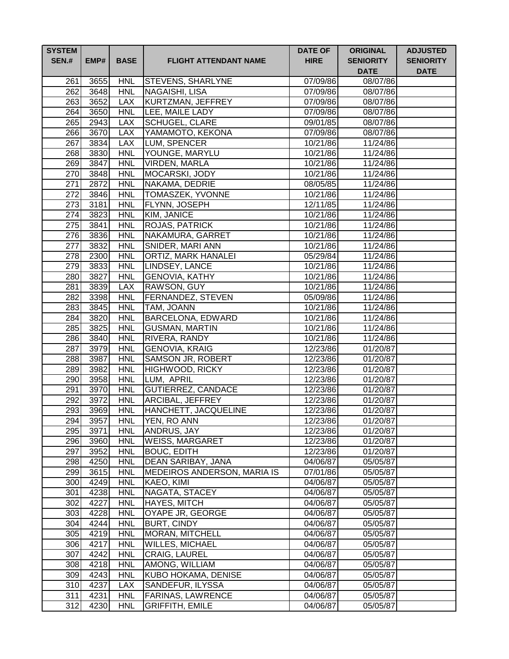| <b>SYSTEM</b><br><b>SEN.#</b> | EMP#         | <b>BASE</b>              | <b>FLIGHT ATTENDANT NAME</b>             | <b>DATE OF</b><br><b>HIRE</b> | <b>ORIGINAL</b><br><b>SENIORITY</b><br><b>DATE</b> | <b>ADJUSTED</b><br><b>SENIORITY</b><br><b>DATE</b> |
|-------------------------------|--------------|--------------------------|------------------------------------------|-------------------------------|----------------------------------------------------|----------------------------------------------------|
| 261                           | 3655         | <b>HNL</b>               | <b>STEVENS, SHARLYNE</b>                 | 07/09/86                      | 08/07/86                                           |                                                    |
| 262                           | 3648         | <b>HNL</b>               | NAGAISHI, LISA                           | 07/09/86                      | 08/07/86                                           |                                                    |
| 263                           | 3652         | <b>LAX</b>               | KURTZMAN, JEFFREY                        | 07/09/86                      | 08/07/86                                           |                                                    |
| 264                           | 3650         | <b>HNL</b>               | LEE, MAILE LADY                          | 07/09/86                      | 08/07/86                                           |                                                    |
| 265                           | 2943         | <b>LAX</b>               | <b>SCHUGEL, CLARE</b>                    | 09/01/85                      | 08/07/86                                           |                                                    |
| 266                           | 3670         | <b>LAX</b>               | YAMAMOTO, KEKONA                         | 07/09/86                      | 08/07/86                                           |                                                    |
| 267                           | 3834         | <b>LAX</b>               | LUM, SPENCER                             | 10/21/86                      | 11/24/86                                           |                                                    |
| 268                           | 3830         | <b>HNL</b>               | YOUNGE, MARYLU                           | 10/21/86                      | 11/24/86                                           |                                                    |
| 269                           | 3847         | <b>HNL</b>               | <b>VIRDEN, MARLA</b>                     | 10/21/86                      | 11/24/86                                           |                                                    |
| 270                           | 3848         | <b>HNL</b>               | MOCARSKI, JODY                           | 10/21/86                      | 11/24/86                                           |                                                    |
| $\overline{271}$              | 2872         | <b>HNL</b>               | NAKAMA, DEDRIE                           | 08/05/85                      | 11/24/86                                           |                                                    |
| $\overline{272}$              | 3846         | <b>HNL</b>               | TOMASZEK, YVONNE                         | 10/21/86                      | 11/24/86                                           |                                                    |
| 273                           | 3181         | <b>HNL</b>               | FLYNN, JOSEPH                            | 12/11/85                      | 11/24/86                                           |                                                    |
| 274                           | 3823         | <b>HNL</b>               | KIM, JANICE                              | 10/21/86                      | 11/24/86                                           |                                                    |
| 275                           | 3841         | <b>HNL</b>               | <b>ROJAS, PATRICK</b>                    | 10/21/86                      | 11/24/86                                           |                                                    |
| 276                           | 3836         | <b>HNL</b>               | NAKAMURA, GARRET                         | 10/21/86                      | 11/24/86                                           |                                                    |
| 277                           | 3832         | <b>HNL</b>               | <b>SNIDER, MARI ANN</b>                  | 10/21/86                      | 11/24/86                                           |                                                    |
| 278                           | 2300         | <b>HNL</b>               | <b>ORTIZ, MARK HANALEI</b>               | 05/29/84                      | 11/24/86                                           |                                                    |
| 279                           | 3833         | <b>HNL</b>               | <b>LINDSEY, LANCE</b>                    | 10/21/86                      | 11/24/86                                           |                                                    |
| 280                           | 3827         | <b>HNL</b>               | <b>GENOVIA, KATHY</b>                    | 10/21/86                      | 11/24/86                                           |                                                    |
| 281                           | 3839         | <b>LAX</b>               | RAWSON, GUY                              | 10/21/86                      | 11/24/86                                           |                                                    |
| 282                           | 3398         | <b>HNL</b>               | <b>FERNANDEZ, STEVEN</b>                 | 05/09/86                      | 11/24/86                                           |                                                    |
| 283                           | 3845         | <b>HNL</b>               | TAM, JOANN                               | 10/21/86                      | 11/24/86                                           |                                                    |
| 284                           | 3820         | <b>HNL</b>               | BARCELONA, EDWARD                        | 10/21/86                      | 11/24/86                                           |                                                    |
| 285                           | 3825         | <b>HNL</b>               | <b>GUSMAN, MARTIN</b>                    | 10/21/86                      | 11/24/86                                           |                                                    |
| 286                           | 3840         | <b>HNL</b>               | RIVERA, RANDY                            | 10/21/86                      | 11/24/86                                           |                                                    |
| 287                           | 3979         | <b>HNL</b>               | <b>GENOVIA, KRAIG</b>                    | 12/23/86                      | 01/20/87                                           |                                                    |
| 288                           | 3987         | <b>HNL</b>               | <b>SAMSON JR, ROBERT</b>                 | 12/23/86                      | 01/20/87                                           |                                                    |
| 289                           | 3982         | <b>HNL</b>               | HIGHWOOD, RICKY                          | 12/23/86                      | 01/20/87                                           |                                                    |
| 290                           | 3958         | <b>HNL</b>               | LUM, APRIL                               | 12/23/86                      | 01/20/87                                           |                                                    |
| 291                           | 3970         | <b>HNL</b>               | <b>GUTIERREZ, CANDACE</b>                | 12/23/86                      | 01/20/87                                           |                                                    |
| 292                           | 3972         | <b>HNL</b>               | ARCIBAL, JEFFREY                         | 12/23/86                      | 01/20/87                                           |                                                    |
| 293                           | 3969         | <b>HNL</b>               | HANCHETT, JACQUELINE                     | 12/23/86                      | 01/20/87                                           |                                                    |
| 294                           | 3957         | <b>HNL</b><br><b>HNL</b> | <b>YEN, RO ANN</b><br><b>ANDRUS, JAY</b> | 12/23/86                      | 01/20/87                                           |                                                    |
| 295<br>296                    | 3971         | <b>HNL</b>               | <b>WEISS, MARGARET</b>                   | 12/23/86<br>12/23/86          | 01/20/87                                           |                                                    |
| 297                           | 3960<br>3952 | <b>HNL</b>               | <b>BOUC, EDITH</b>                       | 12/23/86                      | 01/20/87<br>01/20/87                               |                                                    |
| 298                           | 4250         | <b>HNL</b>               | DEAN SARIBAY, JANA                       | 04/06/87                      | 05/05/87                                           |                                                    |
| 299                           | 3615         | <b>HNL</b>               | MEDEIROS ANDERSON, MARIA IS              | 07/01/86                      | 05/05/87                                           |                                                    |
| 300                           | 4249         | <b>HNL</b>               | KAEO, KIMI                               | 04/06/87                      | 05/05/87                                           |                                                    |
| 301                           | 4238         | <b>HNL</b>               | NAGATA, STACEY                           | 04/06/87                      | 05/05/87                                           |                                                    |
| 302                           | 4227         | <b>HNL</b>               | HAYES, MITCH                             | 04/06/87                      | 05/05/87                                           |                                                    |
| 303                           | 4228         | <b>HNL</b>               | OYAPE JR, GEORGE                         | 04/06/87                      | 05/05/87                                           |                                                    |
| 304                           | 4244         | <b>HNL</b>               | <b>BURT, CINDY</b>                       | 04/06/87                      | 05/05/87                                           |                                                    |
| 305                           | 4219         | <b>HNL</b>               | <b>MORAN, MITCHELL</b>                   | 04/06/87                      | 05/05/87                                           |                                                    |
| 306                           | 4217         | <b>HNL</b>               | <b>WILLES, MICHAEL</b>                   | 04/06/87                      | 05/05/87                                           |                                                    |
| 307                           | 4242         | <b>HNL</b>               | CRAIG, LAUREL                            | 04/06/87                      | 05/05/87                                           |                                                    |
| 308                           | 4218         | <b>HNL</b>               | AMONG, WILLIAM                           | 04/06/87                      | 05/05/87                                           |                                                    |
| 309                           | 4243         | <b>HNL</b>               | KUBO HOKAMA, DENISE                      | 04/06/87                      | 05/05/87                                           |                                                    |
| 310                           | 4237         | <b>LAX</b>               | SANDEFUR, ILYSSA                         | 04/06/87                      | 05/05/87                                           |                                                    |
| 311                           | 4231         | <b>HNL</b>               | FARINAS, LAWRENCE                        | 04/06/87                      | 05/05/87                                           |                                                    |
| 312                           | 4230         | <b>HNL</b>               | <b>GRIFFITH, EMILE</b>                   | 04/06/87                      | 05/05/87                                           |                                                    |
|                               |              |                          |                                          |                               |                                                    |                                                    |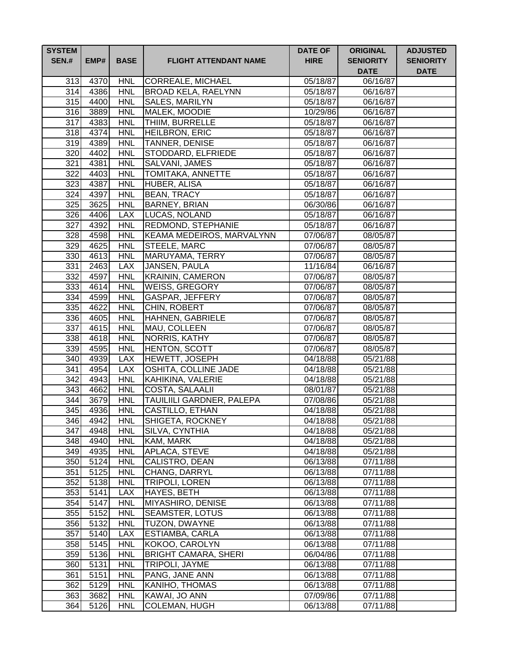| <b>SYSTEM</b><br><b>SEN.#</b> | EMP#         | <b>BASE</b>              | <b>FLIGHT ATTENDANT NAME</b>                 | <b>DATE OF</b><br><b>HIRE</b> | <b>ORIGINAL</b><br><b>SENIORITY</b><br><b>DATE</b> | <b>ADJUSTED</b><br><b>SENIORITY</b><br><b>DATE</b> |
|-------------------------------|--------------|--------------------------|----------------------------------------------|-------------------------------|----------------------------------------------------|----------------------------------------------------|
| 313                           | 4370         | <b>HNL</b>               | <b>CORREALE, MICHAEL</b>                     | 05/18/87                      | 06/16/87                                           |                                                    |
| 314                           | 4386         | <b>HNL</b>               | <b>BROAD KELA, RAELYNN</b>                   | 05/18/87                      | 06/16/87                                           |                                                    |
| 315                           | 4400         | <b>HNL</b>               | SALES, MARILYN                               | 05/18/87                      | 06/16/87                                           |                                                    |
| 316                           | 3889         | <b>HNL</b>               | MALEK, MOODIE                                | 10/29/86                      | 06/16/87                                           |                                                    |
| 317                           | 4383         | <b>HNL</b>               | THIIM, BURRELLE                              | 05/18/87                      | 06/16/87                                           |                                                    |
| 318                           | 4374         | <b>HNL</b>               | <b>HEILBRON, ERIC</b>                        | 05/18/87                      | 06/16/87                                           |                                                    |
| 319                           | 4389         | <b>HNL</b>               | <b>TANNER, DENISE</b>                        | 05/18/87                      | 06/16/87                                           |                                                    |
| 320                           | 4402         | <b>HNL</b>               | STODDARD, ELFRIEDE                           | 05/18/87                      | 06/16/87                                           |                                                    |
| $\overline{321}$              | 4381         | <b>HNL</b>               | SALVANI, JAMES                               | 05/18/87                      | 06/16/87                                           |                                                    |
| 322                           | 4403         | <b>HNL</b>               | <b>TOMITAKA, ANNETTE</b>                     | 05/18/87                      | 06/16/87                                           |                                                    |
| $\overline{323}$              | 4387         | <b>HNL</b>               | HUBER, ALISA                                 | 05/18/87                      | 06/16/87                                           |                                                    |
| 324                           | 4397         | <b>HNL</b>               | <b>BEAN, TRACY</b>                           | 05/18/87                      | 06/16/87                                           |                                                    |
| 325                           | 3625         | <b>HNL</b>               | <b>BARNEY, BRIAN</b>                         | 06/30/86                      | 06/16/87                                           |                                                    |
| 326                           | 4406         | <b>LAX</b>               | LUCAS, NOLAND                                | 05/18/87                      | 06/16/87                                           |                                                    |
| 327                           | 4392         | <b>HNL</b>               | <b>REDMOND, STEPHANIE</b>                    | 05/18/87                      | 06/16/87                                           |                                                    |
| 328                           | 4598         | <b>HNL</b>               | <b>KEAMA MEDEIROS, MARVALYNN</b>             | 07/06/87                      | 08/05/87                                           |                                                    |
| 329                           | 4625         | <b>HNL</b>               | <b>STEELE, MARC</b>                          | 07/06/87                      | 08/05/87                                           |                                                    |
| 330                           | 4613         | <b>HNL</b>               | MARUYAMA, TERRY                              | 07/06/87                      | 08/05/87                                           |                                                    |
| 331                           | 2463         | <b>LAX</b>               | JANSEN, PAULA                                | 11/16/84                      | 06/16/87                                           |                                                    |
| 332                           | 4597         | <b>HNL</b>               | <b>KRAININ, CAMERON</b>                      | 07/06/87                      | 08/05/87                                           |                                                    |
| 333                           | 4614         | <b>HNL</b>               | <b>WEISS, GREGORY</b>                        | 07/06/87                      | 08/05/87                                           |                                                    |
| 334                           | 4599         | <b>HNL</b>               | GASPAR, JEFFERY                              | 07/06/87                      | 08/05/87                                           |                                                    |
| 335                           | 4622         | <b>HNL</b>               | CHIN, ROBERT                                 | 07/06/87                      | 08/05/87                                           |                                                    |
| 336                           | 4605         | <b>HNL</b>               | HAHNEN, GABRIELE                             | 07/06/87                      | 08/05/87                                           |                                                    |
| 337                           | 4615         | <b>HNL</b>               | MAU, COLLEEN                                 | 07/06/87                      | 08/05/87                                           |                                                    |
| 338                           | 4618         | <b>HNL</b>               | NORRIS, KATHY                                | 07/06/87                      | 08/05/87                                           |                                                    |
| 339                           | 4595         | <b>HNL</b>               | <b>HENTON, SCOTT</b>                         | 07/06/87                      | 08/05/87                                           |                                                    |
| 340                           | 4939         | <b>LAX</b>               | <b>HEWETT, JOSEPH</b>                        | 04/18/88                      | 05/21/88                                           |                                                    |
| 341                           | 4954         | <b>LAX</b>               | OSHITA, COLLINE JADE                         | 04/18/88                      | 05/21/88                                           |                                                    |
| 342                           | 4943         | <b>HNL</b>               | KAHIKINA, VALERIE                            | 04/18/88                      | 05/21/88                                           |                                                    |
| 343<br>344                    | 4662         | <b>HNL</b><br><b>HNL</b> | COSTA, SALAALII<br>TAUILIILI GARDNER, PALEPA | 08/01/87                      | 05/21/88                                           |                                                    |
| 345                           | 3679<br>4936 | <b>HNL</b>               | CASTILLO, ETHAN                              | 07/08/86<br>04/18/88          | 05/21/88<br>05/21/88                               |                                                    |
| 346 <sub>l</sub>              | 4942         | <b>HNL</b>               | <b>SHIGETA, ROCKNEY</b>                      | 04/18/88                      | 05/21/88                                           |                                                    |
| 347                           | 4948         | <b>HNL</b>               | SILVA, CYNTHIA                               | 04/18/88                      | 05/21/88                                           |                                                    |
| 348                           | 4940         | <b>HNL</b>               | KAM, MARK                                    | 04/18/88                      | 05/21/88                                           |                                                    |
| 349                           | 4935         | <b>HNL</b>               | APLACA, STEVE                                | 04/18/88                      | 05/21/88                                           |                                                    |
| 350                           | 5124         | <b>HNL</b>               | CALISTRO, DEAN                               | 06/13/88                      | 07/11/88                                           |                                                    |
| 351                           | 5125         | <b>HNL</b>               | CHANG, DARRYL                                | 06/13/88                      | 07/11/88                                           |                                                    |
| 352                           | 5138         | <b>HNL</b>               | <b>TRIPOLI, LOREN</b>                        | 06/13/88                      | 07/11/88                                           |                                                    |
| 353                           | 5141         | <b>LAX</b>               | HAYES, BETH                                  | 06/13/88                      | 07/11/88                                           |                                                    |
| 354                           | 5147         | <b>HNL</b>               | MIYASHIRO, DENISE                            | 06/13/88                      | 07/11/88                                           |                                                    |
| 355                           | 5152         | <b>HNL</b>               | <b>SEAMSTER, LOTUS</b>                       | 06/13/88                      | 07/11/88                                           |                                                    |
| 356                           | 5132         | <b>HNL</b>               | TUZON, DWAYNE                                | 06/13/88                      | 07/11/88                                           |                                                    |
| 357                           | 5140         | <b>LAX</b>               | ESTIAMBA, CARLA                              | 06/13/88                      | 07/11/88                                           |                                                    |
| 358                           | 5145         | <b>HNL</b>               | KOKOO, CAROLYN                               | 06/13/88                      | 07/11/88                                           |                                                    |
| 359                           | 5136         | <b>HNL</b>               | <b>BRIGHT CAMARA, SHERI</b>                  | 06/04/86                      | 07/11/88                                           |                                                    |
| 360                           | 5131         | <b>HNL</b>               | TRIPOLI, JAYME                               | 06/13/88                      | 07/11/88                                           |                                                    |
| 361                           | 5151         | <b>HNL</b>               | PANG, JANE ANN                               | 06/13/88                      | 07/11/88                                           |                                                    |
| 362                           | 5129         | <b>HNL</b>               | KANIHO, THOMAS                               | 06/13/88                      | 07/11/88                                           |                                                    |
| 363                           | 3682         | <b>HNL</b>               | KAWAI, JO ANN                                | 07/09/86                      | 07/11/88                                           |                                                    |
| 364                           | 5126         | <b>HNL</b>               | <b>COLEMAN, HUGH</b>                         | 06/13/88                      | 07/11/88                                           |                                                    |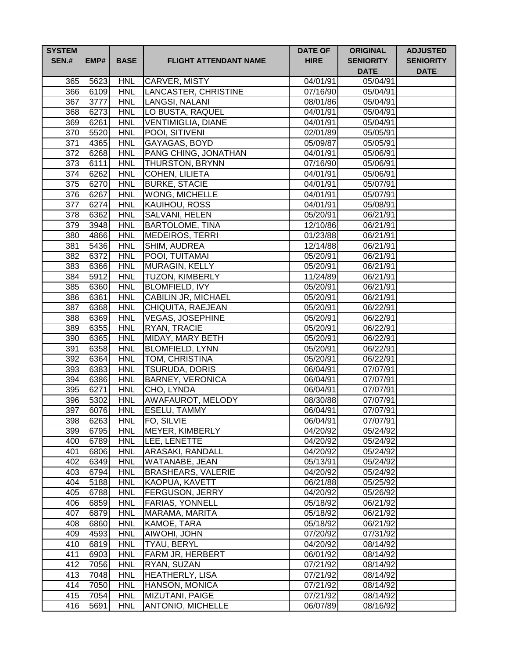| <b>SYSTEM</b><br><b>SEN.#</b> | EMP#         | <b>BASE</b>              | <b>FLIGHT ATTENDANT NAME</b>                 | <b>DATE OF</b><br><b>HIRE</b> | <b>ORIGINAL</b><br><b>SENIORITY</b><br><b>DATE</b> | <b>ADJUSTED</b><br><b>SENIORITY</b><br><b>DATE</b> |
|-------------------------------|--------------|--------------------------|----------------------------------------------|-------------------------------|----------------------------------------------------|----------------------------------------------------|
| 365                           | 5623         | <b>HNL</b>               | CARVER, MISTY                                | 04/01/91                      | 05/04/91                                           |                                                    |
| 366                           | 6109         | <b>HNL</b>               | LANCASTER, CHRISTINE                         | 07/16/90                      | 05/04/91                                           |                                                    |
| 367                           | 3777         | <b>HNL</b>               | LANGSI, NALANI                               | 08/01/86                      | 05/04/91                                           |                                                    |
| 368                           | 6273         | <b>HNL</b>               | LO BUSTA, RAQUEL                             | 04/01/91                      | 05/04/91                                           |                                                    |
| 369                           | 6261         | <b>HNL</b>               | <b>VENTIMIGLIA, DIANE</b>                    | 04/01/91                      | 05/04/91                                           |                                                    |
| 370                           | 5520         | <b>HNL</b>               | POOI, SITIVENI                               | 02/01/89                      | 05/05/91                                           |                                                    |
| 371                           | 4365         | <b>HNL</b>               | GAYAGAS, BOYD                                | 05/09/87                      | 05/05/91                                           |                                                    |
| $\overline{372}$              | 6268         | <b>HNL</b>               | PANG CHING, JONATHAN                         | 04/01/91                      | 05/06/91                                           |                                                    |
| $\overline{373}$              | 6111         | <b>HNL</b>               | <b>THURSTON, BRYNN</b>                       | 07/16/90                      | 05/06/91                                           |                                                    |
| $\overline{374}$              | 6262         | <b>HNL</b>               | <b>COHEN, LILIETA</b>                        | 04/01/91                      | 05/06/91                                           |                                                    |
| $\overline{375}$              | 6270         | <b>HNL</b>               | <b>BURKE, STACIE</b>                         | 04/01/91                      | 05/07/91                                           |                                                    |
| 376                           | 6267         | <b>HNL</b>               | <b>WONG, MICHELLE</b>                        | 04/01/91                      | 05/07/91                                           |                                                    |
| 377                           | 6274         | <b>HNL</b>               | KAUIHOU, ROSS                                | 04/01/91                      | 05/08/91                                           |                                                    |
| 378                           | 6362         | <b>HNL</b>               | SALVANI, HELEN                               | 05/20/91                      | 06/21/91                                           |                                                    |
| 379                           | 3948         | <b>HNL</b>               | <b>BARTOLOME, TINA</b>                       | 12/10/86                      | 06/21/91                                           |                                                    |
| 380                           | 4866         | <b>HNL</b>               | <b>MEDEIROS, TERRI</b>                       | 01/23/88                      | 06/21/91                                           |                                                    |
| 381                           | 5436         | <b>HNL</b>               | SHIM, AUDREA                                 | 12/14/88                      | 06/21/91                                           |                                                    |
| 382                           | 6372         | <b>HNL</b>               | POOI, TUITAMAI                               | 05/20/91                      | 06/21/91                                           |                                                    |
| 383                           | 6366         | <b>HNL</b>               | MURAGIN, KELLY                               | 05/20/91                      | 06/21/91                                           |                                                    |
| 384                           | 5912         | <b>HNL</b>               | <b>TUZON, KIMBERLY</b>                       | 11/24/89                      | 06/21/91                                           |                                                    |
| 385<br>386                    | 6360         | <b>HNL</b><br><b>HNL</b> | <b>BLOMFIELD, IVY</b><br>CABILIN JR, MICHAEL | 05/20/91                      | 06/21/91                                           |                                                    |
| 387                           | 6361<br>6368 | <b>HNL</b>               | CHIQUITA, RAEJEAN                            | 05/20/91<br>05/20/91          | 06/21/91<br>06/22/91                               |                                                    |
| 388                           | 6369         | <b>HNL</b>               | <b>VEGAS, JOSEPHINE</b>                      | 05/20/91                      | 06/22/91                                           |                                                    |
| 389                           | 6355         | <b>HNL</b>               | <b>RYAN, TRACIE</b>                          | 05/20/91                      | 06/22/91                                           |                                                    |
| 390                           | 6365         | <b>HNL</b>               | MIDAY, MARY BETH                             | 05/20/91                      | 06/22/91                                           |                                                    |
| 391                           | 6358         | <b>HNL</b>               | <b>BLOMFIELD, LYNN</b>                       | 05/20/91                      | 06/22/91                                           |                                                    |
| 392                           | 6364         | <b>HNL</b>               | TOM, CHRISTINA                               | 05/20/91                      | 06/22/91                                           |                                                    |
| 393                           | 6383         | <b>HNL</b>               | <b>TSURUDA, DORIS</b>                        | 06/04/91                      | 07/07/91                                           |                                                    |
| 394                           | 6386         | <b>HNL</b>               | <b>BARNEY, VERONICA</b>                      | 06/04/91                      | 07/07/91                                           |                                                    |
| 395                           | 6271         | <b>HNL</b>               | CHO, LYNDA                                   | 06/04/91                      | 07/07/91                                           |                                                    |
| 396                           | 5302         | <b>HNL</b>               | <b>AWAFAUROT, MELODY</b>                     | 08/30/88                      | 07/07/91                                           |                                                    |
| 397                           | 6076         | <b>HNL</b>               | <b>ESELU, TAMMY</b>                          | 06/04/91                      | 07/07/91                                           |                                                    |
| 398                           | 6263         | <b>HNL</b>               | <b>FO, SILVIE</b>                            | 06/04/91                      | 07/07/91                                           |                                                    |
| 399                           | 6795         | <b>HNL</b>               | MEYER, KIMBERLY                              | 04/20/92                      | 05/24/92                                           |                                                    |
| 400                           | 6789         | <b>HNL</b>               | LEE, LENETTE                                 | 04/20/92                      | 05/24/92                                           |                                                    |
| 401                           | 6806         | <b>HNL</b>               | <b>ARASAKI, RANDALL</b>                      | 04/20/92                      | 05/24/92                                           |                                                    |
| 402                           | 6349         | <b>HNL</b>               | WATANABE, JEAN                               | 05/13/91                      | 05/24/92                                           |                                                    |
| 403                           | 6794         | <b>HNL</b>               | <b>BRASHEARS, VALERIE</b>                    | 04/20/92                      | 05/24/92                                           |                                                    |
| 404                           | 5188         | <b>HNL</b>               | KAOPUA, KAVETT                               | 06/21/88                      | 05/25/92                                           |                                                    |
| 405                           | 6788         | <b>HNL</b>               | FERGUSON, JERRY                              | 04/20/92                      | 05/26/92                                           |                                                    |
| 406                           | 6859         | <b>HNL</b>               | FARIAS, YONNELL                              | 05/18/92                      | 06/21/92                                           |                                                    |
| 407                           | 6879         | <b>HNL</b>               | MARAMA, MARITA                               | 05/18/92                      | 06/21/92                                           |                                                    |
| 408                           | 6860         | <b>HNL</b>               | KAMOE, TARA                                  | 05/18/92                      | 06/21/92                                           |                                                    |
| 409                           | 4593         | <b>HNL</b>               | AIWOHI, JOHN                                 | 07/20/92                      | 07/31/92                                           |                                                    |
| 410                           | 6819         | <b>HNL</b>               | TYAU, BERYL                                  | 04/20/92                      | 08/14/92                                           |                                                    |
| 411                           | 6903         | <b>HNL</b>               | FARM JR, HERBERT                             | 06/01/92                      | 08/14/92                                           |                                                    |
| 412                           | 7056         | <b>HNL</b>               | RYAN, SUZAN                                  | 07/21/92                      | 08/14/92                                           |                                                    |
| 413                           | 7048         | <b>HNL</b>               | <b>HEATHERLY, LISA</b>                       | 07/21/92                      | 08/14/92                                           |                                                    |
| 414                           | 7050         | <b>HNL</b>               | HANSON, MONICA                               | 07/21/92                      | 08/14/92                                           |                                                    |
| 415                           | 7054         | <b>HNL</b>               | MIZUTANI, PAIGE                              | 07/21/92                      | 08/14/92                                           |                                                    |
| 416                           | 5691         | <b>HNL</b>               | ANTONIO, MICHELLE                            | 06/07/89                      | 08/16/92                                           |                                                    |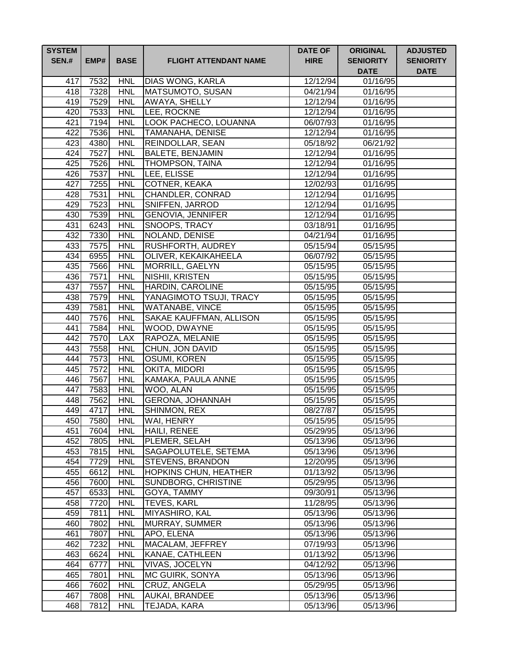| <b>SYSTEM</b><br><b>SEN.#</b> | EMP# | <b>BASE</b> | <b>FLIGHT ATTENDANT NAME</b> | <b>DATE OF</b><br><b>HIRE</b> | <b>ORIGINAL</b><br><b>SENIORITY</b><br><b>DATE</b> | <b>ADJUSTED</b><br><b>SENIORITY</b><br><b>DATE</b> |
|-------------------------------|------|-------------|------------------------------|-------------------------------|----------------------------------------------------|----------------------------------------------------|
| 417                           | 7532 | <b>HNL</b>  | DIAS WONG, KARLA             | 12/12/94                      | 01/16/95                                           |                                                    |
| 418                           | 7328 | <b>HNL</b>  | MATSUMOTO, SUSAN             | 04/21/94                      | 01/16/95                                           |                                                    |
| 419                           | 7529 | <b>HNL</b>  | <b>AWAYA, SHELLY</b>         | 12/12/94                      | 01/16/95                                           |                                                    |
| 420                           | 7533 | <b>HNL</b>  | LEE, ROCKNE                  | 12/12/94                      | 01/16/95                                           |                                                    |
| 421                           | 7194 | <b>HNL</b>  | LOOK PACHECO, LOUANNA        | 06/07/93                      | 01/16/95                                           |                                                    |
| 422                           | 7536 | <b>HNL</b>  | <b>TAMANAHA, DENISE</b>      | 12/12/94                      | 01/16/95                                           |                                                    |
| 423                           | 4380 | <b>HNL</b>  | <b>REINDOLLAR, SEAN</b>      | 05/18/92                      | 06/21/92                                           |                                                    |
| 424                           | 7527 | <b>HNL</b>  | <b>BALETE, BENJAMIN</b>      | 12/12/94                      | 01/16/95                                           |                                                    |
| 425                           | 7526 | <b>HNL</b>  | <b>THOMPSON, TAINA</b>       | 12/12/94                      | 01/16/95                                           |                                                    |
| 426                           | 7537 | <b>HNL</b>  | <b>LEE, ELISSE</b>           | 12/12/94                      | 01/16/95                                           |                                                    |
| 427                           | 7255 | <b>HNL</b>  | COTNER, KEAKA                | 12/02/93                      | 01/16/95                                           |                                                    |
| 428                           | 7531 | <b>HNL</b>  | CHANDLER, CONRAD             | 12/12/94                      | 01/16/95                                           |                                                    |
| 429                           | 7523 | <b>HNL</b>  | SNIFFEN, JARROD              | 12/12/94                      | 01/16/95                                           |                                                    |
| 430                           | 7539 | <b>HNL</b>  | GENOVIA, JENNIFER            | 12/12/94                      | 01/16/95                                           |                                                    |
| 431                           | 6243 | <b>HNL</b>  | SNOOPS, TRACY                | 03/18/91                      | 01/16/95                                           |                                                    |
| $43\overline{2}$              | 7330 | <b>HNL</b>  | NOLAND, DENISE               | 04/21/94                      | 01/16/95                                           |                                                    |
| 433                           | 7575 | <b>HNL</b>  | <b>RUSHFORTH, AUDREY</b>     | 05/15/94                      | 05/15/95                                           |                                                    |
| 434                           | 6955 | <b>HNL</b>  | OLIVER, KEKAIKAHEELA         | 06/07/92                      | 05/15/95                                           |                                                    |
| 435                           | 7566 | <b>HNL</b>  | <b>MORRILL, GAELYN</b>       | 05/15/95                      | 05/15/95                                           |                                                    |
| 436                           | 7571 | <b>HNL</b>  | NISHII, KRISTEN              | 05/15/95                      | 05/15/95                                           |                                                    |
| 437                           | 7557 | <b>HNL</b>  | <b>HARDIN, CAROLINE</b>      | 05/15/95                      | 05/15/95                                           |                                                    |
| 438                           | 7579 | <b>HNL</b>  | YANAGIMOTO TSUJI, TRACY      | 05/15/95                      | 05/15/95                                           |                                                    |
| 439                           | 7581 | <b>HNL</b>  | <b>WATANABE, VINCE</b>       | 05/15/95                      | 05/15/95                                           |                                                    |
| 440                           | 7576 | <b>HNL</b>  | SAKAE KAUFFMAN, ALLISON      | 05/15/95                      | 05/15/95                                           |                                                    |
| 441                           | 7584 | <b>HNL</b>  | WOOD, DWAYNE                 | 05/15/95                      | 05/15/95                                           |                                                    |
| 442                           | 7570 | <b>LAX</b>  | RAPOZA, MELANIE              | 05/15/95                      | 05/15/95                                           |                                                    |
| 443                           | 7558 | <b>HNL</b>  | CHUN, JON DAVID              | 05/15/95                      | 05/15/95                                           |                                                    |
| 444                           | 7573 | <b>HNL</b>  | OSUMI, KOREN                 | 05/15/95                      | 05/15/95                                           |                                                    |
| 445                           | 7572 | <b>HNL</b>  | OKITA, MIDORI                | 05/15/95                      | 05/15/95                                           |                                                    |
| 446                           | 7567 | <b>HNL</b>  | KAMAKA, PAULA ANNE           | 05/15/95                      | 05/15/95                                           |                                                    |
| 447                           | 7583 | <b>HNL</b>  | WOO, ALAN                    | 05/15/95                      | 05/15/95                                           |                                                    |
| 448                           | 7562 | <b>HNL</b>  | GERONA, JOHANNAH             | 05/15/95                      | 05/15/95                                           |                                                    |
| 449                           | 4717 | <b>HNL</b>  | SHINMON, REX                 | 08/27/87                      | 05/15/95                                           |                                                    |
| 450                           | 7580 | <b>HNL</b>  | <b>WAI, HENRY</b>            | 05/15/95                      | 05/15/95                                           |                                                    |
| 451                           | 7604 | <b>HNL</b>  | HAILI, RENEE                 | 05/29/95                      | 05/13/96                                           |                                                    |
| 452                           | 7805 | <b>HNL</b>  | PLEMER, SELAH                | 05/13/96                      | 05/13/96                                           |                                                    |
| 453                           | 7815 | <b>HNL</b>  | SAGAPOLUTELE, SETEMA         | 05/13/96                      | 05/13/96                                           |                                                    |
| 454                           | 7729 | <b>HNL</b>  | <b>STEVENS, BRANDON</b>      | 12/20/95                      | 05/13/96                                           |                                                    |
| 455                           | 6612 | <b>HNL</b>  | <b>HOPKINS CHUN, HEATHER</b> | 01/13/92                      | 05/13/96                                           |                                                    |
| 456                           | 7600 | <b>HNL</b>  | <b>SUNDBORG, CHRISTINE</b>   | 05/29/95                      | 05/13/96                                           |                                                    |
| 457                           | 6533 | <b>HNL</b>  | GOYA, TAMMY                  | 09/30/91                      | 05/13/96                                           |                                                    |
| 458                           | 7720 | <b>HNL</b>  | <b>TEVES, KARL</b>           | 11/28/95                      | 05/13/96                                           |                                                    |
| 459                           | 7811 | <b>HNL</b>  | MIYASHIRO, KAL               | 05/13/96                      | 05/13/96                                           |                                                    |
| 460                           | 7802 | <b>HNL</b>  | MURRAY, SUMMER               | 05/13/96                      | 05/13/96                                           |                                                    |
| 461                           | 7807 | <b>HNL</b>  | APO, ELENA                   | 05/13/96                      | 05/13/96                                           |                                                    |
| 462                           | 7232 | <b>HNL</b>  | MACALAM, JEFFREY             | 07/19/93                      | 05/13/96                                           |                                                    |
| 463                           | 6624 | <b>HNL</b>  | KANAE, CATHLEEN              | 01/13/92                      | 05/13/96                                           |                                                    |
| 464                           | 6777 | <b>HNL</b>  | VIVAS, JOCELYN               | 04/12/92                      | 05/13/96                                           |                                                    |
| 465                           | 7801 | <b>HNL</b>  | MC GUIRK, SONYA              | 05/13/96                      | 05/13/96                                           |                                                    |
| 466                           | 7602 | <b>HNL</b>  | CRUZ, ANGELA                 | 05/29/95                      | 05/13/96                                           |                                                    |
| 467                           | 7808 | <b>HNL</b>  | <b>AUKAI, BRANDEE</b>        | 05/13/96                      | 05/13/96                                           |                                                    |
| 468                           | 7812 | <b>HNL</b>  | TEJADA, KARA                 | 05/13/96                      | 05/13/96                                           |                                                    |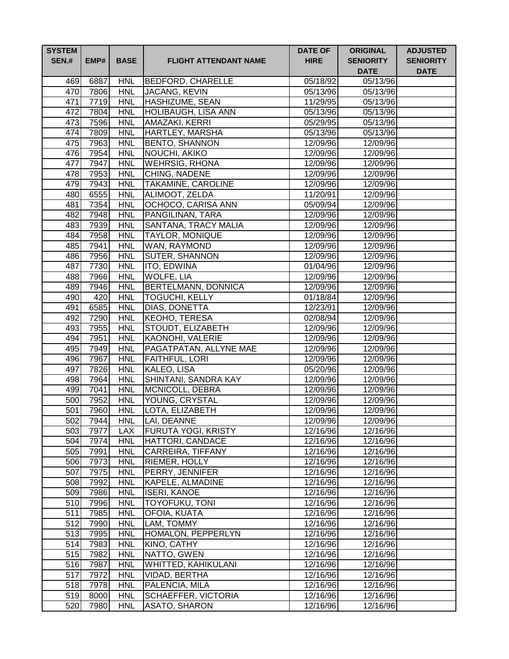| <b>SYSTEM</b><br><b>SEN.#</b> | EMP#         | <b>BASE</b>              | <b>FLIGHT ATTENDANT NAME</b>          | <b>DATE OF</b><br><b>HIRE</b> | <b>ORIGINAL</b><br><b>SENIORITY</b><br><b>DATE</b> | <b>ADJUSTED</b><br><b>SENIORITY</b><br><b>DATE</b> |
|-------------------------------|--------------|--------------------------|---------------------------------------|-------------------------------|----------------------------------------------------|----------------------------------------------------|
| 469                           | 6887         | <b>HNL</b>               | <b>BEDFORD, CHARELLE</b>              | $\overline{05/18/92}$         | 05/13/96                                           |                                                    |
| 470                           | 7806         | <b>HNL</b>               | JACANG, KEVIN                         | 05/13/96                      | 05/13/96                                           |                                                    |
| 471                           | 7719         | <b>HNL</b>               | <b>HASHIZUME, SEAN</b>                | 11/29/95                      | 05/13/96                                           |                                                    |
| 472                           | 7804         | <b>HNL</b>               | <b>HOLIBAUGH, LISA ANN</b>            | 05/13/96                      | 05/13/96                                           |                                                    |
| 473                           | 7596         | <b>HNL</b>               | AMAZAKI, KERRI                        | 05/29/95                      | 05/13/96                                           |                                                    |
| 474                           | 7809         | <b>HNL</b>               | HARTLEY, MARSHA                       | 05/13/96                      | 05/13/96                                           |                                                    |
| 475                           | 7963         | <b>HNL</b>               | <b>BENTO, SHANNON</b>                 | 12/09/96                      | 12/09/96                                           |                                                    |
| 476                           | 7954         | <b>HNL</b>               | NOUCHI, AKIKO                         | 12/09/96                      | 12/09/96                                           |                                                    |
| 477                           | 7947         | <b>HNL</b>               | <b>WEHRSIG, RHONA</b>                 | 12/09/96                      | 12/09/96                                           |                                                    |
| 478                           | 7953         | <b>HNL</b>               | <b>CHING, NADENE</b>                  | 12/09/96                      | 12/09/96                                           |                                                    |
| 479                           | 7943         | <b>HNL</b>               | <b>TAKAMINE, CAROLINE</b>             | 12/09/96                      | 12/09/96                                           |                                                    |
| 480                           | 6555         | <b>HNL</b>               | ALIMOOT, ZELDA                        | 11/20/91                      | 12/09/96                                           |                                                    |
| 481                           | 7354         | <b>HNL</b>               | OCHOCO, CARISA ANN                    | 05/09/94                      | 12/09/96                                           |                                                    |
| 482                           | 7948         | <b>HNL</b>               | PANGILINAN, TARA                      | 12/09/96                      | 12/09/96                                           |                                                    |
| 483                           | 7939         | <b>HNL</b>               | SANTANA, TRACY MALIA                  | 12/09/96                      | 12/09/96                                           |                                                    |
| 484                           | 7958         | <b>HNL</b>               | <b>TAYLOR, MONIQUE</b>                | 12/09/96                      | 12/09/96                                           |                                                    |
| 485                           | 7941         | <b>HNL</b>               | WAN, RAYMOND                          | 12/09/96                      | 12/09/96                                           |                                                    |
| 486                           | 7956         | <b>HNL</b>               | <b>SUTER, SHANNON</b>                 | 12/09/96                      | 12/09/96                                           |                                                    |
| 487                           | 7730         | <b>HNL</b>               | ITO, EDWINA                           | 01/04/96                      | 12/09/96                                           |                                                    |
| 488                           | 7966         | <b>HNL</b>               | <b>WOLFE, LIA</b>                     | 12/09/96                      | 12/09/96                                           |                                                    |
| 489                           | 7946         | <b>HNL</b>               | BERTELMANN, DONNICA                   | 12/09/96                      | 12/09/96                                           |                                                    |
| 490                           | 420          | <b>HNL</b>               | <b>TOGUCHI, KELLY</b>                 | 01/18/84                      | 12/09/96                                           |                                                    |
| 491                           | 6585         | <b>HNL</b>               | DIAS, DONETTA                         | 12/23/91                      | 12/09/96                                           |                                                    |
| 492                           | 7290         | <b>HNL</b><br><b>HNL</b> | <b>KEOHO, TERESA</b>                  | 02/08/94                      | 12/09/96                                           |                                                    |
| 493<br>494                    | 7955<br>7951 | <b>HNL</b>               | STOUDT, ELIZABETH<br>KAONOHI, VALERIE | 12/09/96<br>12/09/96          | 12/09/96<br>12/09/96                               |                                                    |
| 495                           | 7949         | <b>HNL</b>               | PAGATPATAN, ALLYNE MAE                | 12/09/96                      | 12/09/96                                           |                                                    |
| 496                           | 7967         | <b>HNL</b>               | FAITHFUL, LORI                        | 12/09/96                      | 12/09/96                                           |                                                    |
| 497                           | 7826         | <b>HNL</b>               | KALEO, LISA                           | 05/20/96                      | 12/09/96                                           |                                                    |
| 498                           | 7964         | <b>HNL</b>               | SHINTANI, SANDRA KAY                  | 12/09/96                      | 12/09/96                                           |                                                    |
| 499                           | 7041         | <b>HNL</b>               | MCNICOLL, DEBRA                       | 12/09/96                      | 12/09/96                                           |                                                    |
| 500                           | 7952         | <b>HNL</b>               | YOUNG, CRYSTAL                        | 12/09/96                      | 12/09/96                                           |                                                    |
| 501                           | 7960         | <b>HNL</b>               | LOTA, ELIZABETH                       | 12/09/96                      | 12/09/96                                           |                                                    |
| 502                           | 7944         | <b>HNL</b>               | LAI, DEANNE                           | 12/09/96                      | 12/09/96                                           |                                                    |
| 503                           | 7977         | <b>LAX</b>               | <b>FURUTA YOGI, KRISTY</b>            | 12/16/96                      | 12/16/96                                           |                                                    |
| 504                           | 7974         | <b>HNL</b>               | <b>HATTORI, CANDACE</b>               | 12/16/96                      | 12/16/96                                           |                                                    |
| 505                           | 7991         | <b>HNL</b>               | <b>CARREIRA, TIFFANY</b>              | 12/16/96                      | 12/16/96                                           |                                                    |
| 506                           | 7973         | <b>HNL</b>               | RIEMER, HOLLY                         | 12/16/96                      | 12/16/96                                           |                                                    |
| 507                           | 7975         | <b>HNL</b>               | PERRY, JENNIFER                       | 12/16/96                      | 12/16/96                                           |                                                    |
| 508                           | 7992         | <b>HNL</b>               | KAPELE, ALMADINE                      | 12/16/96                      | 12/16/96                                           |                                                    |
| 509                           | 7986         | <b>HNL</b>               | <b>ISERI, KANOE</b>                   | 12/16/96                      | 12/16/96                                           |                                                    |
| 510                           | 7996         | <b>HNL</b>               | <b>TOYOFUKU, TONI</b>                 | 12/16/96                      | 12/16/96                                           |                                                    |
| 511                           | 7985         | <b>HNL</b>               | <b>OFOIA, KUATA</b>                   | 12/16/96                      | 12/16/96                                           |                                                    |
| 512                           | 7990         | <b>HNL</b>               | LAM, TOMMY                            | 12/16/96                      | 12/16/96                                           |                                                    |
| 513                           | 7995         | <b>HNL</b>               | HOMALON, PEPPERLYN                    | 12/16/96                      | 12/16/96                                           |                                                    |
| 514                           | 7983         | <b>HNL</b>               | KINO, CATHY                           | 12/16/96                      | 12/16/96                                           |                                                    |
| 515                           | 7982         | <b>HNL</b>               | NATTO, GWEN                           | 12/16/96                      | 12/16/96                                           |                                                    |
| 516                           | 7987         | <b>HNL</b>               | WHITTED, KAHIKULANI                   | 12/16/96                      | 12/16/96                                           |                                                    |
| 517                           | 7972         | <b>HNL</b>               | VIDAD, BERTHA                         | 12/16/96                      | 12/16/96                                           |                                                    |
| 518                           | 7978         | <b>HNL</b>               | PALENCIA, MILA                        | 12/16/96                      | 12/16/96                                           |                                                    |
| 519                           | 8000         | <b>HNL</b>               | SCHAEFFER, VICTORIA                   | 12/16/96                      | 12/16/96                                           |                                                    |
| 520                           | 7980         | <b>HNL</b>               | ASATO, SHARON                         | 12/16/96                      | 12/16/96                                           |                                                    |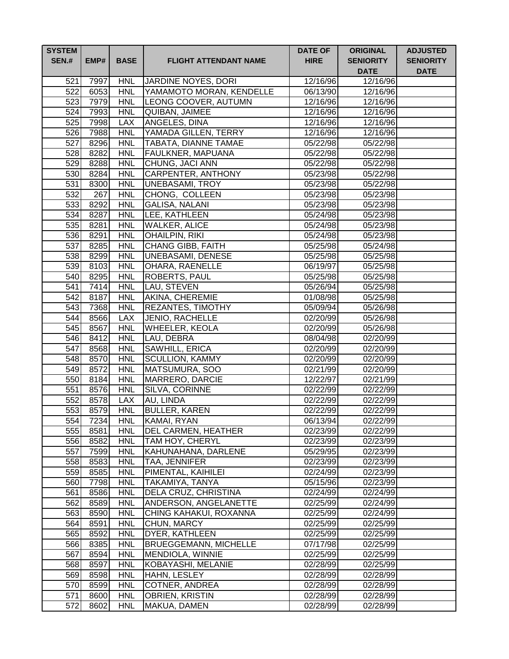| <b>SYSTEM</b><br><b>SEN.#</b> | EMP#         | <b>BASE</b>              | <b>FLIGHT ATTENDANT NAME</b>        | <b>DATE OF</b><br><b>HIRE</b> | <b>ORIGINAL</b><br><b>SENIORITY</b><br><b>DATE</b> | <b>ADJUSTED</b><br><b>SENIORITY</b><br><b>DATE</b> |
|-------------------------------|--------------|--------------------------|-------------------------------------|-------------------------------|----------------------------------------------------|----------------------------------------------------|
| 521                           | 7997         | <b>HNL</b>               | JARDINE NOYES, DORI                 | 12/16/96                      | 12/16/96                                           |                                                    |
| 522                           | 6053         | <b>HNL</b>               | YAMAMOTO MORAN, KENDELLE            | 06/13/90                      | 12/16/96                                           |                                                    |
| 523                           | 7979         | <b>HNL</b>               | LEONG COOVER, AUTUMN                | 12/16/96                      | 12/16/96                                           |                                                    |
| 524                           | 7993         | <b>HNL</b>               | QUIBAN, JAIMEE                      | 12/16/96                      | 12/16/96                                           |                                                    |
| 525                           | 7998         | <b>LAX</b>               | ANGELES, DINA                       | 12/16/96                      | 12/16/96                                           |                                                    |
| 526                           | 7988         | <b>HNL</b>               | YAMADA GILLEN, TERRY                | 12/16/96                      | 12/16/96                                           |                                                    |
| 527                           | 8296         | <b>HNL</b>               | TABATA, DIANNE TAMAE                | 05/22/98                      | 05/22/98                                           |                                                    |
| 528                           | 8282         | <b>HNL</b>               | FAULKNER, MAPUANA                   | 05/22/98                      | 05/22/98                                           |                                                    |
| 529                           | 8288         | <b>HNL</b>               | CHUNG, JACI ANN                     | 05/22/98                      | 05/22/98                                           |                                                    |
| 530                           | 8284         | <b>HNL</b>               | <b>CARPENTER, ANTHONY</b>           | 05/23/98                      | 05/22/98                                           |                                                    |
| 531                           | 8300         | <b>HNL</b>               | <b>UNEBASAMI, TROY</b>              | 05/23/98                      | 05/22/98                                           |                                                    |
| 532                           | 267          | <b>HNL</b>               | CHONG, COLLEEN                      | 05/23/98                      | 05/23/98                                           |                                                    |
| 533                           | 8292         | <b>HNL</b>               | <b>GALISA, NALANI</b>               | 05/23/98                      | 05/23/98                                           |                                                    |
| 534                           | 8287         | <b>HNL</b>               | LEE, KATHLEEN                       | 05/24/98                      | 05/23/98                                           |                                                    |
| 535                           | 8281         | <b>HNL</b>               | <b>WALKER, ALICE</b>                | 05/24/98                      | 05/23/98                                           |                                                    |
| 536                           | 8291         | <b>HNL</b>               | OHAILPIN, RIKI                      | 05/24/98                      | 05/23/98                                           |                                                    |
| 537                           | 8285         | <b>HNL</b>               | CHANG GIBB, FAITH                   | 05/25/98                      | 05/24/98                                           |                                                    |
| 538                           | 8299         | <b>HNL</b>               | <b>UNEBASAMI, DENESE</b>            | 05/25/98                      | 05/25/98                                           |                                                    |
| 539                           | 8103         | <b>HNL</b>               | OHARA, RAENELLE                     | 06/19/97                      | 05/25/98                                           |                                                    |
| 540                           | 8295         | <b>HNL</b>               | <b>ROBERTS, PAUL</b>                | 05/25/98                      | 05/25/98                                           |                                                    |
| 541                           | 7414         | <b>HNL</b>               | LAU, STEVEN                         | 05/26/94                      | 05/25/98                                           |                                                    |
| 542                           | 8187         | <b>HNL</b>               | AKINA, CHEREMIE                     | 01/08/98                      | 05/25/98                                           |                                                    |
| 543                           | 7368         | <b>HNL</b>               | <b>REZANTES, TIMOTHY</b>            | 05/09/94                      | 05/26/98                                           |                                                    |
| 544<br>545                    | 8566         | <b>LAX</b><br><b>HNL</b> | <b>JENIO, RACHELLE</b>              | 02/20/99                      | 05/26/98                                           |                                                    |
| 546                           | 8567<br>8412 | <b>HNL</b>               | <b>WHEELER, KEOLA</b><br>LAU, DEBRA | 02/20/99<br>08/04/98          | 05/26/98<br>02/20/99                               |                                                    |
| 547                           | 8568         | <b>HNL</b>               | SAWHILL, ERICA                      | 02/20/99                      | 02/20/99                                           |                                                    |
| 548                           | 8570         | <b>HNL</b>               | <b>SCULLION, KAMMY</b>              | 02/20/99                      | 02/20/99                                           |                                                    |
| 549                           | 8572         | <b>HNL</b>               | MATSUMURA, SOO                      | 02/21/99                      | 02/20/99                                           |                                                    |
| 550                           | 8184         | <b>HNL</b>               | MARRERO, DARCIE                     | 12/22/97                      | 02/21/99                                           |                                                    |
| 551                           | 8576         | <b>HNL</b>               | SILVA, CORINNE                      | 02/22/99                      | 02/22/99                                           |                                                    |
| 552                           | 8578         | <b>LAX</b>               | AU, LINDA                           | 02/22/99                      | 02/22/99                                           |                                                    |
| 553                           | 8579         | <b>HNL</b>               | <b>BULLER, KAREN</b>                | 02/22/99                      | 02/22/99                                           |                                                    |
| 554                           | 7234         | <b>HNL</b>               | KAMAI, RYAN                         | 06/13/94                      | 02/22/99                                           |                                                    |
| 555                           | 8581         | <b>HNL</b>               | <b>DEL CARMEN, HEATHER</b>          | 02/23/99                      | 02/22/99                                           |                                                    |
| 556                           | 8582         | <b>HNL</b>               | <b>TAM HOY, CHERYL</b>              | 02/23/99                      | 02/23/99                                           |                                                    |
| 557                           | 7599         | <b>HNL</b>               | KAHUNAHANA, DARLENE                 | 05/29/95                      | 02/23/99                                           |                                                    |
| 558                           | 8583         | <b>HNL</b>               | TAA, JENNIFER                       | 02/23/99                      | 02/23/99                                           |                                                    |
| 559                           | 8585         | <b>HNL</b>               | PIMENTAL, KAIHILEI                  | 02/24/99                      | 02/23/99                                           |                                                    |
| 560                           | 7798         | <b>HNL</b>               | TAKAMIYA, TANYA                     | 05/15/96                      | 02/23/99                                           |                                                    |
| 561                           | 8586         | <b>HNL</b>               | DELA CRUZ, CHRISTINA                | 02/24/99                      | 02/24/99                                           |                                                    |
| 562                           | 8589         | <b>HNL</b>               | ANDERSON, ANGELANETTE               | 02/25/99                      | 02/24/99                                           |                                                    |
| 563                           | 8590         | <b>HNL</b>               | CHING KAHAKUI, ROXANNA              | 02/25/99                      | 02/24/99                                           |                                                    |
| 564                           | 8591         | <b>HNL</b>               | CHUN, MARCY                         | 02/25/99                      | 02/25/99                                           |                                                    |
| 565                           | 8592         | <b>HNL</b>               | DYER, KATHLEEN                      | 02/25/99                      | 02/25/99                                           |                                                    |
| 566                           | 8385         | <b>HNL</b>               | <b>BRUEGGEMANN, MICHELLE</b>        | 07/17/98                      | 02/25/99                                           |                                                    |
| 567                           | 8594         | <b>HNL</b>               | MENDIOLA, WINNIE                    | 02/25/99                      | 02/25/99                                           |                                                    |
| 568                           | 8597         | <b>HNL</b>               | KOBAYASHI, MELANIE                  | 02/28/99                      | 02/25/99                                           |                                                    |
| 569                           | 8598         | <b>HNL</b>               | HAHN, LESLEY                        | 02/28/99                      | 02/28/99                                           |                                                    |
| 570                           | 8599         | <b>HNL</b>               | COTNER, ANDREA                      | 02/28/99                      | 02/28/99                                           |                                                    |
| 571                           | 8600         | <b>HNL</b>               | OBRIEN, KRISTIN                     | 02/28/99                      | 02/28/99                                           |                                                    |
| 572                           | 8602         | <b>HNL</b>               | MAKUA, DAMEN                        | 02/28/99                      | 02/28/99                                           |                                                    |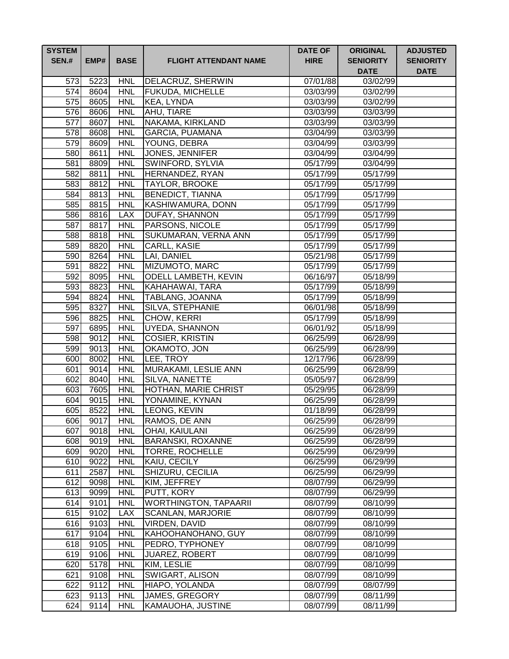| <b>SYSTEM</b><br><b>SEN.#</b> | EMP#         | <b>BASE</b>              | <b>FLIGHT ATTENDANT NAME</b>     | <b>DATE OF</b><br><b>HIRE</b> | <b>ORIGINAL</b><br><b>SENIORITY</b><br><b>DATE</b> | <b>ADJUSTED</b><br><b>SENIORITY</b><br><b>DATE</b> |
|-------------------------------|--------------|--------------------------|----------------------------------|-------------------------------|----------------------------------------------------|----------------------------------------------------|
| 573                           | 5223         | <b>HNL</b>               | DELACRUZ, SHERWIN                | 07/01/88                      | 03/02/99                                           |                                                    |
| 574                           | 8604         | <b>HNL</b>               | <b>FUKUDA, MICHELLE</b>          | 03/03/99                      | 03/02/99                                           |                                                    |
| 575                           | 8605         | <b>HNL</b>               | KEA, LYNDA                       | 03/03/99                      | 03/02/99                                           |                                                    |
| 576                           | 8606         | <b>HNL</b>               | AHU, TIARE                       | 03/03/99                      | 03/03/99                                           |                                                    |
| 577                           | 8607         | <b>HNL</b>               | NAKAMA, KIRKLAND                 | 03/03/99                      | 03/03/99                                           |                                                    |
| 578                           | 8608         | <b>HNL</b>               | <b>GARCIA, PUAMANA</b>           | 03/04/99                      | 03/03/99                                           |                                                    |
| 579                           | 8609         | <b>HNL</b>               | YOUNG, DEBRA                     | 03/04/99                      | 03/03/99                                           |                                                    |
| 580                           | 8611         | <b>HNL</b>               | <b>JONES, JENNIFER</b>           | 03/04/99                      | 03/04/99                                           |                                                    |
| 581                           | 8809         | <b>HNL</b>               | SWINFORD, SYLVIA                 | 05/17/99                      | 03/04/99                                           |                                                    |
| 582                           | 8811         | <b>HNL</b>               | HERNANDEZ, RYAN                  | 05/17/99                      | 05/17/99                                           |                                                    |
| 583                           | 8812         | <b>HNL</b>               | <b>TAYLOR, BROOKE</b>            | 05/17/99                      | 05/17/99                                           |                                                    |
| 584                           | 8813         | <b>HNL</b>               | <b>BENEDICT, TIANNA</b>          | 05/17/99                      | 05/17/99                                           |                                                    |
| 585                           | 8815         | <b>HNL</b>               | KASHIWAMURA, DONN                | 05/17/99                      | 05/17/99                                           |                                                    |
| 586                           | 8816         | <b>LAX</b>               | DUFAY, SHANNON                   | 05/17/99                      | 05/17/99                                           |                                                    |
| 587                           | 8817         | <b>HNL</b>               | PARSONS, NICOLE                  | 05/17/99                      | 05/17/99                                           |                                                    |
| 588                           | 8818         | <b>HNL</b>               | SUKUMARAN, VERNA ANN             | 05/17/99                      | 05/17/99                                           |                                                    |
| 589                           | 8820         | <b>HNL</b>               | <b>CARLL, KASIE</b>              | 05/17/99                      | 05/17/99                                           |                                                    |
| 590                           | 8264         | <b>HNL</b>               | LAI, DANIEL                      | 05/21/98                      | 05/17/99                                           |                                                    |
| 591                           | 8822         | <b>HNL</b>               | MIZUMOTO, MARC                   | 05/17/99                      | 05/17/99                                           |                                                    |
| 592                           | 8095         | <b>HNL</b>               | <b>ODELL LAMBETH, KEVIN</b>      | 06/16/97                      | 05/18/99                                           |                                                    |
| 593                           | 8823         | <b>HNL</b>               | KAHAHAWAI, TARA                  | 05/17/99                      | 05/18/99                                           |                                                    |
| 594                           | 8824         | <b>HNL</b>               | <b>TABLANG, JOANNA</b>           | 05/17/99                      | 05/18/99                                           |                                                    |
| 595                           | 8327         | <b>HNL</b>               | SILVA, STEPHANIE                 | 06/01/98                      | 05/18/99                                           |                                                    |
| 596                           | 8825         | <b>HNL</b>               | CHOW, KERRI                      | 05/17/99                      | 05/18/99                                           |                                                    |
| 597                           | 6895         | <b>HNL</b>               | UYEDA, SHANNON                   | 06/01/92                      | 05/18/99                                           |                                                    |
| 598                           | 9012         | <b>HNL</b>               | <b>COSIER, KRISTIN</b>           | 06/25/99                      | 06/28/99                                           |                                                    |
| 599                           | 9013         | <b>HNL</b>               | OKAMOTO, JON                     | 06/25/99                      | 06/28/99                                           |                                                    |
| 600                           | 8002         | <b>HNL</b>               | LEE, TROY                        | 12/17/96                      | 06/28/99                                           |                                                    |
| 601                           | 9014         | <b>HNL</b>               | MURAKAMI, LESLIE ANN             | 06/25/99                      | 06/28/99                                           |                                                    |
| 602                           | 8040         | <b>HNL</b>               | SILVA, NANETTE                   | 05/05/97                      | 06/28/99                                           |                                                    |
| 603                           | 7605         | <b>HNL</b>               | <b>HOTHAN, MARIE CHRIST</b>      | 05/29/95                      | 06/28/99                                           |                                                    |
| 604                           | 9015         | <b>HNL</b>               | YONAMINE, KYNAN                  | 06/25/99                      | 06/28/99                                           |                                                    |
| 605                           | 8522         | <b>HNL</b>               | LEONG, KEVIN                     | 01/18/99                      | 06/28/99                                           |                                                    |
| 606                           | 9017         | <b>HNL</b>               | RAMOS, DE ANN                    | 06/25/99                      | 06/28/99                                           |                                                    |
| 607                           | 9018         | <b>HNL</b>               | OHAI, KAIULANI                   | 06/25/99                      | 06/28/99                                           |                                                    |
| 608                           | 9019         | <b>HNL</b>               | <b>BARANSKI, ROXANNE</b>         | 06/25/99                      | 06/28/99                                           |                                                    |
| 609<br>610                    | 9020         | <b>HNL</b>               | <b>TORRE, ROCHELLE</b>           | 06/25/99                      | 06/29/99                                           |                                                    |
| 611                           | 9022<br>2587 | <b>HNL</b><br><b>HNL</b> | KAIU, CECILY<br>SHIZURU, CECILIA | 06/25/99<br>06/25/99          | 06/29/99<br>06/29/99                               |                                                    |
| 612                           | 9098         | <b>HNL</b>               | KIM, JEFFREY                     | 08/07/99                      | 06/29/99                                           |                                                    |
| 613                           | 9099         | <b>HNL</b>               | PUTT, KORY                       | 08/07/99                      | 06/29/99                                           |                                                    |
| 614                           | 9101         | <b>HNL</b>               | <b>WORTHINGTON, TAPAARII</b>     | 08/07/99                      | 08/10/99                                           |                                                    |
| 615                           | 9102         | <b>LAX</b>               | <b>SCANLAN, MARJORIE</b>         | 08/07/99                      | 08/10/99                                           |                                                    |
| 616                           | 9103         | <b>HNL</b>               | VIRDEN, DAVID                    | 08/07/99                      | 08/10/99                                           |                                                    |
| 617                           | 9104         | <b>HNL</b>               | KAHOOHANOHANO, GUY               | 08/07/99                      | 08/10/99                                           |                                                    |
| 618                           | 9105         | <b>HNL</b>               | PEDRO, TYPHONEY                  | 08/07/99                      | 08/10/99                                           |                                                    |
| 619                           | 9106         | <b>HNL</b>               | <b>JUAREZ, ROBERT</b>            | 08/07/99                      | 08/10/99                                           |                                                    |
| 620                           | 5178         | <b>HNL</b>               | KIM, LESLIE                      | 08/07/99                      | 08/10/99                                           |                                                    |
| 621                           | 9108         | <b>HNL</b>               | SWIGART, ALISON                  | 08/07/99                      | 08/10/99                                           |                                                    |
| 622                           | 9112         | <b>HNL</b>               | HIAPO, YOLANDA                   | 08/07/99                      | 08/07/99                                           |                                                    |
| 623                           | 9113         | <b>HNL</b>               | JAMES, GREGORY                   | 08/07/99                      | 08/11/99                                           |                                                    |
| 624                           | 9114         | <b>HNL</b>               | KAMAUOHA, JUSTINE                | 08/07/99                      | 08/11/99                                           |                                                    |
|                               |              |                          |                                  |                               |                                                    |                                                    |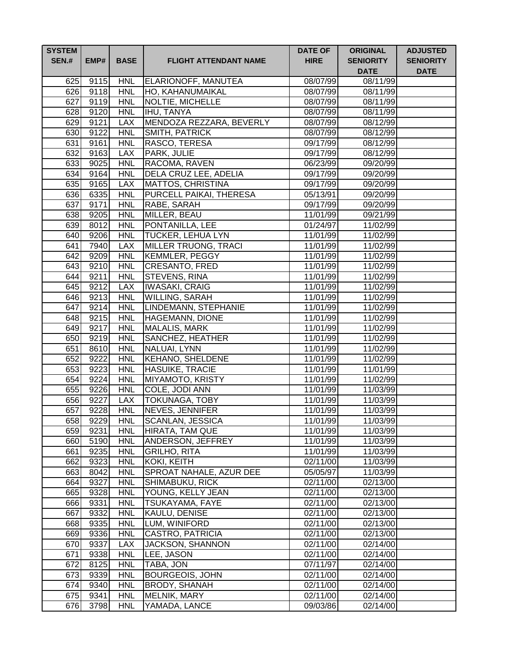| <b>SYSTEM</b><br><b>SEN.#</b> | EMP#         | <b>BASE</b>              | <b>FLIGHT ATTENDANT NAME</b>             | <b>DATE OF</b><br><b>HIRE</b> | <b>ORIGINAL</b><br><b>SENIORITY</b><br><b>DATE</b> | <b>ADJUSTED</b><br><b>SENIORITY</b><br><b>DATE</b> |
|-------------------------------|--------------|--------------------------|------------------------------------------|-------------------------------|----------------------------------------------------|----------------------------------------------------|
| 625                           | 9115         | <b>HNL</b>               | <b>ELARIONOFF, MANUTEA</b>               | 08/07/99                      | 08/11/99                                           |                                                    |
|                               | 626 9118     | <b>HNL</b>               | HO, KAHANUMAIKAL                         | 08/07/99                      | 08/11/99                                           |                                                    |
| 627                           | 9119         | <b>HNL</b>               | NOLTIE, MICHELLE                         | 08/07/99                      | 08/11/99                                           |                                                    |
| 628                           | 9120         | <b>HNL</b>               | <b>IHU, TANYA</b>                        | 08/07/99                      | 08/11/99                                           |                                                    |
| 629                           | 9121         | <b>LAX</b>               | MENDOZA REZZARA, BEVERLY                 | 08/07/99                      | 08/12/99                                           |                                                    |
| 630                           | 9122         | <b>HNL</b>               | SMITH, PATRICK                           | 08/07/99                      | 08/12/99                                           |                                                    |
| 631                           | 9161         | <b>HNL</b>               | RASCO, TERESA                            | 09/17/99                      | 08/12/99                                           |                                                    |
| 632                           | 9163         | <b>LAX</b>               | PARK, JULIE                              | 09/17/99                      | 08/12/99                                           |                                                    |
| 633                           | 9025         | <b>HNL</b>               | RACOMA, RAVEN                            | 06/23/99                      | 09/20/99                                           |                                                    |
| 634                           | 9164         | <b>HNL</b>               | DELA CRUZ LEE, ADELIA                    | 09/17/99                      | 09/20/99                                           |                                                    |
| 635                           | 9165         | <b>LAX</b>               | <b>MATTOS, CHRISTINA</b>                 | 09/17/99                      | 09/20/99                                           |                                                    |
| 636                           | 6335         | <b>HNL</b>               | PURCELL PAIKAI, THERESA                  | 05/13/91                      | 09/20/99                                           |                                                    |
| 637                           | 9171         | <b>HNL</b>               | RABE, SARAH                              | 09/17/99                      | 09/20/99                                           |                                                    |
| 638                           | 9205         | <b>HNL</b>               | MILLER, BEAU                             | 11/01/99                      | 09/21/99                                           |                                                    |
| 639                           | 8012         | <b>HNL</b>               | PONTANILLA, LEE                          | 01/24/97                      | 11/02/99                                           |                                                    |
| 640                           | 9206         | <b>HNL</b>               | <b>TUCKER, LEHUA LYN</b>                 | 11/01/99                      | 11/02/99                                           |                                                    |
| 641                           | 7940         | <b>LAX</b>               | <b>MILLER TRUONG, TRACI</b>              | 11/01/99                      | 11/02/99                                           |                                                    |
| 642                           | 9209         | <b>HNL</b>               | <b>KEMMLER, PEGGY</b>                    | 11/01/99                      | 11/02/99                                           |                                                    |
| 643                           | 9210         | <b>HNL</b>               | <b>CRESANTO, FRED</b>                    | 11/01/99                      | 11/02/99                                           |                                                    |
| 644                           | 9211         | <b>HNL</b>               | <b>STEVENS, RINA</b>                     | 11/01/99                      | 11/02/99                                           |                                                    |
|                               | 645 9212     | <b>LAX</b>               | <b>IWASAKI, CRAIG</b>                    | 11/01/99                      | 11/02/99                                           |                                                    |
|                               | 646 9213     | <b>HNL</b>               | WILLING, SARAH                           | 11/01/99                      | 11/02/99                                           |                                                    |
| 647                           | 9214         | <b>HNL</b>               | LINDEMANN, STEPHANIE                     | 11/01/99                      | 11/02/99                                           |                                                    |
| 648                           | 9215         | <b>HNL</b><br><b>HNL</b> | <b>HAGEMANN, DIONE</b>                   | 11/01/99                      | 11/02/99                                           |                                                    |
| 649<br>650                    | 9217<br>9219 | <b>HNL</b>               | <b>MALALIS, MARK</b><br>SANCHEZ, HEATHER | 11/01/99<br>11/01/99          | 11/02/99<br>$\overline{11}/02/99$                  |                                                    |
| 651                           | 8610         | <b>HNL</b>               | NALUAI, LYNN                             | 11/01/99                      | 11/02/99                                           |                                                    |
| 652                           | 9222         | <b>HNL</b>               | <b>KEHANO, SHELDENE</b>                  | 11/01/99                      | 11/02/99                                           |                                                    |
| 653                           | 9223         | <b>HNL</b>               | <b>HASUIKE, TRACIE</b>                   | 11/01/99                      | 11/01/99                                           |                                                    |
| 654                           | 9224         | <b>HNL</b>               | MIYAMOTO, KRISTY                         | 11/01/99                      | 11/02/99                                           |                                                    |
| 655                           | 9226         | <b>HNL</b>               | COLE, JODI ANN                           | 11/01/99                      | 11/03/99                                           |                                                    |
| 656                           | 9227         | <b>LAX</b>               | <b>TOKUNAGA, TOBY</b>                    | 11/01/99                      | 11/03/99                                           |                                                    |
| 657                           | 9228         | <b>HNL</b>               | <b>NEVES, JENNIFER</b>                   | 11/01/99                      | 11/03/99                                           |                                                    |
| 658                           | 9229         | <b>HNL</b>               | <b>SCANLAN, JESSICA</b>                  | 11/01/99                      | 11/03/99                                           |                                                    |
| 659                           | 9231         | <b>HNL</b>               | HIRATA, TAM QUE                          | 11/01/99                      | 11/03/99                                           |                                                    |
| 660                           | 5190         | <b>HNL</b>               | ANDERSON, JEFFREY                        | 11/01/99                      | 11/03/99                                           |                                                    |
| 661                           | 9235         | <b>HNL</b>               | <b>GRILHO, RITA</b>                      | 11/01/99                      | 11/03/99                                           |                                                    |
| 662                           | 9323         | <b>HNL</b>               | <b>KOKI, KEITH</b>                       | 02/11/00                      | 11/03/99                                           |                                                    |
| 663                           | 8042         | <b>HNL</b>               | SPROAT NAHALE, AZUR DEE                  | 05/05/97                      | 11/03/99                                           |                                                    |
| 664                           | 9327         | <b>HNL</b>               | SHIMABUKU, RICK                          | 02/11/00                      | 02/13/00                                           |                                                    |
| 665                           | 9328         | <b>HNL</b>               | YOUNG, KELLY JEAN                        | 02/11/00                      | 02/13/00                                           |                                                    |
| 666                           | 9331         | <b>HNL</b>               | <b>TSUKAYAMA, FAYE</b>                   | 02/11/00                      | 02/13/00                                           |                                                    |
| 667                           | 9332         | <b>HNL</b>               | KAULU, DENISE                            | 02/11/00                      | 02/13/00                                           |                                                    |
| 668                           | 9335         | <b>HNL</b>               | LUM, WINIFORD                            | 02/11/00                      | 02/13/00                                           |                                                    |
| 669                           | 9336         | <b>HNL</b>               | <b>CASTRO, PATRICIA</b>                  | 02/11/00                      | 02/13/00                                           |                                                    |
| 670                           | 9337         | <b>LAX</b>               | <b>JACKSON, SHANNON</b>                  | 02/11/00                      | 02/14/00                                           |                                                    |
| 671                           | 9338         | <b>HNL</b>               | LEE, JASON                               | 02/11/00                      | 02/14/00                                           |                                                    |
| 672                           | 8125         | <b>HNL</b>               | TABA, JON                                | 07/11/97                      | 02/14/00                                           |                                                    |
| 673                           | 9339         | <b>HNL</b>               | <b>BOURGEOIS, JOHN</b>                   | 02/11/00                      | 02/14/00                                           |                                                    |
| 674                           | 9340         | <b>HNL</b>               | <b>BRODY, SHANAH</b>                     | 02/11/00                      | 02/14/00                                           |                                                    |
| 675                           | 9341         | <b>HNL</b>               | MELNIK, MARY                             | 02/11/00                      | 02/14/00                                           |                                                    |
| 676                           | 3798         | <b>HNL</b>               | YAMADA, LANCE                            | 09/03/86                      | 02/14/00                                           |                                                    |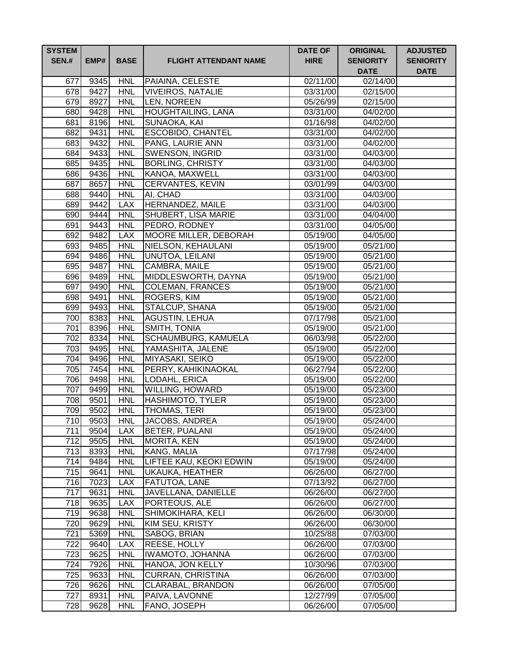| <b>SYSTEM</b><br><b>SEN.#</b> | EMP#         | <b>BASE</b>              | <b>FLIGHT ATTENDANT NAME</b>          | <b>DATE OF</b><br><b>HIRE</b> | <b>ORIGINAL</b><br><b>SENIORITY</b><br><b>DATE</b> | <b>ADJUSTED</b><br><b>SENIORITY</b><br><b>DATE</b> |
|-------------------------------|--------------|--------------------------|---------------------------------------|-------------------------------|----------------------------------------------------|----------------------------------------------------|
| 677                           | 9345         | <b>HNL</b>               | PAIAINA, CELESTE                      | $\overline{02/1}1/00$         | 02/14/00                                           |                                                    |
| 678                           | 9427         | <b>HNL</b>               | <b>VIVEIROS, NATALIE</b>              | 03/31/00                      | 02/15/00                                           |                                                    |
| 679                           | 8927         | <b>HNL</b>               | LEN, NOREEN                           | 05/26/99                      | 02/15/00                                           |                                                    |
| 680                           | 9428         | <b>HNL</b>               | <b>HOUGHTAILING, LANA</b>             | 03/31/00                      | 04/02/00                                           |                                                    |
| 681                           | 8196         | <b>HNL</b>               | SUNAOKA, KAI                          | $\overline{01/1}6/98$         | $\overline{04}/02/00$                              |                                                    |
| 682                           | 9431         | <b>HNL</b>               | <b>ESCOBIDO, CHANTEL</b>              | 03/31/00                      | $\frac{1}{04/02/00}$                               |                                                    |
| 683                           | 9432         | <b>HNL</b>               | PANG, LAURIE ANN                      | 03/31/00                      | 04/02/00                                           |                                                    |
| 684                           | 9433         | <b>HNL</b>               | <b>SWENSON, INGRID</b>                | 03/31/00                      | 04/03/00                                           |                                                    |
| 685                           | 9435         | <b>HNL</b>               | <b>BORLING, CHRISTY</b>               | 03/31/00                      | 04/03/00                                           |                                                    |
| 686                           | 9436         | <b>HNL</b>               | KANOA, MAXWELL                        | 03/31/00                      | 04/03/00                                           |                                                    |
| 687                           | 8657         | <b>HNL</b>               | <b>CERVANTES, KEVIN</b>               | 03/01/99                      | 04/03/00                                           |                                                    |
| 688                           | 9440         | <b>HNL</b>               | AI, CHAD                              | 03/31/00                      | 04/03/00                                           |                                                    |
| 689                           | 9442         | <b>LAX</b>               | HERNANDEZ, MAILE                      | 03/31/00                      | 04/03/00                                           |                                                    |
| 690                           | 9444         | <b>HNL</b>               | SHUBERT, LISA MARIE                   | 03/31/00                      | 04/04/00                                           |                                                    |
| 691                           | 9443         | <b>HNL</b>               | PEDRO, RODNEY                         | 03/31/00                      | 04/05/00                                           |                                                    |
| 692                           | 9482         | <b>LAX</b>               | MOORE MILLER, DEBORAH                 | 05/19/00                      | 04/05/00                                           |                                                    |
| 693                           | 9485         | <b>HNL</b>               | NIELSON, KEHAULANI                    | 05/19/00                      | 05/21/00                                           |                                                    |
| 694                           | 9486         | <b>HNL</b>               | UNUTOA, LEILANI                       | 05/19/00                      | 05/21/00                                           |                                                    |
| 695                           | 9487         | <b>HNL</b>               | CAMBRA, MAILE                         | 05/19/00                      | 05/21/00                                           |                                                    |
| 696                           | 9489         | <b>HNL</b>               | MIDDLESWORTH, DAYNA                   | 05/19/00                      | 05/21/00                                           |                                                    |
| 697                           | 9490         | <b>HNL</b>               | <b>COLEMAN, FRANCES</b>               | 05/19/00                      | 05/21/00                                           |                                                    |
| 698                           | 9491         | <b>HNL</b>               | ROGERS, KIM                           | 05/19/00                      | $\overline{05/21/00}$                              |                                                    |
| 699                           | 9493         | <b>HNL</b>               | STALCUP, SHANA                        | 05/19/00                      | 05/21/00                                           |                                                    |
| 700<br>701                    | 8383<br>8396 | <b>HNL</b><br><b>HNL</b> | <b>AGUSTIN, LEHUA</b><br>SMITH, TONIA | 07/17/98                      | $\overline{05/21/00}$                              |                                                    |
| 702                           | 8334         | <b>HNL</b>               | SCHAUMBURG, KAMUELA                   | 05/19/00<br>06/03/98          | 05/21/00<br>05/22/00                               |                                                    |
| 703                           | 9495         | <b>HNL</b>               | YAMASHITA, JALENE                     | 05/19/00                      | 05/22/00                                           |                                                    |
| 704                           | 9496         | <b>HNL</b>               | MIYASAKI, SEIKO                       | 05/19/00                      | 05/22/00                                           |                                                    |
| 705                           | 7454         | <b>HNL</b>               | PERRY, KAHIKINAOKAL                   | 06/27/94                      | 05/22/00                                           |                                                    |
| 706                           | 9498         | <b>HNL</b>               | LODAHL, ERICA                         | 05/19/00                      | 05/22/00                                           |                                                    |
| 707                           | 9499         | <b>HNL</b>               | WILLING, HOWARD                       | 05/19/00                      | 05/23/00                                           |                                                    |
| 708                           | 9501         | <b>HNL</b>               | HASHIMOTO, TYLER                      | 05/19/00                      | 05/23/00                                           |                                                    |
| 709                           | 9502         | <b>HNL</b>               | THOMAS, TERI                          | 05/19/00                      | 05/23/00                                           |                                                    |
| 710                           | 9503         | <b>HNL</b>               | JACOBS, ANDREA                        | 05/19/00                      | 05/24/00                                           |                                                    |
| 711                           | 9504         | <b>LAX</b>               | BETER, PUALANI                        | 05/19/00                      | 05/24/00                                           |                                                    |
| 712                           | 9505         | <b>HNL</b>               | <b>MORITA, KEN</b>                    | 05/19/00                      | 05/24/00                                           |                                                    |
| 713                           | 8393         | <b>HNL</b>               | KANG, MALIA                           | 07/17/98                      | 05/24/00                                           |                                                    |
| 714                           | 9484         | <b>HNL</b>               | LIFTEE KAU, KEOKI EDWIN               | 05/19/00                      | 05/24/00                                           |                                                    |
| 715                           | 9641         | <b>HNL</b>               | <b>UKAUKA, HEATHER</b>                | 06/26/00                      | 06/27/00                                           |                                                    |
| 716                           | 7023         | <b>LAX</b>               | FATUTOA, LANE                         | 07/13/92                      | 06/27/00                                           |                                                    |
| 717                           | 9631         | <b>HNL</b>               | JAVELLANA, DANIELLE                   | 06/26/00                      | 06/27/00                                           |                                                    |
| 718                           | 9635         | <b>LAX</b>               | PORTEOUS, ALE                         | 06/26/00                      | 06/27/00                                           |                                                    |
| 719                           | 9638         | <b>HNL</b>               | SHIMOKIHARA, KELI                     | 06/26/00                      | 06/30/00                                           |                                                    |
| 720                           | 9629         | <b>HNL</b>               | KIM SEU, KRISTY                       | 06/26/00                      | 06/30/00                                           |                                                    |
| 721                           | 5369         | <b>HNL</b>               | SABOG, BRIAN                          | 10/25/88                      | 07/03/00                                           |                                                    |
| 722                           | 9640         | <b>LAX</b>               | REESE, HOLLY                          | 06/26/00                      | 07/03/00                                           |                                                    |
| 723                           | 9625         | <b>HNL</b>               | <b>IWAMOTO, JOHANNA</b>               | 06/26/00                      | 07/03/00                                           |                                                    |
| 724                           | 7926         | <b>HNL</b>               | HANOA, JON KELLY                      | 10/30/96                      | 07/03/00                                           |                                                    |
| 725                           | 9633         | <b>HNL</b>               | <b>CURRAN, CHRISTINA</b>              | 06/26/00                      | 07/03/00                                           |                                                    |
| 726                           | 9626         | <b>HNL</b>               | CLARABAL, BRANDON                     | 06/26/00                      | 07/05/00                                           |                                                    |
| 727                           | 8931         | <b>HNL</b>               | PAIVA, LAVONNE                        | 12/27/99                      | 07/05/00                                           |                                                    |
| 728                           | 9628         | <b>HNL</b>               | FANO, JOSEPH                          | 06/26/00                      | 07/05/00                                           |                                                    |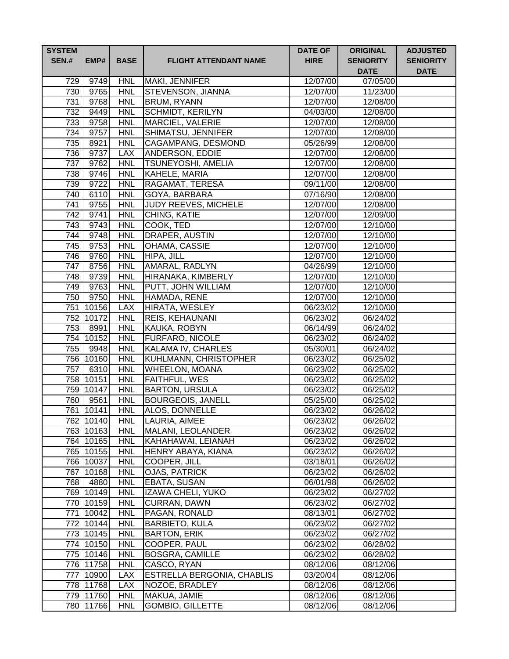| <b>SYSTEM</b><br><b>SEN.#</b> | EMP#              | <b>BASE</b>              | <b>FLIGHT ATTENDANT NAME</b>           | <b>DATE OF</b><br><b>HIRE</b> | <b>ORIGINAL</b><br><b>SENIORITY</b><br><b>DATE</b> | <b>ADJUSTED</b><br><b>SENIORITY</b><br><b>DATE</b> |
|-------------------------------|-------------------|--------------------------|----------------------------------------|-------------------------------|----------------------------------------------------|----------------------------------------------------|
| 729                           | 9749              | <b>HNL</b>               | MAKI, JENNIFER                         | 12/07/00                      | 07/05/00                                           |                                                    |
| 730                           | 9765              | <b>HNL</b>               | <b>STEVENSON, JIANNA</b>               | 12/07/00                      | 11/23/00                                           |                                                    |
| 731                           | 9768              | <b>HNL</b>               | <b>BRUM, RYANN</b>                     | 12/07/00                      | 12/08/00                                           |                                                    |
| 732                           | 9449              | <b>HNL</b>               | <b>SCHMIDT, KERILYN</b>                | 04/03/00                      | 12/08/00                                           |                                                    |
| 733                           | 9758              | <b>HNL</b>               | <b>MARCIEL, VALERIE</b>                | 12/07/00                      | 12/08/00                                           |                                                    |
| 734                           | 9757              | <b>HNL</b>               | SHIMATSU, JENNIFER                     | 12/07/00                      | 12/08/00                                           |                                                    |
| 735                           | 8921              | <b>HNL</b>               | <b>CAGAMPANG, DESMOND</b>              | 05/26/99                      | 12/08/00                                           |                                                    |
| 736                           | 9737              | <b>LAX</b>               | ANDERSON, EDDIE                        | 12/07/00                      | 12/08/00                                           |                                                    |
| 737                           | 9762              | <b>HNL</b>               | <b>TSUNEYOSHI, AMELIA</b>              | 12/07/00                      | 12/08/00                                           |                                                    |
| 738                           | 9746              | <b>HNL</b>               | KAHELE, MARIA                          | 12/07/00                      | 12/08/00                                           |                                                    |
| 739                           | 9722              | <b>HNL</b>               | RAGAMAT, TERESA                        | 09/11/00                      | 12/08/00                                           |                                                    |
| 740                           | 6110              | <b>HNL</b>               | GOYA, BARBARA                          | 07/16/90                      | 12/08/00                                           |                                                    |
| 741                           | 9755              | <b>HNL</b>               | JUDY REEVES, MICHELE                   | 12/07/00                      | 12/08/00                                           |                                                    |
| 742                           | 9741              | <b>HNL</b>               | CHING, KATIE                           | 12/07/00                      | 12/09/00                                           |                                                    |
| 743                           | 9743              | <b>HNL</b>               | COOK, TED                              | 12/07/00                      | $\frac{1}{2}$ /10/00                               |                                                    |
| 744                           | 9748              | <b>HNL</b>               | DRAPER, AUSTIN                         | 12/07/00                      | 12/10/00                                           |                                                    |
| 745                           | 9753              | <b>HNL</b>               | OHAMA, CASSIE                          | 12/07/00                      | $\frac{1}{2}$ /10/00                               |                                                    |
| 746                           | 9760              | <b>HNL</b>               | HIPA, JILL                             | 12/07/00                      | 12/10/00                                           |                                                    |
| 747                           | 8756              | <b>HNL</b>               | AMARAL, RADLYN                         | 04/26/99                      | 12/10/00                                           |                                                    |
| 748                           | 9739              | <b>HNL</b>               | HIRANAKA, KIMBERLY                     | 12/07/00                      | 12/10/00                                           |                                                    |
|                               | 749 9763          | <b>HNL</b>               | PUTT, JOHN WILLIAM                     | 12/07/00                      | 12/10/00                                           |                                                    |
|                               | 750 9750          | <b>HNL</b>               | HAMADA, RENE                           | 12/07/00                      | 12/10/00                                           |                                                    |
|                               | 751 10156         | <b>LAX</b>               | HIRATA, WESLEY                         | 06/23/02                      | 12/10/00                                           |                                                    |
| $\overline{7}$ 53             | 752 10172         | <b>HNL</b>               | REIS, KEHAUNANI                        | 06/23/02                      | 06/24/02                                           |                                                    |
|                               | 8991<br>754 10152 | <b>HNL</b><br><b>HNL</b> | KAUKA, ROBYN<br><b>FURFARO, NICOLE</b> | 06/14/99<br>06/23/02          | 06/24/02<br>06/24/02                               |                                                    |
| 755                           | 9948              | <b>HNL</b>               | KALAMA IV, CHARLES                     | 05/30/01                      | 06/24/02                                           |                                                    |
|                               | 756 10160         | <b>HNL</b>               | KUHLMANN, CHRISTOPHER                  | 06/23/02                      | 06/25/02                                           |                                                    |
| 757                           | 6310              | <b>HNL</b>               | WHEELON, MOANA                         | 06/23/02                      | 06/25/02                                           |                                                    |
|                               | 758 10151         | <b>HNL</b>               | FAITHFUL, WES                          | 06/23/02                      | 06/25/02                                           |                                                    |
|                               | 759 10147         | <b>HNL</b>               | <b>BARTON, URSULA</b>                  | 06/23/02                      | 06/25/02                                           |                                                    |
| 760                           | 9561              | <b>HNL</b>               | <b>BOURGEOIS, JANELL</b>               | 05/25/00                      | 06/25/02                                           |                                                    |
|                               | 761 10141         | <b>HNL</b>               | ALOS, DONNELLE                         | 06/23/02                      | 06/26/02                                           |                                                    |
|                               | 762 10140         | <b>HNL</b>               | LAURIA, AIMEE                          | 06/23/02                      | 06/26/02                                           |                                                    |
|                               | 763 10163         | <b>HNL</b>               | MALANI, LEOLANDER                      | 06/23/02                      | 06/26/02                                           |                                                    |
|                               | 764 10165         | <b>HNL</b>               | KAHAHAWAI, LEIANAH                     | 06/23/02                      | 06/26/02                                           |                                                    |
|                               | 765 10155         | <b>HNL</b>               | HENRY ABAYA, KIANA                     | 06/23/02                      | 06/26/02                                           |                                                    |
|                               | 766 10037         | <b>HNL</b>               | COOPER, JILL                           | 03/18/01                      | 06/26/02                                           |                                                    |
|                               | 767 10168         | <b>HNL</b>               | <b>OJAS, PATRICK</b>                   | 06/23/02                      | 06/26/02                                           |                                                    |
|                               | 768 4880          | <b>HNL</b>               | <b>EBATA, SUSAN</b>                    | 06/01/98                      | 06/26/02                                           |                                                    |
|                               | 769 10149         | <b>HNL</b>               | <b>IZAWA CHELI, YUKO</b>               | 06/23/02                      | 06/27/02                                           |                                                    |
|                               | 770 10159         | <b>HNL</b>               | CURRAN, DAWN                           | 06/23/02                      | 06/27/02                                           |                                                    |
|                               | 771 10042         | <b>HNL</b>               | PAGAN, RONALD                          | 08/13/01                      | 06/27/02                                           |                                                    |
|                               | 772 10144         | <b>HNL</b>               | <b>BARBIETO, KULA</b>                  | 06/23/02                      | 06/27/02                                           |                                                    |
|                               | 773 10145         | <b>HNL</b>               | <b>BARTON, ERIK</b>                    | 06/23/02                      | 06/27/02                                           |                                                    |
|                               | 774 10150         | <b>HNL</b>               | COOPER, PAUL                           | 06/23/02                      | 06/28/02                                           |                                                    |
|                               | 775 10146         | <b>HNL</b>               | <b>BOSGRA, CAMILLE</b>                 | 06/23/02                      | 06/28/02                                           |                                                    |
|                               | 776 11758         | <b>HNL</b>               | CASCO, RYAN                            | 08/12/06                      | 08/12/06                                           |                                                    |
|                               | 777 10900         | <b>LAX</b>               | ESTRELLA BERGONIA, CHABLIS             | 03/20/04                      | 08/12/06                                           |                                                    |
|                               | 778 11768         | <b>LAX</b>               | NOZOE, BRADLEY                         | 08/12/06                      | 08/12/06                                           |                                                    |
|                               | 779 11760         | <b>HNL</b>               | MAKUA, JAMIE                           | 08/12/06                      | 08/12/06                                           |                                                    |
|                               | 780 11766         | <b>HNL</b>               | <b>GOMBIO, GILLETTE</b>                | 08/12/06                      | 08/12/06                                           |                                                    |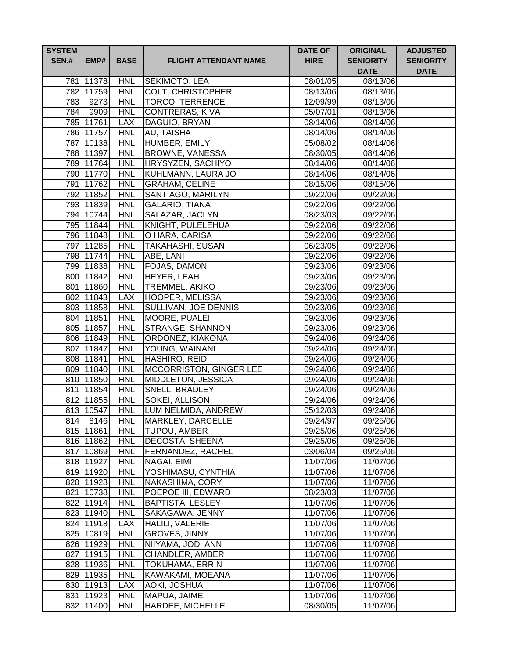| <b>SYSTEM</b><br><b>SEN.#</b> | EMP#                   | <b>BASE</b>              | <b>FLIGHT ATTENDANT NAME</b>                | <b>DATE OF</b><br><b>HIRE</b> | <b>ORIGINAL</b><br><b>SENIORITY</b><br><b>DATE</b> | <b>ADJUSTED</b><br><b>SENIORITY</b><br><b>DATE</b> |
|-------------------------------|------------------------|--------------------------|---------------------------------------------|-------------------------------|----------------------------------------------------|----------------------------------------------------|
|                               | 781 11378              | <b>HNL</b>               | SEKIMOTO, LEA                               | 08/01/05                      | 08/13/06                                           |                                                    |
|                               | 782 11759              | <b>HNL</b>               | COLT, CHRISTOPHER                           | 08/13/06                      | 08/13/06                                           |                                                    |
|                               | 783 9273               | <b>HNL</b>               | <b>TORCO, TERRENCE</b>                      | 12/09/99                      | 08/13/06                                           |                                                    |
|                               | 784 9909               | <b>HNL</b>               | <b>CONTRERAS, KIVA</b>                      | 05/07/01                      | 08/13/06                                           |                                                    |
|                               | 785 11761              | <b>LAX</b>               | DAGUIO, BRYAN                               | 08/14/06                      | 08/14/06                                           |                                                    |
|                               | 786 11757              | <b>HNL</b>               | AU, TAISHA                                  | 08/14/06                      | 08/14/06                                           |                                                    |
|                               | 787 10138              | <b>HNL</b>               | HUMBER, EMILY                               | 05/08/02                      | 08/14/06                                           |                                                    |
|                               | 788 11397              | <b>HNL</b>               | <b>BROWNE, VANESSA</b>                      | 08/30/05                      | 08/14/06                                           |                                                    |
|                               | 789 11764              | <b>HNL</b>               | HRYSYZEN, SACHIYO                           | 08/14/06                      | 08/14/06                                           |                                                    |
|                               | 790 11770              | <b>HNL</b>               | KUHLMANN, LAURA JO                          | 08/14/06                      | 08/14/06                                           |                                                    |
|                               | 791 11762              | <b>HNL</b>               | <b>GRAHAM, CELINE</b>                       | 08/15/06                      | 08/15/06                                           |                                                    |
|                               | 792 11852              | <b>HNL</b>               | SANTIAGO, MARILYN                           | 09/22/06                      | 09/22/06                                           |                                                    |
|                               | 793 11839              | <b>HNL</b>               | GALARIO, TIANA                              | 09/22/06                      | 09/22/06                                           |                                                    |
|                               | 794 10744              | <b>HNL</b>               | SALAZAR, JACLYN                             | 08/23/03                      | 09/22/06                                           |                                                    |
|                               | 795 11844              | <b>HNL</b>               | KNIGHT, PULELEHUA                           | 09/22/06                      | 09/22/06                                           |                                                    |
|                               | 796 11848              | <b>HNL</b>               | O HARA, CARISA                              | 09/22/06                      | 09/22/06                                           |                                                    |
|                               | 797 11285              | <b>HNL</b>               | <b>TAKAHASHI, SUSAN</b>                     | 06/23/05                      | 09/22/06                                           |                                                    |
|                               | 798 11744              | <b>HNL</b>               | ABE, LANI                                   | 09/22/06                      | 09/22/06                                           |                                                    |
|                               | 799 11838              | <b>HNL</b>               | <b>FOJAS, DAMON</b>                         | 09/23/06                      | 09/23/06                                           |                                                    |
|                               | 800 11842              | <b>HNL</b>               | <b>HEYER, LEAH</b>                          | 09/23/06                      | 09/23/06                                           |                                                    |
|                               | 801 11860              | <b>HNL</b>               | <b>TREMMEL, AKIKO</b>                       | 09/23/06                      | 09/23/06                                           |                                                    |
|                               | 802 11843              | <b>LAX</b>               | <b>HOOPER, MELISSA</b>                      | 09/23/06                      | 09/23/06                                           |                                                    |
|                               | 803 11858              | <b>HNL</b>               | SULLIVAN, JOE DENNIS                        | 09/23/06                      | 09/23/06                                           |                                                    |
|                               | 804 11851<br>805 11857 | <b>HNL</b>               | MOORE, PUALEI                               | 09/23/06                      | 09/23/06                                           |                                                    |
|                               | 806 11849              | <b>HNL</b><br><b>HNL</b> | <b>STRANGE, SHANNON</b><br>ORDONEZ, KIAKONA | 09/23/06                      | 09/23/06<br>09/24/06                               |                                                    |
|                               | 807 11847              | <b>HNL</b>               | YOUNG, WAINANI                              | 09/24/06<br>09/24/06          | 09/24/06                                           |                                                    |
|                               | 808 11841              | <b>HNL</b>               | HASHIRO, REID                               | 09/24/06                      | 09/24/06                                           |                                                    |
|                               | 809 11840              | <b>HNL</b>               | <b>MCCORRISTON, GINGER LEE</b>              | 09/24/06                      | 09/24/06                                           |                                                    |
|                               | 810 11850              | <b>HNL</b>               | MIDDLETON, JESSICA                          | 09/24/06                      | 09/24/06                                           |                                                    |
|                               | 811 11854              | <b>HNL</b>               | SNELL, BRADLEY                              | 09/24/06                      | 09/24/06                                           |                                                    |
|                               | 812 11855              | <b>HNL</b>               | SOKEI, ALLISON                              | 09/24/06                      | 09/24/06                                           |                                                    |
|                               | 813 10547              | <b>HNL</b>               | LUM NELMIDA, ANDREW                         | 05/12/03                      | 09/24/06                                           |                                                    |
|                               | 814 8146               | <b>HNL</b>               | MARKLEY, DARCELLE                           | 09/24/97                      | 09/25/06                                           |                                                    |
|                               | 815 11861              | <b>HNL</b>               | <b>TUPOU, AMBER</b>                         | 09/25/06                      | 09/25/06                                           |                                                    |
|                               | 816 11862              | <b>HNL</b>               | <b>DECOSTA, SHEENA</b>                      | 09/25/06                      | 09/25/06                                           |                                                    |
|                               | 817 10869              | <b>HNL</b>               | FERNANDEZ, RACHEL                           | 03/06/04                      | 09/25/06                                           |                                                    |
|                               | 818 11927              | <b>HNL</b>               | NAGAI, EIMI                                 | 11/07/06                      | 11/07/06                                           |                                                    |
|                               | 819 11920              | <b>HNL</b>               | YOSHIMASU, CYNTHIA                          | 11/07/06                      | 11/07/06                                           |                                                    |
|                               | 820 11928              | <b>HNL</b>               | NAKASHIMA, CORY                             | 11/07/06                      | 11/07/06                                           |                                                    |
|                               | 821 10738              | <b>HNL</b>               | POEPOE III, EDWARD                          | 08/23/03                      | 11/07/06                                           |                                                    |
|                               | 822 11914              | <b>HNL</b>               | <b>BAPTISTA, LESLEY</b>                     | 11/07/06                      | 11/07/06                                           |                                                    |
|                               | 823 11940              | <b>HNL</b>               | SAKAGAWA, JENNY                             | 11/07/06                      | 11/07/06                                           |                                                    |
|                               | 824 11918              | <b>LAX</b>               | HALILI, VALERIE                             | 11/07/06                      | 11/07/06                                           |                                                    |
|                               | 825 10819              | <b>HNL</b>               | GROVES, JINNY                               | 11/07/06                      | 11/07/06                                           |                                                    |
|                               | 826 11929              | <b>HNL</b>               | NIIYAMA, JODI ANN                           | 11/07/06                      | 11/07/06                                           |                                                    |
|                               | 827 11915              | <b>HNL</b>               | CHANDLER, AMBER                             | 11/07/06                      | 11/07/06                                           |                                                    |
|                               | 828 11936              | <b>HNL</b>               | <b>TOKUHAMA, ERRIN</b>                      | 11/07/06                      | 11/07/06                                           |                                                    |
|                               | 829 11935              | <b>HNL</b>               | KAWAKAMI, MOEANA                            | 11/07/06                      | 11/07/06                                           |                                                    |
|                               | 830 11913              | <b>LAX</b>               | AOKI, JOSHUA                                | 11/07/06                      | 11/07/06                                           |                                                    |
|                               | 831 11923              | <b>HNL</b>               | MAPUA, JAIME                                | 11/07/06                      | 11/07/06                                           |                                                    |
|                               | 832 11400              | <b>HNL</b>               | HARDEE, MICHELLE                            | 08/30/05                      | 11/07/06                                           |                                                    |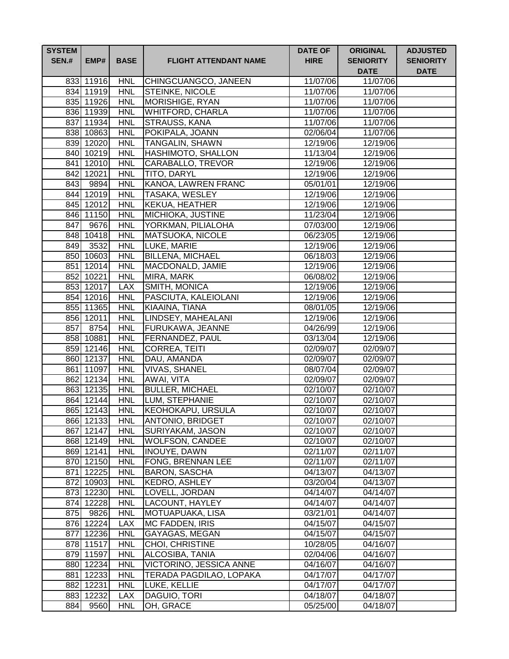| <b>SYSTEM</b><br><b>SEN.#</b> | EMP#                   | <b>BASE</b>              | <b>FLIGHT ATTENDANT NAME</b>        | <b>DATE OF</b><br><b>HIRE</b> | <b>ORIGINAL</b><br><b>SENIORITY</b><br><b>DATE</b> | <b>ADJUSTED</b><br><b>SENIORITY</b><br><b>DATE</b> |
|-------------------------------|------------------------|--------------------------|-------------------------------------|-------------------------------|----------------------------------------------------|----------------------------------------------------|
|                               | 833 11916              | <b>HNL</b>               | CHINGCUANGCO, JANEEN                | 11/07/06                      | 11/07/06                                           |                                                    |
|                               | 834 11919              | <b>HNL</b>               | <b>STEINKE, NICOLE</b>              | 11/07/06                      | 11/07/06                                           |                                                    |
|                               | 835 11926              | <b>HNL</b>               | MORISHIGE, RYAN                     | 11/07/06                      | 11/07/06                                           |                                                    |
|                               | 836 11939              | <b>HNL</b>               | <b>WHITFORD, CHARLA</b>             | 11/07/06                      | 11/07/06                                           |                                                    |
|                               | 837 11934              | <b>HNL</b>               | STRAUSS, KANA                       | 11/07/06                      | 11/07/06                                           |                                                    |
|                               | 838 10863              | <b>HNL</b>               | POKIPALA, JOANN                     | 02/06/04                      | 11/07/06                                           |                                                    |
|                               | 839 12020              | <b>HNL</b>               | <b>TANGALIN, SHAWN</b>              | 12/19/06                      | 12/19/06                                           |                                                    |
|                               | 840 10219              | <b>HNL</b>               | <b>HASHIMOTO, SHALLON</b>           | 11/13/04                      | 12/19/06                                           |                                                    |
|                               | 841 12010              | <b>HNL</b>               | <b>CARABALLO, TREVOR</b>            | 12/19/06                      | 12/19/06                                           |                                                    |
|                               | 842 12021              | <b>HNL</b>               | <b>TITO, DARYL</b>                  | 12/19/06                      | 12/19/06                                           |                                                    |
|                               | 843 9894               | <b>HNL</b>               | KANOA, LAWREN FRANC                 | 05/01/01                      | 12/19/06                                           |                                                    |
|                               | 844 12019              | <b>HNL</b>               | TASAKA, WESLEY                      | 12/19/06                      | 12/19/06                                           |                                                    |
|                               | 845 12012              | <b>HNL</b>               | KEKUA, HEATHER                      | 12/19/06                      | 12/19/06                                           |                                                    |
|                               | 846 11150              | <b>HNL</b>               | <b>MICHIOKA, JUSTINE</b>            | 11/23/04                      | 12/19/06                                           |                                                    |
|                               | 847 9676               | <b>HNL</b>               | YORKMAN, PILIALOHA                  | 07/03/00                      | $\frac{1}{2}$ /19/06                               |                                                    |
|                               | 848 10418              | <b>HNL</b>               | MATSUOKA, NICOLE                    | 06/23/05                      | 12/19/06                                           |                                                    |
|                               | 849 3532               | <b>HNL</b>               | LUKE, MARIE                         | 12/19/06                      | 12/19/06                                           |                                                    |
|                               | 850 10603              | <b>HNL</b>               | <b>BILLENA, MICHAEL</b>             | 06/18/03                      | 12/19/06                                           |                                                    |
|                               | 851 12014              | <b>HNL</b>               | MACDONALD, JAMIE                    | 12/19/06                      | 12/19/06                                           |                                                    |
|                               | 852 10221              | <b>HNL</b>               | MIRA, MARK                          | 06/08/02                      | 12/19/06                                           |                                                    |
|                               | 853 12017              | <b>LAX</b>               | SMITH, MONICA                       | 12/19/06                      | 12/19/06                                           |                                                    |
|                               | 854 12016              | <b>HNL</b>               | PASCIUTA, KALEIOLANI                | 12/19/06                      | 12/19/06                                           |                                                    |
|                               | 855 11365              | <b>HNL</b>               | KIAAINA, TIANA                      | 08/01/05                      | 12/19/06                                           |                                                    |
|                               | 856 12011              | <b>HNL</b>               | LINDSEY, MAHEALANI                  | 12/19/06                      | 12/19/06                                           |                                                    |
|                               | 857 8754               | <b>HNL</b>               | FURUKAWA, JEANNE                    | 04/26/99                      | 12/19/06                                           |                                                    |
|                               | 858 10881              | <b>HNL</b><br><b>HNL</b> | <b>FERNANDEZ, PAUL</b>              | 03/13/04<br>02/09/07          | 12/19/06<br>02/09/07                               |                                                    |
|                               | 859 12146<br>860 12137 | <b>HNL</b>               | <b>CORREA, TEITI</b><br>DAU, AMANDA | 02/09/07                      | 02/09/07                                           |                                                    |
|                               | 861 11097              | <b>HNL</b>               | <b>VIVAS, SHANEL</b>                | 08/07/04                      | 02/09/07                                           |                                                    |
|                               | 862 12134              | <b>HNL</b>               | AWAI, VITA                          | 02/09/07                      | 02/09/07                                           |                                                    |
|                               | 863 12135              | <b>HNL</b>               | <b>BULLER, MICHAEL</b>              | 02/10/07                      | 02/10/07                                           |                                                    |
|                               | 864 12144              | <b>HNL</b>               | LUM, STEPHANIE                      | 02/10/07                      | 02/10/07                                           |                                                    |
|                               | 865 12143              | <b>HNL</b>               | <b>KEOHOKAPU, URSULA</b>            | 02/10/07                      | 02/10/07                                           |                                                    |
|                               | 866 12133              | <b>HNL</b>               | <b>ANTONIO, BRIDGET</b>             | 02/10/07                      | 02/10/07                                           |                                                    |
|                               | 867 12147              | <b>HNL</b>               | <b>SURIYAKAM, JASON</b>             | 02/10/07                      | 02/10/07                                           |                                                    |
|                               | 868 12149              | <b>HNL</b>               | <b>WOLFSON, CANDEE</b>              | 02/10/07                      | 02/10/07                                           |                                                    |
|                               | 869 12141              | <b>HNL</b>               | INOUYE, DAWN                        | 02/11/07                      | 02/11/07                                           |                                                    |
|                               | 870 12150              | <b>HNL</b>               | FONG, BRENNAN LEE                   | 02/11/07                      | 02/11/07                                           |                                                    |
|                               | 871 12225              | <b>HNL</b>               | <b>BARON, SASCHA</b>                | 04/13/07                      | 04/13/07                                           |                                                    |
|                               | 872 10903              | <b>HNL</b>               | KEDRO, ASHLEY                       | 03/20/04                      | 04/13/07                                           |                                                    |
|                               | 873 12230              | <b>HNL</b>               | LOVELL, JORDAN                      | 04/14/07                      | 04/14/07                                           |                                                    |
|                               | 874 12228              | <b>HNL</b>               | LACOUNT, HAYLEY                     | 04/14/07                      | 04/14/07                                           |                                                    |
| 875                           | 9826                   | <b>HNL</b>               | MOTUAPUAKA, LISA                    | 03/21/01                      | 04/14/07                                           |                                                    |
|                               | 876 12224              | <b>LAX</b>               | <b>MC FADDEN, IRIS</b>              | 04/15/07                      | 04/15/07                                           |                                                    |
|                               | 877 12236              | <b>HNL</b>               | GAYAGAS, MEGAN                      | 04/15/07                      | 04/15/07                                           |                                                    |
|                               | 878 11517              | <b>HNL</b>               | CHOI, CHRISTINE                     | 10/28/05                      | 04/16/07                                           |                                                    |
|                               | 879 11597              | <b>HNL</b>               | ALCOSIBA, TANIA                     | 02/04/06                      | 04/16/07                                           |                                                    |
|                               | 880 12234              | <b>HNL</b>               | VICTORINO, JESSICA ANNE             | 04/16/07                      | 04/16/07                                           |                                                    |
|                               | 881 12233              | <b>HNL</b>               | TERADA PAGDILAO, LOPAKA             | 04/17/07                      | 04/17/07                                           |                                                    |
|                               | 882 12231              | <b>HNL</b>               | LUKE, KELLIE                        | 04/17/07                      | 04/17/07                                           |                                                    |
|                               | 883 12232              | <b>LAX</b>               | DAGUIO, TORI                        | 04/18/07                      | 04/18/07                                           |                                                    |
| 884                           | 9560                   | <b>HNL</b>               | OH, GRACE                           | 05/25/00                      | 04/18/07                                           |                                                    |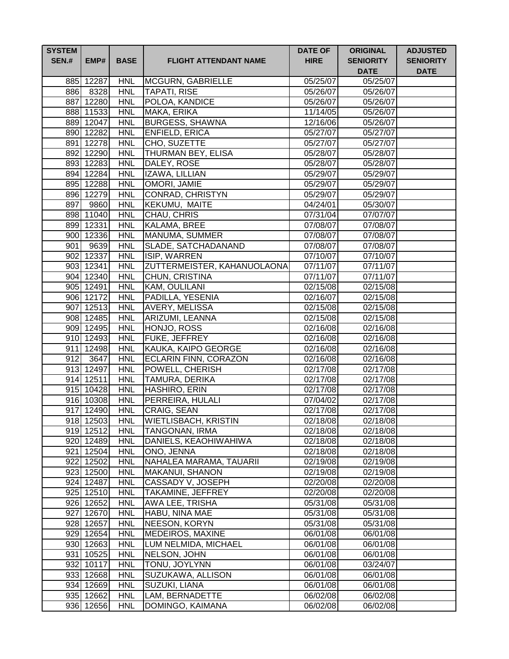| <b>SYSTEM</b><br><b>SEN.#</b> | EMP#             | <b>BASE</b> | <b>FLIGHT ATTENDANT NAME</b>       | <b>DATE OF</b><br><b>HIRE</b> | <b>ORIGINAL</b><br><b>SENIORITY</b><br><b>DATE</b> | <b>ADJUSTED</b><br><b>SENIORITY</b><br><b>DATE</b> |
|-------------------------------|------------------|-------------|------------------------------------|-------------------------------|----------------------------------------------------|----------------------------------------------------|
|                               | 885 12287        | <b>HNL</b>  | MCGURN, GABRIELLE                  | 05/25/07                      | 05/25/07                                           |                                                    |
|                               | 886 8328         | <b>HNL</b>  | <b>TAPATI, RISE</b>                | 05/26/07                      | 05/26/07                                           |                                                    |
|                               | 887 12280        | <b>HNL</b>  | POLOA, KANDICE                     | 05/26/07                      | 05/26/07                                           |                                                    |
|                               | 888 11533        | <b>HNL</b>  | MAKA, ERIKA                        | 11/14/05                      | 05/26/07                                           |                                                    |
|                               | 889 12047        | <b>HNL</b>  | <b>BURGESS, SHAWNA</b>             | 12/16/06                      | 05/26/07                                           |                                                    |
|                               | 890 12282        | <b>HNL</b>  | <b>ENFIELD, ERICA</b>              | 05/27/07                      | 05/27/07                                           |                                                    |
|                               | 891 12278        | <b>HNL</b>  | CHO, SUZETTE                       | 05/27/07                      | 05/27/07                                           |                                                    |
|                               | 892 12290        | <b>HNL</b>  | <b>THURMAN BEY, ELISA</b>          | 05/28/07                      | 05/28/07                                           |                                                    |
|                               | 893 12283        | <b>HNL</b>  | DALEY, ROSE                        | 05/28/07                      | 05/28/07                                           |                                                    |
|                               | 894 12284        | <b>HNL</b>  | IZAWA, LILLIAN                     | 05/29/07                      | 05/29/07                                           |                                                    |
|                               | 895 12288        | <b>HNL</b>  | <b>OMORI, JAMIE</b>                | 05/29/07                      | 05/29/07                                           |                                                    |
|                               | 896 12279        | <b>HNL</b>  | CONRAD, CHRISTYN                   | 05/29/07                      | 05/29/07                                           |                                                    |
| 897                           | 9860             | <b>HNL</b>  | KEKUMU, MAITE                      | 04/24/01                      | 05/30/07                                           |                                                    |
|                               | 898 11040        | <b>HNL</b>  | CHAU, CHRIS                        | 07/31/04                      | 07/07/07                                           |                                                    |
|                               | 899 12331        | <b>HNL</b>  | KALAMA, BREE                       | 07/08/07                      | 07/08/07                                           |                                                    |
|                               | 900 12336        | <b>HNL</b>  | MANUMA, SUMMER                     | 07/08/07                      | 07/08/07                                           |                                                    |
| 901                           | 9639             | <b>HNL</b>  | SLADE, SATCHADANAND                | 07/08/07                      | 07/08/07                                           |                                                    |
|                               | 902 12337        | <b>HNL</b>  | <b>ISIP, WARREN</b>                | 07/10/07                      | 07/10/07                                           |                                                    |
|                               | 903 12341        | <b>HNL</b>  | <b>ZUTTERMEISTER, KAHANUOLAONA</b> | 07/11/07                      | 07/11/07                                           |                                                    |
|                               | 904 12340        | <b>HNL</b>  | CHUN, CRISTINA                     | 07/11/07                      | 07/11/07                                           |                                                    |
|                               | 905 12491        | <b>HNL</b>  | KAM, OULILANI                      | 02/15/08                      | 02/15/08                                           |                                                    |
|                               | 906 12172        | <b>HNL</b>  | PADILLA, YESENIA                   | 02/16/07                      | $\overline{02/1}5/08$                              |                                                    |
|                               | 907 12513        | <b>HNL</b>  | <b>AVERY, MELISSA</b>              | $\overline{02/15/08}$         | 02/15/08                                           |                                                    |
|                               | 908 12485        | <b>HNL</b>  | ARIZUMI, LEANNA                    | 02/15/08                      | 02/15/08                                           |                                                    |
|                               | 909 12495        | <b>HNL</b>  | HONJO, ROSS                        | 02/16/08                      | 02/16/08                                           |                                                    |
|                               | 910 12493        | <b>HNL</b>  | FUKE, JEFFREY                      | 02/16/08                      | 02/16/08                                           |                                                    |
|                               | 911 12498        | <b>HNL</b>  | KAUKA, KAIPO GEORGE                | 02/16/08                      | 02/16/08                                           |                                                    |
| 912                           | $\frac{1}{3647}$ | <b>HNL</b>  | ECLARIN FINN, CORAZON              | 02/16/08                      | 02/16/08                                           |                                                    |
|                               | 913 12497        | <b>HNL</b>  | POWELL, CHERISH                    | 02/17/08                      | 02/17/08                                           |                                                    |
|                               | 914 12511        | <b>HNL</b>  | TAMURA, DERIKA                     | 02/17/08                      | 02/17/08                                           |                                                    |
|                               | 915 10428        | <b>HNL</b>  | HASHIRO, ERIN                      | 02/17/08                      | 02/17/08                                           |                                                    |
|                               | 916 10308        | <b>HNL</b>  | PERREIRA, HULALI                   | 07/04/02                      | 02/17/08                                           |                                                    |
|                               | 917 12490        | <b>HNL</b>  | CRAIG, SEAN                        | 02/17/08                      | 02/17/08                                           |                                                    |
|                               | 918 12503        | <b>HNL</b>  | <b>WIETLISBACH, KRISTIN</b>        | 02/18/08                      | 02/18/08                                           |                                                    |
|                               | 919 12512        | <b>HNL</b>  | <b>TANGONAN, IRMA</b>              | 02/18/08                      | 02/18/08                                           |                                                    |
|                               | 920 12489        | <b>HNL</b>  | DANIELS, KEAOHIWAHIWA              | 02/18/08                      | 02/18/08                                           |                                                    |
|                               | 921 12504        | <b>HNL</b>  | ONO, JENNA                         | 02/18/08                      | 02/18/08                                           |                                                    |
|                               | 922 12502        | <b>HNL</b>  | NAHALEA MARAMA, TAUARII            | 02/19/08                      | 02/19/08                                           |                                                    |
|                               | 923 12500        | <b>HNL</b>  | <b>MAKANUI, SHANON</b>             | 02/19/08                      | 02/19/08                                           |                                                    |
|                               | 924 12487        | <b>HNL</b>  | CASSADY V, JOSEPH                  | 02/20/08                      | 02/20/08                                           |                                                    |
|                               | 925 12510        | <b>HNL</b>  | TAKAMINE, JEFFREY                  | 02/20/08                      | 02/20/08                                           |                                                    |
|                               | 926 12652        | <b>HNL</b>  | AWA LEE, TRISHA                    | 05/31/08                      | 05/31/08                                           |                                                    |
|                               | 927 12670        | <b>HNL</b>  | HABU, NINA MAE                     | 05/31/08                      | 05/31/08                                           |                                                    |
|                               | 928 12657        | <b>HNL</b>  | NEESON, KORYN                      | 05/31/08                      | 05/31/08                                           |                                                    |
|                               | 929 12654        | <b>HNL</b>  | MEDEIROS, MAXINE                   | 06/01/08                      | 06/01/08                                           |                                                    |
|                               | 930 12663        | <b>HNL</b>  | LUM NELMIDA, MICHAEL               | 06/01/08                      | 06/01/08                                           |                                                    |
|                               | 931 10525        | <b>HNL</b>  | NELSON, JOHN                       | 06/01/08                      | 06/01/08                                           |                                                    |
|                               | 932 10117        | <b>HNL</b>  | TONU, JOYLYNN                      | 06/01/08                      | 03/24/07                                           |                                                    |
|                               | 933 12668        | <b>HNL</b>  | SUZUKAWA, ALLISON                  | 06/01/08                      | 06/01/08                                           |                                                    |
|                               | 934 12669        | <b>HNL</b>  | SUZUKI, LIANA                      | 06/01/08                      | 06/01/08                                           |                                                    |
|                               | 935 12662        | <b>HNL</b>  | LAM, BERNADETTE                    | 06/02/08                      | 06/02/08                                           |                                                    |
|                               | 936 12656        | <b>HNL</b>  | DOMINGO, KAIMANA                   | 06/02/08                      | 06/02/08                                           |                                                    |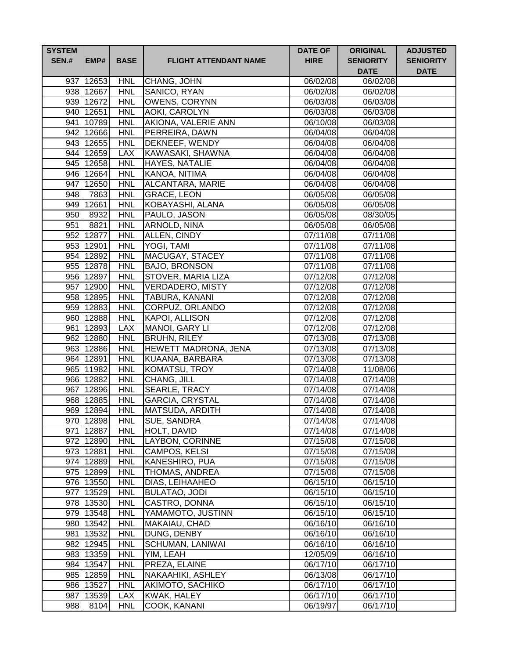| <b>SYSTEM</b><br><b>SEN.#</b> | EMP#                   | <b>BASE</b>              | <b>FLIGHT ATTENDANT NAME</b>      | <b>DATE OF</b><br><b>HIRE</b> | <b>ORIGINAL</b><br><b>SENIORITY</b><br><b>DATE</b> | <b>ADJUSTED</b><br><b>SENIORITY</b><br><b>DATE</b> |
|-------------------------------|------------------------|--------------------------|-----------------------------------|-------------------------------|----------------------------------------------------|----------------------------------------------------|
|                               | 937 12653              | <b>HNL</b>               | CHANG, JOHN                       | 06/02/08                      | 06/02/08                                           |                                                    |
|                               | 938 12667              | <b>HNL</b>               | SANICO, RYAN                      | 06/02/08                      | 06/02/08                                           |                                                    |
|                               | 939 12672              | <b>HNL</b>               | <b>OWENS, CORYNN</b>              | 06/03/08                      | 06/03/08                                           |                                                    |
|                               | 940 12651              | <b>HNL</b>               | AOKI, CAROLYN                     | 06/03/08                      | 06/03/08                                           |                                                    |
|                               | 941 10789              | <b>HNL</b>               | AKIONA, VALERIE ANN               | 06/10/08                      | 06/03/08                                           |                                                    |
|                               | 942 12666              | <b>HNL</b>               | PERREIRA, DAWN                    | 06/04/08                      | 06/04/08                                           |                                                    |
|                               | 943 12655              | <b>HNL</b>               | DEKNEEF, WENDY                    | 06/04/08                      | 06/04/08                                           |                                                    |
|                               | 944 12659              | <b>LAX</b>               | KAWASAKI, SHAWNA                  | 06/04/08                      | 06/04/08                                           |                                                    |
|                               | 945 12658              | <b>HNL</b>               | HAYES, NATALIE                    | 06/04/08                      | 06/04/08                                           |                                                    |
|                               | 946 12664              | <b>HNL</b>               | KANOA, NITIMA                     | 06/04/08                      | 06/04/08                                           |                                                    |
|                               | 947 12650              | <b>HNL</b>               | ALCANTARA, MARIE                  | 06/04/08                      | 06/04/08                                           |                                                    |
| 948                           | 7863                   | <b>HNL</b>               | <b>GRACE, LEON</b>                | 06/05/08                      | 06/05/08                                           |                                                    |
|                               | $\overline{949}$ 12661 | <b>HNL</b>               | KOBAYASHI, ALANA                  | 06/05/08                      | 06/05/08                                           |                                                    |
|                               | 950 8932               | <b>HNL</b>               | PAULO, JASON                      | 06/05/08                      | $\sqrt{08/30/05}$                                  |                                                    |
| 951                           | 8821                   | <b>HNL</b>               | ARNOLD, NINA                      | 06/05/08                      | 06/05/08                                           |                                                    |
|                               | 952 12877              | <b>HNL</b>               | ALLEN, CINDY                      | 07/11/08                      | 07/11/08                                           |                                                    |
|                               | 953 12901              | <b>HNL</b>               | YOGI, TAMI                        | 07/11/08                      | 07/11/08                                           |                                                    |
|                               | 954 12892              | <b>HNL</b>               | <b>MACUGAY, STACEY</b>            | 07/11/08                      | $\overline{07}/11/08$                              |                                                    |
|                               | 955 12878              | <b>HNL</b>               | <b>BAJO, BRONSON</b>              | 07/11/08                      | 07/11/08                                           |                                                    |
|                               | 956 12897              | <b>HNL</b>               | STOVER, MARIA LIZA                | 07/12/08                      | 07/12/08                                           |                                                    |
|                               | 957 12900              | <b>HNL</b>               | <b>VERDADERO, MISTY</b>           | 07/12/08                      | 07/12/08                                           |                                                    |
|                               | 958 12895              | <b>HNL</b>               | <b>TABURA, KANANI</b>             | $\overline{07/1}2/08$         | 07/12/08                                           |                                                    |
|                               | 959 12883              | <b>HNL</b>               | CORPUZ, ORLANDO                   | 07/12/08                      | 07/12/08                                           |                                                    |
|                               | 960 12888              | <b>HNL</b>               | KAPOI, ALLISON                    | 07/12/08                      | 07/12/08                                           |                                                    |
|                               | 961 12893              | <b>LAX</b>               | MANOI, GARY LI                    | 07/12/08                      | 07/12/08                                           |                                                    |
|                               | 962 12880              | <b>HNL</b>               | <b>BRUHN, RILEY</b>               | 07/13/08                      | 07/13/08                                           |                                                    |
|                               | 963 12886              | <b>HNL</b>               | <b>HEWETT MADRONA, JENA</b>       | 07/13/08                      | 07/13/08                                           |                                                    |
|                               | 964 12891              | <b>HNL</b>               | KUAANA, BARBARA                   | 07/13/08                      | 07/13/08                                           |                                                    |
|                               | 965 11982              | <b>HNL</b>               | KOMATSU, TROY                     | 07/14/08                      | 11/08/06                                           |                                                    |
|                               | 966 12882              | <b>HNL</b>               | CHANG, JILL                       | 07/14/08                      | 07/14/08                                           |                                                    |
|                               | 967 12896              | <b>HNL</b>               | <b>SEARLE, TRACY</b>              | 07/14/08                      | 07/14/08                                           |                                                    |
|                               | 968 12885              | <b>HNL</b>               | <b>GARCIA, CRYSTAL</b>            | 07/14/08                      | 07/14/08                                           |                                                    |
|                               | 969 12894              | <b>HNL</b>               | MATSUDA, ARDITH                   | 07/14/08                      | 07/14/08                                           |                                                    |
|                               | 970 12898<br>971 12887 | <b>HNL</b><br><b>HNL</b> | <b>SUE, SANDRA</b><br>HOLT, DAVID | 07/14/08<br>07/14/08          | 07/14/08<br>07/14/08                               |                                                    |
|                               | 972 12890              | <b>HNL</b>               | LAYBON, CORINNE                   | 07/15/08                      | 07/15/08                                           |                                                    |
|                               | 973 12881              | <b>HNL</b>               | CAMPOS, KELSI                     | 07/15/08                      | 07/15/08                                           |                                                    |
|                               | 974 12889              | <b>HNL</b>               | KANESHIRO, PUA                    | 07/15/08                      | 07/15/08                                           |                                                    |
|                               | 975 12899              | <b>HNL</b>               | <b>THOMAS, ANDREA</b>             | 07/15/08                      | 07/15/08                                           |                                                    |
|                               | 976 13550              | <b>HNL</b>               | DIAS, LEIHAAHEO                   | 06/15/10                      | 06/15/10                                           |                                                    |
|                               | 977 13529              | <b>HNL</b>               | <b>BULATAO, JODI</b>              | 06/15/10                      | 06/15/10                                           |                                                    |
|                               | 978 13530              | <b>HNL</b>               | CASTRO, DONNA                     | 06/15/10                      | 06/15/10                                           |                                                    |
|                               | 979 13548              | <b>HNL</b>               | YAMAMOTO, JUSTINN                 | 06/15/10                      | 06/15/10                                           |                                                    |
|                               | 980 13542              | <b>HNL</b>               | MAKAIAU, CHAD                     | 06/16/10                      | 06/16/10                                           |                                                    |
|                               | 981 13532              | <b>HNL</b>               | DUNG, DENBY                       | 06/16/10                      | 06/16/10                                           |                                                    |
|                               | 982 12945              | <b>HNL</b>               | SCHUMAN, LANIWAI                  | 06/16/10                      | 06/16/10                                           |                                                    |
|                               | 983 13359              | <b>HNL</b>               | YIM, LEAH                         | 12/05/09                      | 06/16/10                                           |                                                    |
|                               | 984 13547              | <b>HNL</b>               | PREZA, ELAINE                     | 06/17/10                      | 06/17/10                                           |                                                    |
|                               | 985 12859              | <b>HNL</b>               | NAKAAHIKI, ASHLEY                 | 06/13/08                      | 06/17/10                                           |                                                    |
|                               | 986 13527              | <b>HNL</b>               | AKIMOTO, SACHIKO                  | 06/17/10                      | 06/17/10                                           |                                                    |
|                               | 987 13539              | <b>LAX</b>               | KWAK, HALEY                       | 06/17/10                      | 06/17/10                                           |                                                    |
|                               | 988 8104               | <b>HNL</b>               | COOK, KANANI                      | 06/19/97                      | 06/17/10                                           |                                                    |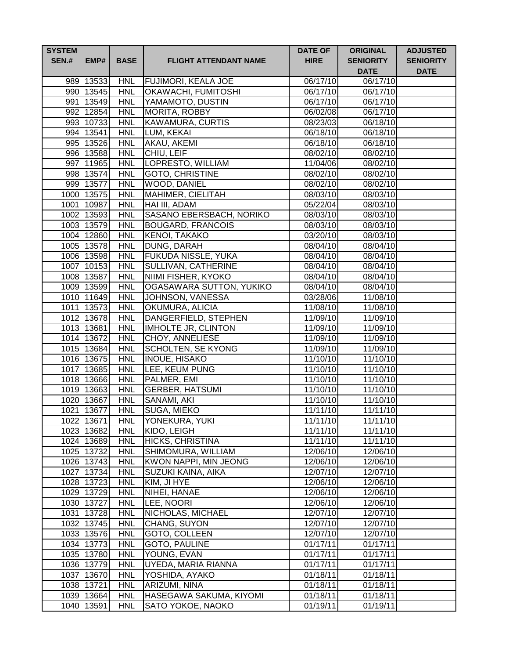| <b>SYSTEM</b><br><b>SEN.#</b> | EMP#                     | <b>BASE</b>              | <b>FLIGHT ATTENDANT NAME</b>                | <b>DATE OF</b><br><b>HIRE</b> | <b>ORIGINAL</b><br><b>SENIORITY</b><br><b>DATE</b> | <b>ADJUSTED</b><br><b>SENIORITY</b><br><b>DATE</b> |
|-------------------------------|--------------------------|--------------------------|---------------------------------------------|-------------------------------|----------------------------------------------------|----------------------------------------------------|
|                               | 989 13533                | <b>HNL</b>               | <b>FUJIMORI, KEALA JOE</b>                  | 06/17/10                      | 06/17/10                                           |                                                    |
|                               | 990 13545                | <b>HNL</b>               | <b>OKAWACHI, FUMITOSHI</b>                  | 06/17/10                      | 06/17/10                                           |                                                    |
|                               | 991 13549                | <b>HNL</b>               | YAMAMOTO, DUSTIN                            | 06/17/10                      | 06/17/10                                           |                                                    |
|                               | 992 12854                | <b>HNL</b>               | <b>MORITA, ROBBY</b>                        | 06/02/08                      | 06/17/10                                           |                                                    |
|                               | 993 10733                | <b>HNL</b>               | <b>KAWAMURA, CURTIS</b>                     | 08/23/03                      | 06/18/10                                           |                                                    |
|                               | 994 13541                | <b>HNL</b>               | LUM, KEKAI                                  | 06/18/10                      | 06/18/10                                           |                                                    |
|                               | 995 13526                | <b>HNL</b>               | AKAU, AKEMI                                 | 06/18/10                      | $\overline{0}$ 6/18/10                             |                                                    |
|                               | 996 13588                | <b>HNL</b>               | CHIU, LEIF                                  | 08/02/10                      | 08/02/10                                           |                                                    |
|                               | 997 11965                | <b>HNL</b>               | LOPRESTO, WILLIAM                           | 11/04/06                      | 08/02/10                                           |                                                    |
|                               | 998 13574                | <b>HNL</b>               | <b>GOTO, CHRISTINE</b>                      | 08/02/10                      | 08/02/10                                           |                                                    |
|                               | 999 13577                | <b>HNL</b>               | <b>WOOD, DANIEL</b>                         | 08/02/10                      | 08/02/10                                           |                                                    |
|                               | 1000 13575               | <b>HNL</b>               | MAHIMER, CIELITAH                           | 08/03/10                      | 08/03/10                                           |                                                    |
|                               | 1001 10987               | <b>HNL</b>               | HAI III, ADAM                               | 05/22/04                      | 08/03/10                                           |                                                    |
|                               | 1002 13593               | <b>HNL</b>               | SASANO EBERSBACH, NORIKO                    | 08/03/10                      | 08/03/10                                           |                                                    |
|                               | 1003 13579               | <b>HNL</b>               | <b>BOUGARD, FRANCOIS</b>                    | 08/03/10                      | 08/03/10                                           |                                                    |
|                               | 1004 12860               | <b>HNL</b>               | <b>KENOI, TAKAKO</b>                        | 03/20/10                      | 08/03/10                                           |                                                    |
|                               | 1005 13578               | <b>HNL</b>               | DUNG, DARAH                                 | 08/04/10                      | $\sqrt{08}/04/10$                                  |                                                    |
|                               | 1006 13598               | <b>HNL</b>               | <b>FUKUDA NISSLE, YUKA</b>                  | 08/04/10                      | 08/04/10                                           |                                                    |
|                               | 1007 10153               | <b>HNL</b>               | SULLIVAN, CATHERINE                         | 08/04/10                      | 08/04/10                                           |                                                    |
|                               | 1008 13587               | <b>HNL</b>               | NIIMI FISHER, KYOKO                         | 08/04/10                      | 08/04/10                                           |                                                    |
|                               | 1009 13599               | <b>HNL</b>               | OGASAWARA SUTTON, YUKIKO                    | 08/04/10                      | 08/04/10                                           |                                                    |
|                               | 1010 11649               | <b>HNL</b>               | JOHNSON, VANESSA                            | 03/28/06                      | $\overline{11}/08/10$                              |                                                    |
|                               | 1011 13573               | <b>HNL</b><br><b>HNL</b> | OKUMURA, ALICIA                             | 11/08/10<br>11/09/10          | 11/08/10<br>11/09/10                               |                                                    |
|                               | 1012 13678<br>1013 13681 | <b>HNL</b>               | DANGERFIELD, STEPHEN<br>IMHOLTE JR, CLINTON | 11/09/10                      | 11/09/10                                           |                                                    |
|                               | 1014 13672               | <b>HNL</b>               | CHOY, ANNELIESE                             | 11/09/10                      | 11/09/10                                           |                                                    |
|                               | 1015 13684               | <b>HNL</b>               | SCHOLTEN, SE KYONG                          | 11/09/10                      | 11/09/10                                           |                                                    |
|                               | 1016 13675               | <b>HNL</b>               | <b>INOUE, HISAKO</b>                        | 11/10/10                      | 11/10/10                                           |                                                    |
|                               | 1017 13685               | <b>HNL</b>               | LEE, KEUM PUNG                              | 11/10/10                      | 11/10/10                                           |                                                    |
|                               | 1018 13666               | <b>HNL</b>               | PALMER, EMI                                 | 11/10/10                      | 11/10/10                                           |                                                    |
|                               | 1019 13663               | <b>HNL</b>               | <b>GERBER, HATSUMI</b>                      | 11/10/10                      | 11/10/10                                           |                                                    |
|                               | 1020 13667               | <b>HNL</b>               | SANAMI, AKI                                 | 11/10/10                      | 11/10/10                                           |                                                    |
|                               | 1021 13677               | <b>HNL</b>               | SUGA, MIEKO                                 | 11/11/10                      | 11/11/10                                           |                                                    |
|                               | 1022 13671               | <b>HNL</b>               | YONEKURA, YUKI                              | 11/11/10                      | 11/11/10                                           |                                                    |
|                               | 1023 13682               | <b>HNL</b>               | KIDO, LEIGH                                 | 11/11/10                      | 11/11/10                                           |                                                    |
|                               | 1024 13689               | <b>HNL</b>               | <b>HICKS, CHRISTINA</b>                     | 11/11/10                      | 11/11/10                                           |                                                    |
|                               | 1025 13732               | <b>HNL</b>               | SHIMOMURA, WILLIAM                          | 12/06/10                      | 12/06/10                                           |                                                    |
|                               | 1026 13743               | <b>HNL</b>               | KWON NAPPI, MIN JEONG                       | 12/06/10                      | 12/06/10                                           |                                                    |
|                               | 1027 13734               | <b>HNL</b>               | SUZUKI KAINA, AIKA                          | 12/07/10                      | 12/07/10                                           |                                                    |
|                               | 1028 13723               | <b>HNL</b>               | KIM, JI HYE                                 | 12/06/10                      | 12/06/10                                           |                                                    |
|                               | 1029 13729               | <b>HNL</b>               | NIHEI, HANAE                                | 12/06/10                      | 12/06/10                                           |                                                    |
|                               | 1030 13727               | <b>HNL</b>               | LEE, NOORI                                  | 12/06/10                      | 12/06/10                                           |                                                    |
|                               | 1031 13728               | <b>HNL</b>               | NICHOLAS, MICHAEL                           | 12/07/10                      | 12/07/10                                           |                                                    |
|                               | 1032 13745               | <b>HNL</b>               | CHANG, SUYON                                | 12/07/10                      | 12/07/10                                           |                                                    |
|                               | 1033 13576               | <b>HNL</b>               | GOTO, COLLEEN                               | 12/07/10                      | 12/07/10                                           |                                                    |
|                               | 1034 13773               | <b>HNL</b>               | GOTO, PAULINE                               | 01/17/11                      | 01/17/11                                           |                                                    |
|                               | 1035 13780               | <b>HNL</b>               | YOUNG, EVAN                                 | 01/17/11                      | 01/17/11                                           |                                                    |
|                               | 1036 13779               | <b>HNL</b>               | UYEDA, MARIA RIANNA                         | 01/17/11                      | 01/17/11                                           |                                                    |
|                               | 1037 13670               | <b>HNL</b>               | YOSHIDA, AYAKO                              | 01/18/11                      | 01/18/11                                           |                                                    |
|                               | 1038 13721               | <b>HNL</b>               | ARIZUMI, NINA                               | 01/18/11                      | 01/18/11                                           |                                                    |
|                               | 1039 13664               | <b>HNL</b>               | HASEGAWA SAKUMA, KIYOMI                     | 01/18/11                      | 01/18/11                                           |                                                    |
|                               | 1040 13591               | <b>HNL</b>               | SATO YOKOE, NAOKO                           | 01/19/11                      | 01/19/11                                           |                                                    |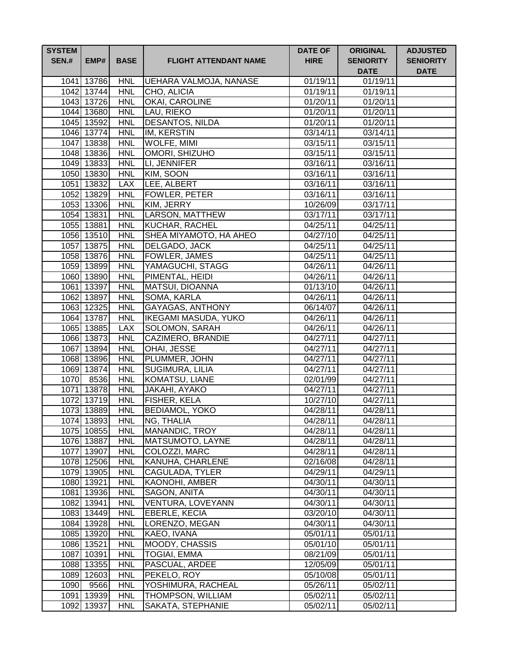| <b>SYSTEM</b><br><b>SEN.#</b> | EMP#                     | <b>BASE</b>              | <b>FLIGHT ATTENDANT NAME</b>               | <b>DATE OF</b><br><b>HIRE</b> | <b>ORIGINAL</b><br><b>SENIORITY</b><br><b>DATE</b> | <b>ADJUSTED</b><br><b>SENIORITY</b><br><b>DATE</b> |
|-------------------------------|--------------------------|--------------------------|--------------------------------------------|-------------------------------|----------------------------------------------------|----------------------------------------------------|
|                               | 1041 13786               | <b>HNL</b>               | UEHARA VALMOJA, NANASE                     | 01/19/11                      | 01/19/11                                           |                                                    |
|                               | 1042 13744               | <b>HNL</b>               | CHO, ALICIA                                | 01/19/11                      | $\overline{01/19/11}$                              |                                                    |
|                               | 1043 13726               | <b>HNL</b>               | OKAI, CAROLINE                             | 01/20/11                      | 01/20/11                                           |                                                    |
|                               | 1044 13680               | <b>HNL</b>               | LAU, RIEKO                                 | 01/20/11                      | 01/20/11                                           |                                                    |
|                               | 1045 13592               | <b>HNL</b>               | <b>DESANTOS, NILDA</b>                     | 01/20/11                      | 01/20/11                                           |                                                    |
|                               | 1046 13774               | <b>HNL</b>               | IM, KERSTIN                                | 03/14/11                      | 03/14/11                                           |                                                    |
|                               | 1047 13838               | <b>HNL</b>               | WOLFE, MIMI                                | 03/15/11                      | 03/15/11                                           |                                                    |
|                               | 1048 13836               | <b>HNL</b>               | OMORI, SHIZUHO                             | 03/15/11                      | 03/15/11                                           |                                                    |
|                               | 1049 13833               | <b>HNL</b>               | LI, JENNIFER                               | 03/16/11                      | 03/16/11                                           |                                                    |
|                               | 1050 13830               | <b>HNL</b>               | KIM, SOON                                  | 03/16/11                      | 03/16/11                                           |                                                    |
|                               | 1051 13832               | <b>LAX</b>               | LEE, ALBERT                                | 03/16/11                      | 03/16/11                                           |                                                    |
|                               | 1052 13829               | <b>HNL</b>               | FOWLER, PETER                              | 03/16/11                      | 03/16/11                                           |                                                    |
|                               | 1053 13306               | <b>HNL</b>               | KIM, JERRY                                 | 10/26/09                      | 03/17/11                                           |                                                    |
|                               | 1054 13831               | <b>HNL</b>               | <b>LARSON, MATTHEW</b>                     | 03/17/11                      | 03/17/11                                           |                                                    |
|                               | 1055 13881               | <b>HNL</b>               | <b>KUCHAR, RACHEL</b>                      | 04/25/11                      | 04/25/11                                           |                                                    |
|                               | 1056 13510               | <b>HNL</b>               | <b>SHEA MIYAMOTO, HA AHEO</b>              | 04/27/10                      | 04/25/11                                           |                                                    |
|                               | 1057 13875               | <b>HNL</b>               | DELGADO, JACK                              | 04/25/11                      | 04/25/11                                           |                                                    |
|                               | 1058 13876               | <b>HNL</b>               | <b>FOWLER, JAMES</b>                       | 04/25/11                      | $\overline{0}4/25/11$                              |                                                    |
|                               | 1059 13899               | <b>HNL</b>               | YAMAGUCHI, STAGG                           | 04/26/11                      | 04/26/11                                           |                                                    |
|                               | 1060 13890               | <b>HNL</b>               | PIMENTAL, HEIDI                            | 04/26/11                      | 04/26/11                                           |                                                    |
|                               | 1061 13397               | <b>HNL</b>               | <b>MATSUI, DIOANNA</b>                     | 01/13/10                      | 04/26/11                                           |                                                    |
|                               | 1062 13897               | <b>HNL</b>               | SOMA, KARLA                                | 04/26/11                      | 04/26/11                                           |                                                    |
|                               | 1063 12325               | <b>HNL</b>               | <b>GAYAGAS, ANTHONY</b>                    | 06/14/07                      | 04/26/11                                           |                                                    |
|                               | 1064 13787<br>1065 13885 | <b>HNL</b><br><b>LAX</b> | <b>IKEGAMI MASUDA, YUKO</b>                | 04/26/11                      | 04/26/11                                           |                                                    |
|                               | 1066 13873               | <b>HNL</b>               | <b>SOLOMON, SARAH</b><br>CAZIMERO, BRANDIE | 04/26/11<br>04/27/11          | 04/26/11<br>04/27/11                               |                                                    |
|                               | 1067 13894               | <b>HNL</b>               | OHAI, JESSE                                | 04/27/11                      | 04/27/11                                           |                                                    |
|                               | 1068 13896               | <b>HNL</b>               | PLUMMER, JOHN                              | 04/27/11                      | 04/27/11                                           |                                                    |
|                               | 1069 13874               | <b>HNL</b>               | SUGIMURA, LILIA                            | 04/27/11                      | 04/27/11                                           |                                                    |
| 1070                          | 8536                     | <b>HNL</b>               | KOMATSU, LIANE                             | 02/01/99                      | 04/27/11                                           |                                                    |
|                               | 1071 13878               | <b>HNL</b>               | JAKAHI, AYAKO                              | 04/27/11                      | 04/27/11                                           |                                                    |
|                               | 1072 13719               | <b>HNL</b>               | FISHER, KELA                               | 10/27/10                      | 04/27/11                                           |                                                    |
|                               | 1073 13889               | <b>HNL</b>               | <b>BEDIAMOL, YOKO</b>                      | 04/28/11                      | 04/28/11                                           |                                                    |
|                               | 1074 13893               | <b>HNL</b>               | NG, THALIA                                 | 04/28/11                      | 04/28/11                                           |                                                    |
|                               | 1075 10855               | <b>HNL</b>               | MANANDIC, TROY                             | 04/28/11                      | 04/28/11                                           |                                                    |
|                               | 1076 13887               | <b>HNL</b>               | <b>MATSUMOTO, LAYNE</b>                    | 04/28/11                      | 04/28/11                                           |                                                    |
|                               | 1077 13907               | <b>HNL</b>               | COLOZZI, MARC                              | 04/28/11                      | 04/28/11                                           |                                                    |
|                               | 1078 12506               | <b>HNL</b>               | <b>KANUHA, CHARLENE</b>                    | 02/16/08                      | 04/28/11                                           |                                                    |
|                               | 1079 13905               | <b>HNL</b>               | CAGULADA, TYLER                            | 04/29/11                      | 04/29/11                                           |                                                    |
|                               | 1080 13921               | <b>HNL</b>               | <b>KAONOHI, AMBER</b>                      | 04/30/11                      | 04/30/11                                           |                                                    |
|                               | 1081 13936               | <b>HNL</b>               | SAGON, ANITA                               | 04/30/11                      | 04/30/11                                           |                                                    |
|                               | 1082 13941               | <b>HNL</b>               | VENTURA, LOVEYANN                          | $\overline{0}4/30/11$         | 04/30/11                                           |                                                    |
|                               | 1083 13449               | <b>HNL</b>               | <b>EBERLE, KECIA</b>                       | 03/20/10                      | 04/30/11                                           |                                                    |
|                               | 1084 13928               | <b>HNL</b>               | LORENZO, MEGAN                             | 04/30/11                      | 04/30/11                                           |                                                    |
|                               | 1085 13920               | <b>HNL</b>               | KAEO, IVANA                                | 05/01/11                      | 05/01/11                                           |                                                    |
|                               | 1086 13521               | <b>HNL</b>               | MOODY, CHASSIS                             | 05/01/10                      | 05/01/11                                           |                                                    |
|                               | 1087 10391               | <b>HNL</b>               | <b>TOGIAI, EMMA</b>                        | 08/21/09                      | 05/01/11                                           |                                                    |
|                               | 1088 13355               | <b>HNL</b>               | PASCUAL, ARDEE                             | 12/05/09                      | 05/01/11                                           |                                                    |
|                               | 1089 12603               | <b>HNL</b>               | PEKELO, ROY                                | 05/10/08                      | 05/01/11                                           |                                                    |
| 1090                          | 9566                     | <b>HNL</b>               | YOSHIMURA, RACHEAL                         | 05/26/11                      | 05/02/11                                           |                                                    |
|                               | 1091 13939               | <b>HNL</b>               | THOMPSON, WILLIAM                          | 05/02/11                      | 05/02/11                                           |                                                    |
|                               | 1092 13937               | <b>HNL</b>               | SAKATA, STEPHANIE                          | 05/02/11                      | 05/02/11                                           |                                                    |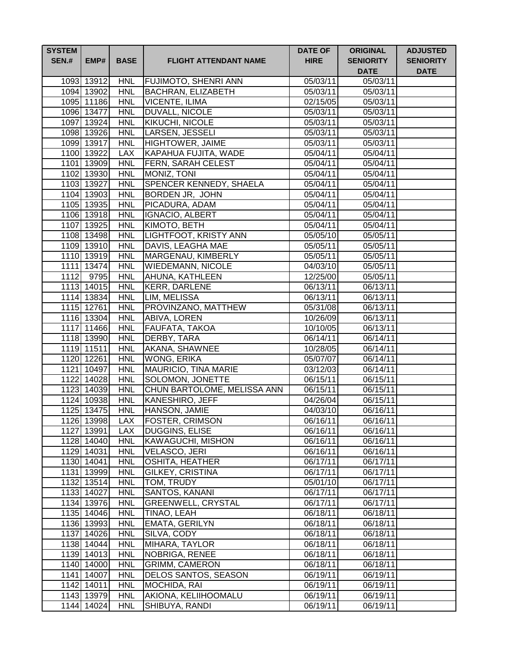| <b>SYSTEM</b><br><b>SEN.#</b> | EMP#                     | <b>BASE</b>              | <b>FLIGHT ATTENDANT NAME</b>         | <b>DATE OF</b><br><b>HIRE</b> | <b>ORIGINAL</b><br><b>SENIORITY</b><br><b>DATE</b> | <b>ADJUSTED</b><br><b>SENIORITY</b><br><b>DATE</b> |
|-------------------------------|--------------------------|--------------------------|--------------------------------------|-------------------------------|----------------------------------------------------|----------------------------------------------------|
|                               | 1093 13912               | <b>HNL</b>               | FUJIMOTO, SHENRI ANN                 | 05/03/11                      | 05/03/11                                           |                                                    |
|                               | 1094 13902               | <b>HNL</b>               | <b>BACHRAN, ELIZABETH</b>            | 05/03/11                      | 05/03/11                                           |                                                    |
|                               | 1095 11186               | <b>HNL</b>               | <b>VICENTE, ILIMA</b>                | 02/15/05                      | 05/03/11                                           |                                                    |
|                               | 1096 13477               | <b>HNL</b>               | DUVALL, NICOLE                       | 05/03/11                      | 05/03/11                                           |                                                    |
|                               | 1097 13924               | <b>HNL</b>               | KIKUCHI, NICOLE                      | 05/03/11                      | 05/03/11                                           |                                                    |
|                               | 1098 13926               | <b>HNL</b>               | LARSEN, JESSELI                      | 05/03/11                      | 05/03/11                                           |                                                    |
|                               | 1099 13917               | <b>HNL</b>               | <b>HIGHTOWER, JAIME</b>              | 05/03/11                      | 05/03/11                                           |                                                    |
|                               | 1100 13922               | <b>LAX</b>               | <b>KAPAHUA FUJITA, WADE</b>          | 05/04/11                      | 05/04/11                                           |                                                    |
|                               | 1101 13909               | <b>HNL</b>               | FERN, SARAH CELEST                   | 05/04/11                      | 05/04/11                                           |                                                    |
|                               | 1102 13930               | <b>HNL</b>               | MONIZ, TONI                          | 05/04/11                      | 05/04/11                                           |                                                    |
|                               | 1103 13927               | <b>HNL</b>               | SPENCER KENNEDY, SHAELA              | 05/04/11                      | 05/04/11                                           |                                                    |
|                               | 1104 13903               | <b>HNL</b>               | BORDEN JR, JOHN                      | 05/04/11                      | 05/04/11                                           |                                                    |
|                               | 1105 13935               | <b>HNL</b>               | PICADURA, ADAM                       | 05/04/11                      | 05/04/11                                           |                                                    |
|                               | 1106 13918               | <b>HNL</b>               | <b>IGNACIO, ALBERT</b>               | 05/04/11                      | 05/04/11                                           |                                                    |
|                               | 1107 13925               | <b>HNL</b>               | KIMOTO, BETH                         | 05/04/11                      | 05/04/11                                           |                                                    |
|                               | 1108 13498               | <b>HNL</b>               | LIGHTFOOT, KRISTY ANN                | 05/05/10                      | 05/05/11                                           |                                                    |
|                               | 1109 13910               | <b>HNL</b>               | DAVIS, LEAGHA MAE                    | 05/05/11                      | 05/05/11                                           |                                                    |
|                               | 1110 13919               | <b>HNL</b>               | MARGENAU, KIMBERLY                   | 05/05/11                      | 05/05/11                                           |                                                    |
|                               | 1111 13474               | <b>HNL</b>               | <b>WIEDEMANN, NICOLE</b>             | 04/03/10                      | 05/05/11                                           |                                                    |
| 1112                          | 9795                     | <b>HNL</b>               | AHUNA, KATHLEEN                      | 12/25/00                      | 05/05/11                                           |                                                    |
|                               | 1113 14015               | <b>HNL</b>               | <b>KERR, DARLENE</b>                 | 06/13/11                      | 06/13/11                                           |                                                    |
|                               | 1114 13834               | <b>HNL</b>               | LIM, MELISSA                         | 06/13/11                      | $\overline{06/1}3/11$                              |                                                    |
|                               | 1115 12761               | <b>HNL</b>               | PROVINZANO, MATTHEW                  | 05/31/08                      | 06/13/11                                           |                                                    |
|                               | 1116 13304<br>1117 11466 | <b>HNL</b><br><b>HNL</b> | ABIVA, LOREN                         | 10/26/09<br>10/10/05          | 06/13/11<br>06/13/11                               |                                                    |
|                               | 1118 13990               | <b>HNL</b>               | FAUFATA, TAKOA<br>DERBY, TARA        | 06/14/11                      | 06/14/11                                           |                                                    |
|                               | 1119 11511               | <b>HNL</b>               | AKANA, SHAWNEE                       | 10/28/05                      | 06/14/11                                           |                                                    |
|                               | 1120 12261               | <b>HNL</b>               | <b>WONG, ERIKA</b>                   | 05/07/07                      | 06/14/11                                           |                                                    |
|                               | 1121 10497               | <b>HNL</b>               | MAURICIO, TINA MARIE                 | 03/12/03                      | 06/14/11                                           |                                                    |
|                               | 1122 14028               | <b>HNL</b>               | SOLOMON, JONETTE                     | 06/15/11                      | 06/15/11                                           |                                                    |
|                               | 1123 14039               | <b>HNL</b>               | CHUN BARTOLOME, MELISSA ANN          | 06/15/11                      | 06/15/11                                           |                                                    |
|                               | 1124 10938               | <b>HNL</b>               | KANESHIRO, JEFF                      | 04/26/04                      | 06/15/11                                           |                                                    |
|                               | 1125 13475               | <b>HNL</b>               | HANSON, JAMIE                        | 04/03/10                      | 06/16/11                                           |                                                    |
|                               | 1126 13998               | <b>LAX</b>               | <b>FOSTER, CRIMSON</b>               | 06/16/11                      | 06/16/11                                           |                                                    |
|                               | 1127 13991               | <b>LAX</b>               | DUGGINS, ELISE                       | 06/16/11                      | 06/16/11                                           |                                                    |
|                               | 1128 14040               | <b>HNL</b>               | KAWAGUCHI, MISHON                    | 06/16/11                      | 06/16/11                                           |                                                    |
|                               | 1129 14031               | <b>HNL</b>               | <b>VELASCO, JERI</b>                 | 06/16/11                      | 06/16/11                                           |                                                    |
|                               | 1130 14041               | <b>HNL</b>               | <b>OSHITA, HEATHER</b>               | 06/17/11                      | 06/17/11                                           |                                                    |
|                               | 1131 13999               | <b>HNL</b>               | GILKEY, CRISTINA                     | 06/17/11                      | 06/17/11                                           |                                                    |
|                               | 1132 13514               | <b>HNL</b>               | TOM, TRUDY                           | 05/01/10                      | 06/17/11                                           |                                                    |
|                               | 1133 14027               | <b>HNL</b>               | SANTOS, KANANI                       | 06/17/11                      | 06/17/11                                           |                                                    |
|                               | 1134 13976               | <b>HNL</b>               | GREENWELL, CRYSTAL                   | 06/17/11                      | 06/17/11                                           |                                                    |
|                               | 1135 14046               | <b>HNL</b>               | <b>TINAO, LEAH</b>                   | 06/18/11                      | $\overline{06}/18/11$                              |                                                    |
|                               | 1136 13993               | <b>HNL</b>               | EMATA, GERILYN                       | 06/18/11                      | 06/18/11                                           |                                                    |
|                               | 1137 14026               | <b>HNL</b>               | SILVA, CODY                          | 06/18/11                      | 06/18/11                                           |                                                    |
|                               | 1138 14044               | <b>HNL</b>               | MIHARA, TAYLOR                       | 06/18/11                      | 06/18/11                                           |                                                    |
|                               | 1139 14013               | <b>HNL</b>               | NOBRIGA, RENEE                       | 06/18/11                      | 06/18/11                                           |                                                    |
|                               | 1140 14000               | <b>HNL</b>               | <b>GRIMM, CAMERON</b>                | 06/18/11                      | 06/18/11                                           |                                                    |
|                               | 1141 14007               | <b>HNL</b>               | DELOS SANTOS, SEASON                 | 06/19/11                      | 06/19/11                                           |                                                    |
|                               | 1142 14011               | <b>HNL</b><br><b>HNL</b> | MOCHIDA, RAI<br>AKIONA, KELIIHOOMALU | 06/19/11                      | 06/19/11                                           |                                                    |
|                               | 1143 13979               | <b>HNL</b>               |                                      | 06/19/11                      | 06/19/11                                           |                                                    |
|                               | 1144 14024               |                          | SHIBUYA, RANDI                       | 06/19/11                      | 06/19/11                                           |                                                    |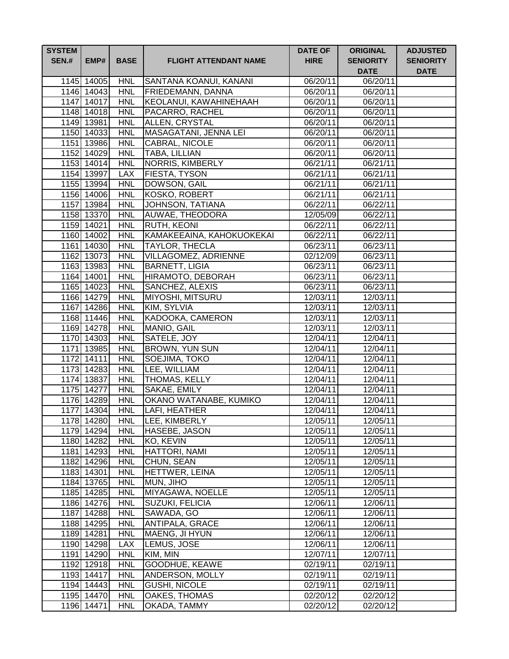| <b>SYSTEM</b><br><b>SEN.#</b> | EMP#                     | <b>BASE</b>              | <b>FLIGHT ATTENDANT NAME</b>           | <b>DATE OF</b><br><b>HIRE</b> | <b>ORIGINAL</b><br><b>SENIORITY</b><br><b>DATE</b> | <b>ADJUSTED</b><br><b>SENIORITY</b><br><b>DATE</b> |
|-------------------------------|--------------------------|--------------------------|----------------------------------------|-------------------------------|----------------------------------------------------|----------------------------------------------------|
|                               | 1145 14005               | <b>HNL</b>               | SANTANA KOANUI, KANANI                 | 06/20/11                      | 06/20/11                                           |                                                    |
|                               | 1146 14043               | <b>HNL</b>               | <b>FRIEDEMANN, DANNA</b>               | 06/20/11                      | 06/20/11                                           |                                                    |
|                               | 1147 14017               | <b>HNL</b>               | KEOLANUI, KAWAHINEHAAH                 | 06/20/11                      | 06/20/11                                           |                                                    |
|                               | 1148 14018               | <b>HNL</b>               | PACARRO, RACHEL                        | 06/20/11                      | 06/20/11                                           |                                                    |
|                               | 1149 13981               | <b>HNL</b>               | ALLEN, CRYSTAL                         | 06/20/11                      | 06/20/11                                           |                                                    |
|                               | 1150 14033               | <b>HNL</b>               | MASAGATANI, JENNA LEI                  | 06/20/11                      | 06/20/11                                           |                                                    |
|                               | 1151 13986               | <b>HNL</b>               | CABRAL, NICOLE                         | 06/20/11                      | $\overline{06}/20/11$                              |                                                    |
|                               | 1152 14029               | <b>HNL</b>               | TABA, LILLIAN                          | 06/20/11                      | 06/20/11                                           |                                                    |
|                               | 1153 14014               | <b>HNL</b>               | <b>NORRIS, KIMBERLY</b>                | 06/21/11                      | 06/21/11                                           |                                                    |
|                               | 1154 13997               | <b>LAX</b>               | FIESTA, TYSON                          | 06/21/11                      | 06/21/11                                           |                                                    |
|                               | 1155 13994               | <b>HNL</b>               | DOWSON, GAIL                           | 06/21/11                      | 06/21/11                                           |                                                    |
|                               | 1156 14006               | <b>HNL</b>               | <b>KOSKO, ROBERT</b>                   | 06/21/11                      | 06/21/11                                           |                                                    |
|                               | 1157 13984               | <b>HNL</b>               | JOHNSON, TATIANA                       | 06/22/11                      | 06/22/11                                           |                                                    |
|                               | 1158 13370               | <b>HNL</b>               | AUWAE, THEODORA                        | 12/05/09                      | 06/22/11                                           |                                                    |
|                               | 1159 14021               | <b>HNL</b>               | RUTH, KEONI                            | 06/22/11                      | 06/22/11                                           |                                                    |
|                               | 1160 14002               | <b>HNL</b>               | KAMAKEEAINA, KAHOKUOKEKAI              | 06/22/11                      | 06/22/11                                           |                                                    |
|                               | 1161 14030               | <b>HNL</b>               | <b>TAYLOR, THECLA</b>                  | 06/23/11                      | 06/23/11                                           |                                                    |
|                               | 1162 13073               | <b>HNL</b>               | <b>VILLAGOMEZ, ADRIENNE</b>            | 02/12/09                      | 06/23/11                                           |                                                    |
|                               | 1163 13983               | <b>HNL</b>               | <b>BARNETT, LIGIA</b>                  | 06/23/11                      | 06/23/11                                           |                                                    |
|                               | 1164 14001               | <b>HNL</b>               | HIRAMOTO, DEBORAH                      | 06/23/11                      | 06/23/11                                           |                                                    |
|                               | 1165 14023<br>1166 14279 | <b>HNL</b><br><b>HNL</b> | <b>SANCHEZ, ALEXIS</b>                 | 06/23/11                      | 06/23/11                                           |                                                    |
|                               | 1167 14286               | <b>HNL</b>               | <b>MIYOSHI, MITSURU</b><br>KIM, SYLVIA | 12/03/11<br>12/03/11          | 12/03/11<br>$\overline{12}/03/11$                  |                                                    |
|                               | 1168 11446               | <b>HNL</b>               | KADOOKA, CAMERON                       | 12/03/11                      | 12/03/11                                           |                                                    |
|                               | 1169 14278               | <b>HNL</b>               | MANIO, GAIL                            | 12/03/11                      | 12/03/11                                           |                                                    |
|                               | 1170 14303               | <b>HNL</b>               | SATELE, JOY                            | 12/04/11                      | 12/04/11                                           |                                                    |
|                               | 1171 13985               | <b>HNL</b>               | <b>BROWN, YUN SUN</b>                  | 12/04/11                      | 12/04/11                                           |                                                    |
|                               | 1172 14111               | <b>HNL</b>               | SOEJIMA, TOKO                          | 12/04/11                      | 12/04/11                                           |                                                    |
|                               | 1173 14283               | <b>HNL</b>               | LEE, WILLIAM                           | 12/04/11                      | 12/04/11                                           |                                                    |
|                               | 1174 13837               | <b>HNL</b>               | THOMAS, KELLY                          | 12/04/11                      | 12/04/11                                           |                                                    |
|                               | 1175 14277               | <b>HNL</b>               | SAKAE, EMILY                           | 12/04/11                      | 12/04/11                                           |                                                    |
|                               | 1176 14289               | <b>HNL</b>               | OKANO WATANABE, KUMIKO                 | 12/04/11                      | 12/04/11                                           |                                                    |
|                               | 1177 14304               | HNL                      | LAFI, HEATHER                          | 12/04/11                      | 12/04/11                                           |                                                    |
|                               | 1178 14280               | <b>HNL</b>               | <b>LEE, KIMBERLY</b>                   | 12/05/11                      | 12/05/11                                           |                                                    |
|                               | 1179 14294               | <b>HNL</b>               | HASEBE, JASON                          | 12/05/11                      | 12/05/11                                           |                                                    |
|                               | 1180 14282               | <b>HNL</b>               | KO, KEVIN                              | 12/05/11                      | 12/05/11                                           |                                                    |
|                               | 1181 14293               | <b>HNL</b>               | <b>HATTORI, NAMI</b>                   | 12/05/11                      | 12/05/11                                           |                                                    |
|                               | 1182 14296               | <b>HNL</b>               | CHUN, SEAN                             | 12/05/11                      | 12/05/11                                           |                                                    |
|                               | 1183 14301               | <b>HNL</b>               | HETTWER, LEINA                         | 12/05/11                      | 12/05/11                                           |                                                    |
|                               | 1184 13765               | <b>HNL</b>               | MUN, JIHO                              | 12/05/11                      | 12/05/11                                           |                                                    |
|                               | 1185 14285               | <b>HNL</b>               | MIYAGAWA, NOELLE                       | 12/05/11                      | 12/05/11                                           |                                                    |
|                               | 1186 14276               | <b>HNL</b>               | SUZUKI, FELICIA                        | 12/06/11                      | 12/06/11                                           |                                                    |
|                               | 1187 14288               | <b>HNL</b>               | SAWADA, GO                             | 12/06/11                      | 12/06/11                                           |                                                    |
|                               | 1188 14295               | <b>HNL</b>               | ANTIPALA, GRACE                        | 12/06/11                      | 12/06/11                                           |                                                    |
|                               | 1189 14281               | <b>HNL</b>               | MAENG, JI HYUN                         | 12/06/11                      | 12/06/11                                           |                                                    |
|                               | 1190 14298               | <b>LAX</b>               | LEMUS, JOSE                            | 12/06/11                      | 12/06/11                                           |                                                    |
|                               | 1191 14290               | <b>HNL</b>               | KIM, MIN                               | 12/07/11                      | 12/07/11                                           |                                                    |
|                               | 1192 12918               | <b>HNL</b>               | GOODHUE, KEAWE                         | 02/19/11                      | 02/19/11                                           |                                                    |
|                               | 1193 14417               | <b>HNL</b>               | ANDERSON, MOLLY                        | 02/19/11                      | 02/19/11                                           |                                                    |
|                               | 1194 14443               | <b>HNL</b><br><b>HNL</b> | <b>GUSHI, NICOLE</b><br>OAKES, THOMAS  | 02/19/11                      | 02/19/11<br>02/20/12                               |                                                    |
|                               | 1195 14470<br>1196 14471 | <b>HNL</b>               | OKADA, TAMMY                           | 02/20/12<br>02/20/12          | 02/20/12                                           |                                                    |
|                               |                          |                          |                                        |                               |                                                    |                                                    |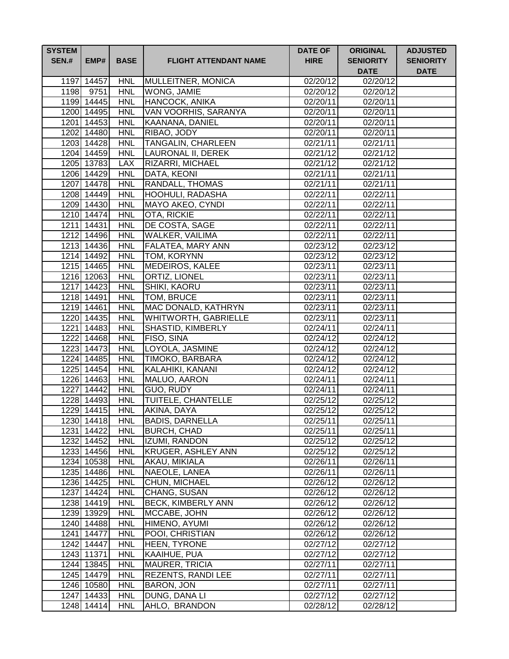| <b>SYSTEM</b><br><b>SEN.#</b> | EMP#       | <b>BASE</b> | <b>FLIGHT ATTENDANT NAME</b> | <b>DATE OF</b><br><b>HIRE</b> | <b>ORIGINAL</b><br><b>SENIORITY</b><br><b>DATE</b> | <b>ADJUSTED</b><br><b>SENIORITY</b><br><b>DATE</b> |
|-------------------------------|------------|-------------|------------------------------|-------------------------------|----------------------------------------------------|----------------------------------------------------|
|                               | 1197 14457 | <b>HNL</b>  | MULLEITNER, MONICA           | 02/20/12                      | 02/20/12                                           |                                                    |
|                               | 1198 9751  | <b>HNL</b>  | WONG, JAMIE                  | 02/20/12                      | $\overline{02}/20/12$                              |                                                    |
|                               | 1199 14445 | <b>HNL</b>  | HANCOCK, ANIKA               | 02/20/11                      | 02/20/11                                           |                                                    |
|                               | 1200 14495 | <b>HNL</b>  | VAN VOORHIS, SARANYA         | 02/20/11                      | 02/20/11                                           |                                                    |
|                               | 1201 14453 | <b>HNL</b>  | KAANANA, DANIEL              | $\overline{02}/20/11$         | 02/20/11                                           |                                                    |
|                               | 1202 14480 | <b>HNL</b>  | RIBAO, JODY                  | 02/20/11                      | 02/20/11                                           |                                                    |
|                               | 1203 14428 | <b>HNL</b>  | <b>TANGALIN, CHARLEEN</b>    | 02/21/11                      | 02/21/11                                           |                                                    |
|                               | 1204 14459 | <b>HNL</b>  | LAURONAL II, DEREK           | 02/21/12                      | 02/21/12                                           |                                                    |
|                               | 1205 13783 | <b>LAX</b>  | <b>RIZARRI, MICHAEL</b>      | 02/21/12                      | 02/21/12                                           |                                                    |
|                               | 1206 14429 | <b>HNL</b>  | DATA, KEONI                  | 02/21/11                      | 02/21/11                                           |                                                    |
|                               | 1207 14478 | <b>HNL</b>  | RANDALL, THOMAS              | 02/21/11                      | 02/21/11                                           |                                                    |
|                               | 1208 14449 | <b>HNL</b>  | HOOHULI, RADASHA             | 02/22/11                      | 02/22/11                                           |                                                    |
|                               | 1209 14430 | <b>HNL</b>  | MAYO AKEO, CYNDI             | 02/22/11                      | 02/22/11                                           |                                                    |
|                               | 1210 14474 | <b>HNL</b>  | OTA, RICKIE                  | 02/22/11                      | 02/22/11                                           |                                                    |
|                               | 1211 14431 | <b>HNL</b>  | DE COSTA, SAGE               | 02/22/11                      | 02/22/11                                           |                                                    |
|                               | 1212 14496 | <b>HNL</b>  | WALKER, VAILIMA              | 02/22/11                      | 02/22/11                                           |                                                    |
|                               | 1213 14436 | <b>HNL</b>  | <b>FALATEA, MARY ANN</b>     | 02/23/12                      | 02/23/12                                           |                                                    |
|                               | 1214 14492 | <b>HNL</b>  | <b>TOM, KORYNN</b>           | 02/23/12                      | 02/23/12                                           |                                                    |
|                               | 1215 14465 | <b>HNL</b>  | MEDEIROS, KALEE              | 02/23/11                      | 02/23/11                                           |                                                    |
|                               | 1216 12063 | <b>HNL</b>  | ORTIZ, LIONEL                | 02/23/11                      | 02/23/11                                           |                                                    |
|                               | 1217 14423 | <b>HNL</b>  | SHIKI, KAORU                 | 02/23/11                      | 02/23/11                                           |                                                    |
|                               | 1218 14491 | <b>HNL</b>  | TOM, BRUCE                   | 02/23/11                      | 02/23/11                                           |                                                    |
|                               | 1219 14461 | <b>HNL</b>  | MAC DONALD, KATHRYN          | 02/23/11                      | 02/23/11                                           |                                                    |
|                               | 1220 14435 | <b>HNL</b>  | <b>WHITWORTH, GABRIELLE</b>  | 02/23/11                      | 02/23/11                                           |                                                    |
|                               | 1221 14483 | <b>HNL</b>  | <b>SHASTID, KIMBERLY</b>     | 02/24/11                      | 02/24/11                                           |                                                    |
|                               | 1222 14468 | <b>HNL</b>  | <b>FISO, SINA</b>            | 02/24/12                      | 02/24/12                                           |                                                    |
|                               | 1223 14473 | <b>HNL</b>  | LOYOLA, JASMINE              | 02/24/12                      | 02/24/12                                           |                                                    |
|                               | 1224 14485 | <b>HNL</b>  | TIMOKO, BARBARA              | 02/24/12                      | 02/24/12                                           |                                                    |
|                               | 1225 14454 | <b>HNL</b>  | KALAHIKI, KANANI             | 02/24/12                      | 02/24/12                                           |                                                    |
|                               | 1226 14463 | <b>HNL</b>  | MALUO, AARON                 | 02/24/11                      | 02/24/11                                           |                                                    |
|                               | 1227 14442 | <b>HNL</b>  | GUO, RUDY                    | 02/24/11                      | 02/24/11                                           |                                                    |
|                               | 1228 14493 | <b>HNL</b>  | TUITELE, CHANTELLE           | 02/25/12                      | 02/25/12                                           |                                                    |
|                               | 1229 14415 | <b>HNL</b>  | AKINA, DAYA                  | 02/25/12                      | 02/25/12                                           |                                                    |
|                               | 1230 14418 | <b>HNL</b>  | <b>BADIS, DARNELLA</b>       | 02/25/11                      | 02/25/11                                           |                                                    |
|                               | 1231 14422 | <b>HNL</b>  | <b>BURCH, CHAD</b>           | 02/25/11                      | 02/25/11                                           |                                                    |
|                               | 1232 14452 | <b>HNL</b>  | IZUMI, RANDON                | 02/25/12                      | 02/25/12                                           |                                                    |
|                               | 1233 14456 | <b>HNL</b>  | <b>KRUGER, ASHLEY ANN</b>    | 02/25/12                      | $02/25/\overline{12}$                              |                                                    |
|                               | 1234 10538 | <b>HNL</b>  | AKAU, MIKIALA                | 02/26/11                      | 02/26/11                                           |                                                    |
|                               | 1235 14486 | <b>HNL</b>  | NAEOLE, LANEA                | 02/26/11                      | 02/26/11                                           |                                                    |
|                               | 1236 14425 | <b>HNL</b>  | CHUN, MICHAEL                | 02/26/12                      | 02/26/12                                           |                                                    |
|                               | 1237 14424 | <b>HNL</b>  | CHANG, SUSAN                 | 02/26/12                      | 02/26/12                                           |                                                    |
|                               | 1238 14419 | <b>HNL</b>  | <b>BECK, KIMBERLY ANN</b>    | 02/26/12                      | 02/26/12                                           |                                                    |
|                               | 1239 13929 | <b>HNL</b>  | MCCABE, JOHN                 | 02/26/12                      | 02/26/12                                           |                                                    |
|                               | 1240 14488 | <b>HNL</b>  | HIMENO, AYUMI                | 02/26/12                      | 02/26/12                                           |                                                    |
|                               | 1241 14477 | <b>HNL</b>  | POOI, CHRISTIAN              | 02/26/12                      | 02/26/12                                           |                                                    |
|                               | 1242 14447 | <b>HNL</b>  | HEEN, TYRONE                 | 02/27/12                      | 02/27/12                                           |                                                    |
|                               | 1243 11371 | <b>HNL</b>  | KAAIHUE, PUA                 | 02/27/12                      | 02/27/12                                           |                                                    |
|                               | 1244 13845 | <b>HNL</b>  | <b>MAURER, TRICIA</b>        | 02/27/11                      | 02/27/11                                           |                                                    |
|                               | 1245 14479 | <b>HNL</b>  | <b>REZENTS, RANDI LEE</b>    | 02/27/11                      | 02/27/11                                           |                                                    |
|                               | 1246 10580 | <b>HNL</b>  | <b>BARON, JON</b>            | 02/27/11                      | 02/27/11                                           |                                                    |
|                               | 1247 14433 | <b>HNL</b>  | DUNG, DANA LI                | 02/27/12                      | 02/27/12                                           |                                                    |
|                               | 1248 14414 | <b>HNL</b>  | AHLO, BRANDON                | 02/28/12                      | 02/28/12                                           |                                                    |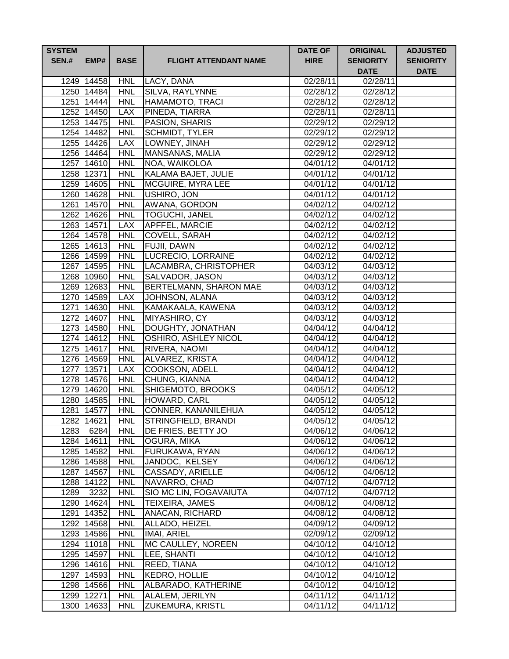| <b>SYSTEM</b><br><b>SEN.#</b> | EMP#                     | <b>BASE</b>              | <b>FLIGHT ATTENDANT NAME</b>             | <b>DATE OF</b><br><b>HIRE</b> | <b>ORIGINAL</b><br><b>SENIORITY</b><br><b>DATE</b> | <b>ADJUSTED</b><br><b>SENIORITY</b><br><b>DATE</b> |
|-------------------------------|--------------------------|--------------------------|------------------------------------------|-------------------------------|----------------------------------------------------|----------------------------------------------------|
|                               | 1249 14458               | <b>HNL</b>               | LACY, DANA                               | 02/28/11                      | 02/28/11                                           |                                                    |
|                               | 1250 14484               | <b>HNL</b>               | SILVA, RAYLYNNE                          | 02/28/12                      | 02/28/12                                           |                                                    |
|                               | 1251 14444               | <b>HNL</b>               | HAMAMOTO, TRACI                          | 02/28/12                      | 02/28/12                                           |                                                    |
|                               | 1252 14450               | <b>LAX</b>               | PINEDA, TIARRA                           | 02/28/11                      | 02/28/11                                           |                                                    |
|                               | 1253 14475               | <b>HNL</b>               | PASION, SHARIS                           | 02/29/12                      | 02/29/12                                           |                                                    |
|                               | 1254 14482               | <b>HNL</b>               | SCHMIDT, TYLER                           | 02/29/12                      | 02/29/12                                           |                                                    |
|                               | 1255 14426               | <b>LAX</b>               | LOWNEY, JINAH                            | 02/29/12                      | 02/29/12                                           |                                                    |
|                               | 1256 14464               | <b>HNL</b>               | MANSANAS, MALIA                          | 02/29/12                      | 02/29/12                                           |                                                    |
|                               | 1257 14610               | <b>HNL</b>               | NOA, WAIKOLOA                            | 04/01/12                      | 04/01/12                                           |                                                    |
|                               | 1258 12371               | <b>HNL</b>               | KALAMA BAJET, JULIE                      | 04/01/12                      | 04/01/12                                           |                                                    |
|                               | 1259 14605               | <b>HNL</b>               | <b>MCGUIRE, MYRA LEE</b>                 | 04/01/12                      | 04/01/12                                           |                                                    |
|                               | 1260 14628               | <b>HNL</b>               | USHIRO, JON                              | 04/01/12                      | 04/01/12                                           |                                                    |
|                               | 1261 14570               | <b>HNL</b>               | AWANA, GORDON                            | 04/02/12                      | 04/02/12                                           |                                                    |
|                               | 1262 14626               | <b>HNL</b>               | <b>TOGUCHI, JANEL</b>                    | 04/02/12                      | 04/02/12                                           |                                                    |
|                               | 1263 14571               | <b>LAX</b>               | <b>APFFEL, MARCIE</b>                    | 04/02/12                      | 04/02/12                                           |                                                    |
|                               | 1264 14578               | <b>HNL</b>               | COVELL, SARAH                            | 04/02/12                      | 04/02/12                                           |                                                    |
|                               | 1265 14613               | <b>HNL</b>               | <b>FUJII, DAWN</b>                       | 04/02/12                      | 04/02/12                                           |                                                    |
|                               | 1266 14599               | <b>HNL</b>               | LUCRECIO, LORRAINE                       | 04/02/12                      | 04/02/12                                           |                                                    |
|                               | 1267 14595               | <b>HNL</b><br><b>HNL</b> | LACAMBRA, CHRISTOPHER<br>SALVADOR, JASON | 04/03/12                      | 04/03/12                                           |                                                    |
|                               | 1268 10960<br>1269 12683 | <b>HNL</b>               | <b>BERTELMANN, SHARON MAE</b>            | 04/03/12<br>04/03/12          | 04/03/12<br>04/03/12                               |                                                    |
|                               | 1270 14589               | <b>LAX</b>               | JOHNSON, ALANA                           | 04/03/12                      | 04/03/12                                           |                                                    |
|                               | 1271 14630               | <b>HNL</b>               | KAMAKAALA, KAWENA                        | 04/03/12                      | 04/03/12                                           |                                                    |
|                               | 1272 14607               | <b>HNL</b>               | MIYASHIRO, CY                            | 04/03/12                      | 04/03/12                                           |                                                    |
|                               | 1273 14580               | <b>HNL</b>               | DOUGHTY, JONATHAN                        | 04/04/12                      | 04/04/12                                           |                                                    |
|                               | 1274 14612               | <b>HNL</b>               | OSHIRO, ASHLEY NICOL                     | 04/04/12                      | 04/04/12                                           |                                                    |
|                               | 1275 14617               | <b>HNL</b>               | RIVERA, NAOMI                            | 04/04/12                      | 04/04/12                                           |                                                    |
|                               | 1276 14569               | <b>HNL</b>               | ALVAREZ, KRISTA                          | 04/04/12                      | 04/04/12                                           |                                                    |
|                               | 1277 13571               | <b>LAX</b>               | COOKSON, ADELL                           | 04/04/12                      | 04/04/12                                           |                                                    |
|                               | 1278 14576               | <b>HNL</b>               | CHUNG, KIANNA                            | 04/04/12                      | 04/04/12                                           |                                                    |
|                               | 1279 14620               | <b>HNL</b>               | SHIGEMOTO, BROOKS                        | 04/05/12                      | 04/05/12                                           |                                                    |
|                               | 1280 14585               | <b>HNL</b>               | HOWARD, CARL                             | 04/05/12                      | 04/05/12                                           |                                                    |
|                               | 1281 14577               | <b>HNL</b>               | CONNER, KANANILEHUA                      | 04/05/12                      | 04/05/12                                           |                                                    |
|                               | 1282 14621               | <b>HNL</b>               | STRINGFIELD, BRANDI                      | 04/05/12                      | 04/05/12                                           |                                                    |
| 1283                          | 6284                     | <b>HNL</b>               | DE FRIES, BETTY JO                       | 04/06/12                      | 04/06/12                                           |                                                    |
|                               | 1284 14611               | <b>HNL</b>               | OGURA, MIKA                              | 04/06/12                      | 04/06/12                                           |                                                    |
|                               | 1285 14582               | <b>HNL</b>               | FURUKAWA, RYAN                           | 04/06/12                      | 04/06/12                                           |                                                    |
|                               | 1286 14588               | <b>HNL</b>               | JANDOC, KELSEY                           | 04/06/12                      | 04/06/12                                           |                                                    |
|                               | 1287 14567               | <b>HNL</b>               | CASSADY, ARIELLE                         | 04/06/12                      | 04/06/12                                           |                                                    |
|                               | 1288 14122               | <b>HNL</b>               | NAVARRO, CHAD                            | 04/07/12                      | 04/07/12                                           |                                                    |
| 1289                          | 3232                     | <b>HNL</b>               | SIO MC LIN, FOGAVAIUTA                   | 04/07/12                      | 04/07/12                                           |                                                    |
|                               | 1290 14624               | <b>HNL</b>               | TEIXEIRA, JAMES                          | 04/08/12                      | 04/08/12                                           |                                                    |
|                               | 1291 14352               | <b>HNL</b>               | ANACAN, RICHARD                          | 04/08/12                      | 04/08/12                                           |                                                    |
|                               | 1292 14568               | <b>HNL</b>               | ALLADO, HEIZEL                           | 04/09/12                      | 04/09/12                                           |                                                    |
|                               | 1293 14586               | <b>HNL</b>               | IMAI, ARIEL                              | 02/09/12                      | 02/09/12                                           |                                                    |
|                               | 1294 11018               | <b>HNL</b>               | MC CAULLEY, NOREEN                       | 04/10/12                      | 04/10/12                                           |                                                    |
|                               | 1295 14597               | <b>HNL</b>               | LEE, SHANTI                              | 04/10/12                      | 04/10/12                                           |                                                    |
|                               | 1296 14616               | <b>HNL</b>               | REED, TIANA                              | 04/10/12                      | 04/10/12                                           |                                                    |
|                               | 1297 14593               | <b>HNL</b>               | <b>KEDRO, HOLLIE</b>                     | 04/10/12                      | 04/10/12                                           |                                                    |
|                               | 1298 14566               | <b>HNL</b>               | ALBARADO, KATHERINE                      | 04/10/12                      | 04/10/12                                           |                                                    |
|                               | 1299 12271               | <b>HNL</b>               | ALALEM, JERILYN                          | 04/11/12                      | 04/11/12                                           |                                                    |
|                               | 1300 14633               | <b>HNL</b>               | <b>ZUKEMURA, KRISTL</b>                  | 04/11/12                      | 04/11/12                                           |                                                    |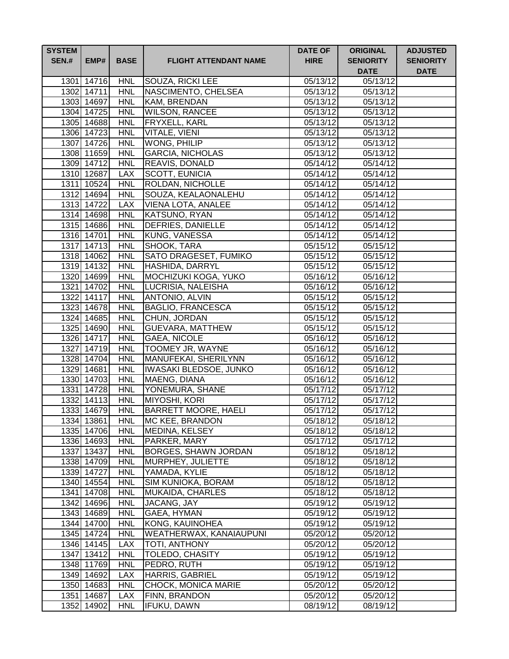| <b>SYSTEM</b><br><b>SEN.#</b> | EMP#                     | <b>BASE</b>              | <b>FLIGHT ATTENDANT NAME</b>            | <b>DATE OF</b><br><b>HIRE</b> | <b>ORIGINAL</b><br><b>SENIORITY</b><br><b>DATE</b> | <b>ADJUSTED</b><br><b>SENIORITY</b><br><b>DATE</b> |
|-------------------------------|--------------------------|--------------------------|-----------------------------------------|-------------------------------|----------------------------------------------------|----------------------------------------------------|
|                               | 1301 14716               | <b>HNL</b>               | <b>SOUZA, RICKI LEE</b>                 | 05/13/12                      | 05/13/12                                           |                                                    |
|                               | 1302 14711               | <b>HNL</b>               | NASCIMENTO, CHELSEA                     | 05/13/12                      | 05/13/12                                           |                                                    |
|                               | 1303 14697               | <b>HNL</b>               | KAM, BRENDAN                            | 05/13/12                      | 05/13/12                                           |                                                    |
|                               | 1304 14725               | <b>HNL</b>               | <b>WILSON, RANCEE</b>                   | 05/13/12                      | 05/13/12                                           |                                                    |
|                               | 1305 14688               | <b>HNL</b>               | FRYXELL, KARL                           | 05/13/12                      | 05/13/12                                           |                                                    |
|                               | 1306 14723               | <b>HNL</b>               | VITALE, VIENI                           | 05/13/12                      | 05/13/12                                           |                                                    |
|                               | 1307 14726               | <b>HNL</b>               | WONG, PHILIP                            | 05/13/12                      | 05/13/12                                           |                                                    |
|                               | 1308 11659               | <b>HNL</b>               | <b>GARCIA, NICHOLAS</b>                 | 05/13/12                      | 05/13/12                                           |                                                    |
|                               | 1309 14712               | <b>HNL</b>               | <b>REAVIS, DONALD</b>                   | 05/14/12                      | 05/14/12                                           |                                                    |
|                               | 1310 12687               | <b>LAX</b>               | <b>SCOTT, EUNICIA</b>                   | 05/14/12                      | 05/14/12                                           |                                                    |
|                               | 1311 10524               | <b>HNL</b>               | ROLDAN, NICHOLLE                        | 05/14/12                      | 05/14/12                                           |                                                    |
|                               | 1312 14694               | <b>HNL</b>               | SOUZA, KEALAONALEHU                     | 05/14/12                      | 05/14/12                                           |                                                    |
|                               | 1313 14722               | <b>LAX</b>               | VIENA LOTA, ANALEE                      | 05/14/12                      | 05/14/12                                           |                                                    |
|                               | 1314 14698               | <b>HNL</b>               | KATSUNO, RYAN                           | 05/14/12                      | 05/14/12                                           |                                                    |
|                               | 1315 14686               | <b>HNL</b>               | DEFRIES, DANIELLE                       | 05/14/12                      | 05/14/12                                           |                                                    |
|                               | 1316 14701               | <b>HNL</b>               | <b>KUNG, VANESSA</b>                    | 05/14/12                      | 05/14/12                                           |                                                    |
|                               | 1317 14713               | <b>HNL</b>               | SHOOK, TARA                             | 05/15/12                      | 05/15/12                                           |                                                    |
|                               | 1318 14062               | <b>HNL</b>               | <b>SATO DRAGESET, FUMIKO</b>            | 05/15/12                      | 05/15/12                                           |                                                    |
|                               | 1319 14132               | <b>HNL</b>               | HASHIDA, DARRYL                         | 05/15/12                      | 05/15/12                                           |                                                    |
|                               | 1320 14699               | <b>HNL</b>               | MOCHIZUKI KOGA, YUKO                    | 05/16/12                      | 05/16/12                                           |                                                    |
|                               | 1321 14702               | <b>HNL</b>               | LUCRISIA, NALEISHA                      | 05/16/12                      | 05/16/12                                           |                                                    |
|                               | 1322 14117               | <b>HNL</b>               | ANTONIO, ALVIN                          | 05/15/12                      | $\overline{05}/15/12$                              |                                                    |
|                               | 1323 14678               | <b>HNL</b>               | <b>BAGLIO, FRANCESCA</b>                | 05/15/12                      | 05/15/12                                           |                                                    |
|                               | 1324 14685<br>1325 14690 | <b>HNL</b><br><b>HNL</b> | CHUN, JORDAN<br><b>GUEVARA, MATTHEW</b> | 05/15/12<br>05/15/12          | 05/15/12<br>05/15/12                               |                                                    |
|                               | 1326 14717               | <b>HNL</b>               | <b>GAEA, NICOLE</b>                     | 05/16/12                      | 05/16/12                                           |                                                    |
|                               | 1327 14719               | <b>HNL</b>               | TOOMEY JR, WAYNE                        | 05/16/12                      | 05/16/12                                           |                                                    |
|                               | 1328 14704               | <b>HNL</b>               | MANUFEKAI, SHERILYNN                    | 05/16/12                      | 05/16/12                                           |                                                    |
|                               | 1329 14681               | <b>HNL</b>               | IWASAKI BLEDSOE, JUNKO                  | 05/16/12                      | 05/16/12                                           |                                                    |
|                               | 1330 14703               | <b>HNL</b>               | MAENG, DIANA                            | 05/16/12                      | 05/16/12                                           |                                                    |
|                               | 1331 14728               | <b>HNL</b>               | YONEMURA, SHANE                         | 05/17/12                      | 05/17/12                                           |                                                    |
|                               | 1332 14113               | <b>HNL</b>               | <b>MIYOSHI, KORI</b>                    | 05/17/12                      | 05/17/12                                           |                                                    |
|                               | 1333 14679               | <b>HNL</b>               | <b>BARRETT MOORE, HAELI</b>             | 05/17/12                      | 05/17/12                                           |                                                    |
|                               | 1334 13861               | <b>HNL</b>               | MC KEE, BRANDON                         | 05/18/12                      | 05/18/12                                           |                                                    |
|                               | 1335 14706               | <b>HNL</b>               | <b>MEDINA, KELSEY</b>                   | 05/18/12                      | 05/18/12                                           |                                                    |
|                               | 1336 14693               | <b>HNL</b>               | PARKER, MARY                            | 05/17/12                      | $05/17/\overline{12}$                              |                                                    |
|                               | 1337 13437               | <b>HNL</b>               | <b>BORGES, SHAWN JORDAN</b>             | 05/18/12                      | $05/18/\overline{12}$                              |                                                    |
|                               | 1338 14709               | <b>HNL</b>               | MURPHEY, JULIETTE                       | 05/18/12                      | 05/18/12                                           |                                                    |
|                               | 1339 14727               | <b>HNL</b>               | YAMADA, KYLIE                           | 05/18/12                      | 05/18/12                                           |                                                    |
|                               | 1340 14554               | <b>HNL</b>               | SIM KUNIOKA, BORAM                      | 05/18/12                      | 05/18/12                                           |                                                    |
|                               | 1341 14708               | <b>HNL</b>               | <b>MUKAIDA, CHARLES</b>                 | 05/18/12                      | 05/18/12                                           |                                                    |
|                               | 1342 14696               | <b>HNL</b>               | JACANG, JAY                             | 05/19/12                      | 05/19/12                                           |                                                    |
|                               | 1343 14689               | <b>HNL</b>               | GAEA, HYMAN                             | 05/19/12                      | 05/19/12                                           |                                                    |
|                               | 1344 14700               | <b>HNL</b>               | KONG, KAUINOHEA                         | 05/19/12                      | 05/19/12                                           |                                                    |
|                               | 1345 14724               | <b>HNL</b>               | WEATHERWAX, KANAIAUPUNI                 | 05/20/12                      | 05/20/12                                           |                                                    |
|                               | 1346 14145               | <b>LAX</b>               | TOTI, ANTHONY                           | 05/20/12                      | 05/20/12                                           |                                                    |
|                               | 1347 13412               | <b>HNL</b>               | <b>TOLEDO, CHASITY</b>                  | 05/19/12                      | 05/19/12                                           |                                                    |
|                               | 1348 11769               | <b>HNL</b>               | PEDRO, RUTH                             | 05/19/12                      | 05/19/12                                           |                                                    |
|                               | 1349 14692               | <b>LAX</b>               | <b>HARRIS, GABRIEL</b>                  | $\overline{0}5/19/12$         | 05/19/12                                           |                                                    |
|                               | 1350 14683               | <b>HNL</b>               | CHOCK, MONICA MARIE                     | 05/20/12                      | 05/20/12                                           |                                                    |
|                               | 1351 14687               | <b>LAX</b>               | FINN, BRANDON                           | 05/20/12                      | 05/20/12                                           |                                                    |
|                               | 1352 14902               | <b>HNL</b>               | IFUKU, DAWN                             | 08/19/12                      | 08/19/12                                           |                                                    |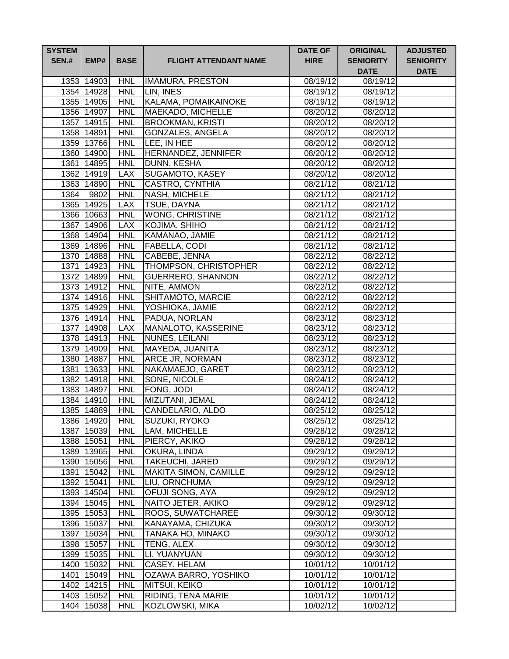| <b>SYSTEM</b> |                          |                          |                                  | <b>DATE OF</b>        | <b>ORIGINAL</b>                 | <b>ADJUSTED</b>                 |
|---------------|--------------------------|--------------------------|----------------------------------|-----------------------|---------------------------------|---------------------------------|
| <b>SEN.#</b>  | EMP#                     | <b>BASE</b>              | <b>FLIGHT ATTENDANT NAME</b>     | <b>HIRE</b>           | <b>SENIORITY</b><br><b>DATE</b> | <b>SENIORITY</b><br><b>DATE</b> |
|               | 1353 14903               | <b>HNL</b>               | <b>IMAMURA, PRESTON</b>          | 08/19/12              | 08/19/12                        |                                 |
|               | 1354 14928               | <b>HNL</b>               | LIN, INES                        | 08/19/12              | 08/19/12                        |                                 |
|               | 1355 14905               | <b>HNL</b>               | KALAMA, POMAIKAINOKE             | 08/19/12              | 08/19/12                        |                                 |
|               | 1356 14907               | <b>HNL</b>               | MAEKADO, MICHELLE                | 08/20/12              | 08/20/12                        |                                 |
|               | 1357 14915               | <b>HNL</b>               | <b>BROOKMAN, KRISTI</b>          | 08/20/12              | 08/20/12                        |                                 |
|               | 1358 14891               | <b>HNL</b>               | <b>GONZALES, ANGELA</b>          | $\overline{08}/20/12$ | 08/20/12                        |                                 |
|               | 1359 13766               | <b>HNL</b>               | LEE, IN HEE                      | 08/20/12              | 08/20/12                        |                                 |
|               | 1360 14900               | <b>HNL</b>               | HERNANDEZ, JENNIFER              | 08/20/12              | 08/20/12                        |                                 |
|               | 1361 14895               | <b>HNL</b>               | <b>DUNN, KESHA</b>               | 08/20/12              | 08/20/12                        |                                 |
|               | 1362 14919               | <b>LAX</b>               | <b>SUGAMOTO, KASEY</b>           | 08/20/12              | 08/20/12                        |                                 |
|               | 1363 14890               | <b>HNL</b>               | <b>CASTRO, CYNTHIA</b>           | 08/21/12              | 08/21/12                        |                                 |
| 1364          | 9802                     | <b>HNL</b>               | <b>NASH, MICHELE</b>             | 08/21/12              | 08/21/12                        |                                 |
|               | 1365 14925               | <b>LAX</b>               | <b>TSUE, DAYNA</b>               | 08/21/12              | 08/21/12                        |                                 |
|               | 1366 10663               | <b>HNL</b>               | <b>WONG, CHRISTINE</b>           | 08/21/12              | 08/21/12                        |                                 |
|               | 1367 14906               | <b>LAX</b>               | KOJIMA, SHIHO                    | 08/21/12              | 08/21/12                        |                                 |
|               | 1368 14904               | <b>HNL</b>               | KAMANAO, JAMIE                   | 08/21/12              | 08/21/12                        |                                 |
|               | 1369 14896               | <b>HNL</b>               | FABELLA, CODI                    | 08/21/12              | 08/21/12                        |                                 |
|               | 1370 14888               | <b>HNL</b>               | CABEBE, JENNA                    | 08/22/12              | 08/22/12                        |                                 |
|               | 1371 14923               | <b>HNL</b>               | <b>THOMPSON, CHRISTOPHER</b>     | 08/22/12              | 08/22/12                        |                                 |
|               | 1372 14899               | <b>HNL</b>               | <b>GUERRERO, SHANNON</b>         | 08/22/12              | 08/22/12                        |                                 |
|               | 1373 14912               | <b>HNL</b>               | NITE, AMMON                      | 08/22/12              | 08/22/12                        |                                 |
|               | 1374 14916               | <b>HNL</b>               | SHITAMOTO, MARCIE                | 08/22/12              | 08/22/12                        |                                 |
|               | 1375 14929               | <b>HNL</b>               | YOSHIOKA, JAMIE                  | 08/22/12              | 08/22/12                        |                                 |
|               | 1376 14914               | <b>HNL</b>               | PADUA, NORLAN                    | 08/23/12              | 08/23/12                        |                                 |
|               | 1377 14908               | <b>LAX</b>               | MANALOTO, KASSERINE              | 08/23/12              | $\sqrt{08}/23/12$               |                                 |
|               | 1378 14913               | <b>HNL</b>               | NUNES, LEILANI                   | 08/23/12              | 08/23/12                        |                                 |
|               | 1379 14909               | <b>HNL</b><br><b>HNL</b> | MAYEDA, JUANITA                  | 08/23/12              | 08/23/12                        |                                 |
|               | 1380 14887<br>1381 13633 | <b>HNL</b>               | ARCE JR, NORMAN                  | 08/23/12              | 08/23/12                        |                                 |
|               | 1382 14918               | <b>HNL</b>               | NAKAMAEJO, GARET<br>SONE, NICOLE | 08/23/12<br>08/24/12  | 08/23/12<br>08/24/12            |                                 |
|               | 1383 14897               | <b>HNL</b>               | FONG, JODI                       | 08/24/12              | 08/24/12                        |                                 |
|               | 1384 14910               | <b>HNL</b>               | MIZUTANI, JEMAL                  | 08/24/12              | 08/24/12                        |                                 |
|               | 1385 14889               | <b>HNL</b>               | CANDELARIO, ALDO                 | 08/25/12              | 08/25/12                        |                                 |
|               | 1386 14920               | <b>HNL</b>               | SUZUKI, RYOKO                    | 08/25/12              | 08/25/12                        |                                 |
|               | 1387 15039               | <b>HNL</b>               | LAM, MICHELLE                    | 09/28/12              | 09/28/12                        |                                 |
|               | 1388 15051               | <b>HNL</b>               | PIERCY, AKIKO                    | 09/28/12              | 09/28/12                        |                                 |
|               | 1389 13965               | <b>HNL</b>               | OKURA, LINDA                     | 09/29/12              | 09/29/12                        |                                 |
|               | 1390 15056               | <b>HNL</b>               | <b>TAKEUCHI, JARED</b>           | 09/29/12              | 09/29/12                        |                                 |
|               | 1391 15042               | <b>HNL</b>               | <b>MAKITA SIMON, CAMILLE</b>     | 09/29/12              | 09/29/12                        |                                 |
|               | 1392 15041               | <b>HNL</b>               | LIU, ORNCHUMA                    | 09/29/12              | 09/29/12                        |                                 |
|               | 1393 14504               | <b>HNL</b>               | OFUJI SONG, AYA                  | 09/29/12              | 09/29/12                        |                                 |
|               | 1394 15045               | <b>HNL</b>               | NAITO JETER, AKIKO               | 09/29/12              | 09/29/12                        |                                 |
|               | 1395 15053               | <b>HNL</b>               | ROOS, SUWATCHAREE                | 09/30/12              | 09/30/12                        |                                 |
|               | 1396 15037               | <b>HNL</b>               | KANAYAMA, CHIZUKA                | 09/30/12              | 09/30/12                        |                                 |
|               | 1397 15034               | <b>HNL</b>               | TANAKA HO, MINAKO                | 09/30/12              | 09/30/12                        |                                 |
|               | 1398 15057               | <b>HNL</b>               | TENG, ALEX                       | 09/30/12              | 09/30/12                        |                                 |
|               | 1399 15035               | <b>HNL</b>               | LI, YUANYUAN                     | 09/30/12              | 09/30/12                        |                                 |
|               | 1400 15032               | <b>HNL</b>               | CASEY, HELAM                     | 10/01/12              | 10/01/12                        |                                 |
|               | 1401 15049               | <b>HNL</b>               | OZAWA BARRO, YOSHIKO             | 10/01/12              | 10/01/12                        |                                 |
|               | 1402 14215               | <b>HNL</b>               | MITSUI, KEIKO                    | 10/01/12              | 10/01/12                        |                                 |
|               | 1403 15052               | <b>HNL</b>               | RIDING, TENA MARIE               | 10/01/12              | 10/01/12                        |                                 |
|               | 1404 15038               | <b>HNL</b>               | KOZLOWSKI, MIKA                  | 10/02/12              | 10/02/12                        |                                 |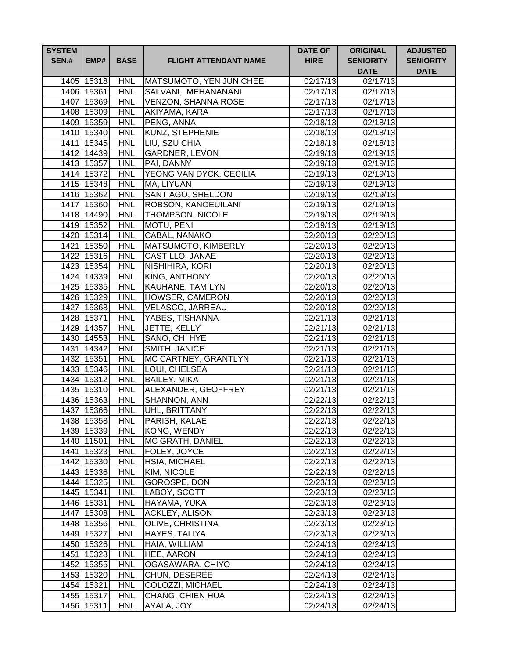| <b>SYSTEM</b><br><b>SEN.#</b> | EMP#                     | <b>BASE</b>              | <b>FLIGHT ATTENDANT NAME</b>    | <b>DATE OF</b><br><b>HIRE</b> | <b>ORIGINAL</b><br><b>SENIORITY</b><br><b>DATE</b> | <b>ADJUSTED</b><br><b>SENIORITY</b><br><b>DATE</b> |
|-------------------------------|--------------------------|--------------------------|---------------------------------|-------------------------------|----------------------------------------------------|----------------------------------------------------|
|                               | 1405 15318               | <b>HNL</b>               | MATSUMOTO, YEN JUN CHEE         | 02/17/13                      | 02/17/13                                           |                                                    |
|                               | 1406 15361               | <b>HNL</b>               | SALVANI, MEHANANANI             | 02/17/13                      | 02/17/13                                           |                                                    |
|                               | 1407 15369               | <b>HNL</b>               | <b>VENZON, SHANNA ROSE</b>      | $\overline{02/17/13}$         | $02/17/\overline{13}$                              |                                                    |
|                               | 1408 15309               | <b>HNL</b>               | AKIYAMA, KARA                   | 02/17/13                      | 02/17/13                                           |                                                    |
|                               | 1409 15359               | <b>HNL</b>               | PENG, ANNA                      | 02/18/13                      | 02/18/13                                           |                                                    |
|                               | 1410 15340               | <b>HNL</b>               | <b>KUNZ, STEPHENIE</b>          | 02/18/13                      | 02/18/13                                           |                                                    |
|                               | 1411 15345               | <b>HNL</b>               | LIU, SZU CHIA                   | 02/18/13                      | 02/18/13                                           |                                                    |
|                               | 1412 14439               | <b>HNL</b>               | GARDNER, LEVON                  | 02/19/13                      | 02/19/13                                           |                                                    |
|                               | 1413 15357               | <b>HNL</b>               | PAI, DANNY                      | 02/19/13                      | 02/19/13                                           |                                                    |
|                               | 1414 15372               | <b>HNL</b>               | YEONG VAN DYCK, CECILIA         | 02/19/13                      | 02/19/13                                           |                                                    |
|                               | 1415 15348               | <b>HNL</b>               | MA, LIYUAN                      | 02/19/13                      | 02/19/13                                           |                                                    |
|                               | 1416 15362               | <b>HNL</b>               | SANTIAGO, SHELDON               | 02/19/13                      | 02/19/13                                           |                                                    |
|                               | 1417 15360               | <b>HNL</b>               | ROBSON, KANOEUILANI             | 02/19/13                      | 02/19/13                                           |                                                    |
|                               | 1418 14490               | <b>HNL</b>               | THOMPSON, NICOLE                | 02/19/13                      | 02/19/13                                           |                                                    |
|                               | 1419 15352               | <b>HNL</b>               | MOTU, PENI                      | 02/19/13                      | 02/19/13                                           |                                                    |
|                               | 1420 15314               | <b>HNL</b>               | CABAL, NANAKO                   | 02/20/13                      | 02/20/13                                           |                                                    |
|                               | 1421 15350               | <b>HNL</b>               | MATSUMOTO, KIMBERLY             | 02/20/13                      | 02/20/13                                           |                                                    |
|                               | 1422 15316               | <b>HNL</b>               | CASTILLO, JANAE                 | 02/20/13                      | 02/20/13                                           |                                                    |
|                               | 1423 15354               | <b>HNL</b>               | NISHIHIRA, KORI                 | 02/20/13                      | 02/20/13                                           |                                                    |
|                               | 1424 14339               | <b>HNL</b>               | <b>KING, ANTHONY</b>            | 02/20/13                      | 02/20/13                                           |                                                    |
|                               | 1425 15335               | <b>HNL</b>               | KAUHANE, TAMILYN                | 02/20/13                      | 02/20/13                                           |                                                    |
|                               | 1426 15329               | <b>HNL</b>               | <b>HOWSER, CAMERON</b>          | 02/20/13                      | $\overline{02}/20/13$                              |                                                    |
|                               | 1427 15368               | <b>HNL</b>               | VELASCO, JARREAU                | 02/20/13                      | 02/20/13                                           |                                                    |
|                               | 1428 15371<br>1429 14357 | <b>HNL</b><br><b>HNL</b> | YABES, TISHANNA<br>JETTE, KELLY | 02/21/13<br>02/21/13          | $\overline{02/21/13}$<br>02/21/13                  |                                                    |
|                               | 1430 14553               | <b>HNL</b>               | SANO, CHI HYE                   | 02/21/13                      | $\sqrt{02}/21/13$                                  |                                                    |
|                               | 1431 14342               | <b>HNL</b>               | SMITH, JANICE                   | 02/21/13                      | 02/21/13                                           |                                                    |
|                               | 1432 15351               | <b>HNL</b>               | MC CARTNEY, GRANTLYN            | 02/21/13                      | 02/21/13                                           |                                                    |
|                               | 1433 15346               | <b>HNL</b>               | LOUI, CHELSEA                   | 02/21/13                      | 02/21/13                                           |                                                    |
|                               | 1434 15312               | <b>HNL</b>               | <b>BAILEY, MIKA</b>             | 02/21/13                      | 02/21/13                                           |                                                    |
|                               | 1435 15310               | <b>HNL</b>               | ALEXANDER, GEOFFREY             | 02/21/13                      | 02/21/13                                           |                                                    |
|                               | 1436 15363               | <b>HNL</b>               | SHANNON, ANN                    | 02/22/13                      | 02/22/13                                           |                                                    |
|                               | 1437 15366               | <b>HNL</b>               | UHL, BRITTANY                   | 02/22/13                      | 02/22/13                                           |                                                    |
|                               | 1438 15358               | <b>HNL</b>               | PARISH, KALAE                   | 02/22/13                      | 02/22/13                                           |                                                    |
|                               | 1439 15339               | <b>HNL</b>               | KONG, WENDY                     | 02/22/13                      | 02/22/13                                           |                                                    |
|                               | 1440 11501               | <b>HNL</b>               | <b>MC GRATH, DANIEL</b>         | 02/22/13                      | 02/22/13                                           |                                                    |
|                               | 1441 15323               | <b>HNL</b>               | FOLEY, JOYCE                    | 02/22/13                      | 02/22/13                                           |                                                    |
|                               | 1442 15330               | <b>HNL</b>               | HSIA, MICHAEL                   | 02/22/13                      | 02/22/13                                           |                                                    |
|                               | 1443 15336               | <b>HNL</b>               | KIM, NICOLE                     | 02/22/13                      | 02/22/13                                           |                                                    |
|                               | 1444 15325               | <b>HNL</b>               | GOROSPE, DON                    | 02/23/13                      | 02/23/13                                           |                                                    |
|                               | 1445 15341               | <b>HNL</b>               | LABOY, SCOTT                    | 02/23/13                      | 02/23/13                                           |                                                    |
|                               | 1446 15331               | <b>HNL</b>               | HAYAMA, YUKA                    | 02/23/13                      | 02/23/13                                           |                                                    |
|                               | 1447 15308               | <b>HNL</b>               | <b>ACKLEY, ALISON</b>           | 02/23/13                      | 02/23/13                                           |                                                    |
|                               | 1448 15356               | <b>HNL</b>               | OLIVE, CHRISTINA                | 02/23/13                      | 02/23/13                                           |                                                    |
|                               | 1449 15327               | <b>HNL</b>               | HAYES, TALIYA                   | 02/23/13                      | 02/23/13                                           |                                                    |
|                               | 1450 15326               | <b>HNL</b>               | HAIA, WILLIAM                   | 02/24/13                      | 02/24/13                                           |                                                    |
|                               | 1451 15328               | <b>HNL</b>               | HEE, AARON                      | 02/24/13                      | 02/24/13                                           |                                                    |
|                               | 1452 15355               | <b>HNL</b>               | OGASAWARA, CHIYO                | 02/24/13                      | 02/24/13                                           |                                                    |
|                               | 1453 15320               | <b>HNL</b>               | CHUN, DESEREE                   | 02/24/13                      | 02/24/13                                           |                                                    |
|                               | 1454 15321               | <b>HNL</b>               | COLOZZI, MICHAEL                | 02/24/13                      | 02/24/13                                           |                                                    |
|                               | 1455 15317               | <b>HNL</b>               | CHANG, CHIEN HUA                | 02/24/13                      | 02/24/13                                           |                                                    |
|                               | 1456 15311               | <b>HNL</b>               | AYALA, JOY                      | 02/24/13                      | 02/24/13                                           |                                                    |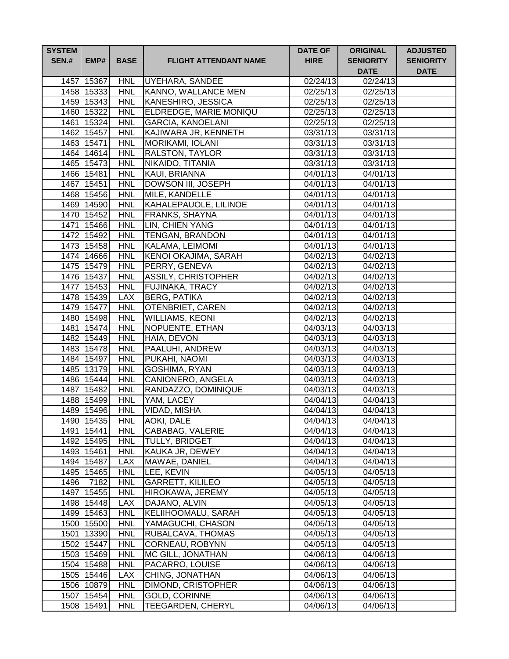| <b>SYSTEM</b><br><b>SEN.#</b> | EMP#       | <b>BASE</b> | <b>FLIGHT ATTENDANT NAME</b> | <b>DATE OF</b><br><b>HIRE</b> | <b>ORIGINAL</b><br><b>SENIORITY</b><br><b>DATE</b> | <b>ADJUSTED</b><br><b>SENIORITY</b><br><b>DATE</b> |
|-------------------------------|------------|-------------|------------------------------|-------------------------------|----------------------------------------------------|----------------------------------------------------|
|                               | 1457 15367 | <b>HNL</b>  | <b>UYEHARA, SANDEE</b>       | 02/24/13                      | 02/24/13                                           |                                                    |
|                               | 1458 15333 | <b>HNL</b>  | <b>KANNO, WALLANCE MEN</b>   | 02/25/13                      | 02/25/13                                           |                                                    |
|                               | 1459 15343 | <b>HNL</b>  | KANESHIRO, JESSICA           | 02/25/13                      | 02/25/13                                           |                                                    |
|                               | 1460 15322 | <b>HNL</b>  | ELDREDGE, MARIE MONIQU       | 02/25/13                      | 02/25/13                                           |                                                    |
|                               | 1461 15324 | <b>HNL</b>  | <b>GARCIA, KANOELANI</b>     | 02/25/13                      | 02/25/13                                           |                                                    |
|                               | 1462 15457 | <b>HNL</b>  | KAJIWARA JR, KENNETH         | 03/31/13                      | $\overline{03/3}1/13$                              |                                                    |
|                               | 1463 15471 | <b>HNL</b>  | <b>MORIKAMI, IOLANI</b>      | 03/31/13                      | 03/31/13                                           |                                                    |
|                               | 1464 14614 | <b>HNL</b>  | <b>RALSTON, TAYLOR</b>       | 03/31/13                      | 03/31/13                                           |                                                    |
|                               | 1465 15473 | <b>HNL</b>  | NIKAIDO, TITANIA             | 03/31/13                      | 03/31/13                                           |                                                    |
|                               | 1466 15481 | <b>HNL</b>  | KAUI, BRIANNA                | 04/01/13                      | 04/01/13                                           |                                                    |
|                               | 1467 15451 | <b>HNL</b>  | DOWSON III, JOSEPH           | 04/01/13                      | 04/01/13                                           |                                                    |
|                               | 1468 15456 | <b>HNL</b>  | MILE, KANDELLE               | 04/01/13                      | 04/01/13                                           |                                                    |
|                               | 1469 14590 | <b>HNL</b>  | KAHALEPAUOLE, LILINOE        | 04/01/13                      | 04/01/13                                           |                                                    |
|                               | 1470 15452 | <b>HNL</b>  | <b>FRANKS, SHAYNA</b>        | 04/01/13                      | 04/01/13                                           |                                                    |
|                               | 1471 15466 | <b>HNL</b>  | LIN, CHIEN YANG              | 04/01/13                      | 04/01/13                                           |                                                    |
|                               | 1472 15492 | <b>HNL</b>  | <b>TENGAN, BRANDON</b>       | 04/01/13                      | 04/01/13                                           |                                                    |
|                               | 1473 15458 | <b>HNL</b>  | KALAMA, LEIMOMI              | 04/01/13                      | $\sqrt{04/01/13}$                                  |                                                    |
|                               | 1474 14666 | <b>HNL</b>  | <b>KENOI OKAJIMA, SARAH</b>  | 04/02/13                      | 04/02/13                                           |                                                    |
|                               | 1475 15479 | <b>HNL</b>  | PERRY, GENEVA                | 04/02/13                      | 04/02/13                                           |                                                    |
|                               | 1476 15437 | <b>HNL</b>  | <b>ASSILY, CHRISTOPHER</b>   | 04/02/13                      | 04/02/13                                           |                                                    |
|                               | 1477 15453 | <b>HNL</b>  | FUJINAKA, TRACY              | 04/02/13                      | 04/02/13                                           |                                                    |
|                               | 1478 15439 | <b>LAX</b>  | <b>BERG, PATIKA</b>          | 04/02/13                      | 04/02/13                                           |                                                    |
|                               | 1479 15477 | <b>HNL</b>  | OTENBRIET, CAREN             | 04/02/13                      | 04/02/13                                           |                                                    |
|                               | 1480 15498 | <b>HNL</b>  | <b>WILLIAMS, KEONI</b>       | 04/02/13                      | $\sqrt{04}/02/13$                                  |                                                    |
|                               | 1481 15474 | <b>HNL</b>  | NOPUENTE, ETHAN              | 04/03/13                      | $\overline{0}4/03/13$                              |                                                    |
|                               | 1482 15449 | <b>HNL</b>  | HAIA, DEVON                  | 04/03/13                      | 04/03/13                                           |                                                    |
|                               | 1483 15478 | <b>HNL</b>  | PAALUHI, ANDREW              | 04/03/13                      | 04/03/13                                           |                                                    |
|                               | 1484 15497 | <b>HNL</b>  | PUKAHI, NAOMI                | 04/03/13                      | 04/03/13                                           |                                                    |
|                               | 1485 13179 | <b>HNL</b>  | GOSHIMA, RYAN                | 04/03/13                      | 04/03/13                                           |                                                    |
|                               | 1486 15444 | <b>HNL</b>  | CANIONERO, ANGELA            | 04/03/13                      | 04/03/13                                           |                                                    |
|                               | 1487 15482 | <b>HNL</b>  | RANDAZZO, DOMINIQUE          | 04/03/13                      | 04/03/13                                           |                                                    |
|                               | 1488 15499 | <b>HNL</b>  | YAM, LACEY                   | 04/04/13                      | 04/04/13                                           |                                                    |
|                               | 1489 15496 | <b>HNL</b>  | VIDAD, MISHA                 | 04/04/13                      | 04/04/13                                           |                                                    |
|                               | 1490 15435 | <b>HNL</b>  | <b>AOKI, DALE</b>            | 04/04/13                      | 04/04/13                                           |                                                    |
|                               | 1491 15441 | <b>HNL</b>  | CABABAG, VALERIE             | 04/04/13                      | 04/04/13                                           |                                                    |
|                               | 1492 15495 | <b>HNL</b>  | <b>TULLY, BRIDGET</b>        | 04/04/13                      | 04/04/13                                           |                                                    |
|                               | 1493 15461 | <b>HNL</b>  | KAUKA JR, DEWEY              | 04/04/13                      | 04/04/13                                           |                                                    |
|                               | 1494 15487 | <b>LAX</b>  | MAWAE, DANIEL                | 04/04/13                      | 04/04/13                                           |                                                    |
|                               | 1495 15465 | <b>HNL</b>  | LEE, KEVIN                   | 04/05/13                      | 04/05/13                                           |                                                    |
| 1496                          | 7182       | <b>HNL</b>  | <b>GARRETT, KILILEO</b>      | 04/05/13                      | 04/05/13                                           |                                                    |
|                               | 1497 15455 | <b>HNL</b>  | HIROKAWA, JEREMY             | 04/05/13                      | 04/05/13                                           |                                                    |
|                               | 1498 15448 | <b>LAX</b>  | DAJANO, ALVIN                | 04/05/13                      | 04/05/13                                           |                                                    |
|                               | 1499 15463 | <b>HNL</b>  | KELIIHOOMALU, SARAH          | 04/05/13                      | $\overline{0}4/05/13$                              |                                                    |
|                               | 1500 15500 | <b>HNL</b>  | YAMAGUCHI, CHASON            | 04/05/13                      | 04/05/13                                           |                                                    |
|                               | 1501 13390 | <b>HNL</b>  | RUBALCAVA, THOMAS            | 04/05/13                      | 04/05/13                                           |                                                    |
|                               | 1502 15447 | <b>HNL</b>  | CORNEAU, ROBYNN              | 04/05/13                      | 04/05/13                                           |                                                    |
|                               | 1503 15469 | <b>HNL</b>  | MC GILL, JONATHAN            | 04/06/13                      | 04/06/13                                           |                                                    |
|                               | 1504 15488 | <b>HNL</b>  | PACARRO, LOUISE              | 04/06/13                      | 04/06/13                                           |                                                    |
|                               | 1505 15446 | <b>LAX</b>  | CHING, JONATHAN              | 04/06/13                      | 04/06/13                                           |                                                    |
|                               | 1506 10879 | <b>HNL</b>  | DIMOND, CRISTOPHER           | 04/06/13                      | 04/06/13                                           |                                                    |
|                               | 1507 15454 | <b>HNL</b>  | <b>GOLD, CORINNE</b>         | 04/06/13                      | 04/06/13                                           |                                                    |
|                               | 1508 15491 | <b>HNL</b>  | TEEGARDEN, CHERYL            | 04/06/13                      | 04/06/13                                           |                                                    |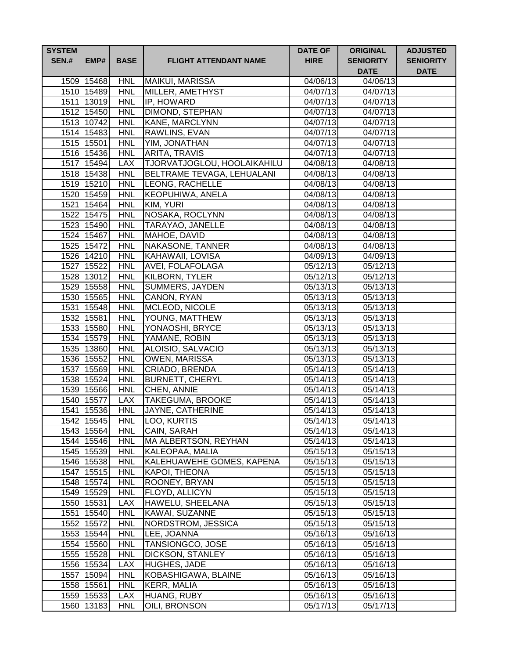| <b>SYSTEM</b><br><b>SEN.#</b> | EMP#                     | <b>BASE</b>              | <b>FLIGHT ATTENDANT NAME</b>     | <b>DATE OF</b><br><b>HIRE</b> | <b>ORIGINAL</b><br><b>SENIORITY</b><br><b>DATE</b> | <b>ADJUSTED</b><br><b>SENIORITY</b><br><b>DATE</b> |
|-------------------------------|--------------------------|--------------------------|----------------------------------|-------------------------------|----------------------------------------------------|----------------------------------------------------|
|                               | 1509 15468               | <b>HNL</b>               | MAIKUI, MARISSA                  | 04/06/13                      | 04/06/13                                           |                                                    |
|                               | 1510 15489               | <b>HNL</b>               | MILLER, AMETHYST                 | 04/07/13                      | 04/07/13                                           |                                                    |
|                               | 1511 13019               | <b>HNL</b>               | IP, HOWARD                       | 04/07/13                      | 04/07/13                                           |                                                    |
|                               | 1512 15450               | <b>HNL</b>               | <b>DIMOND, STEPHAN</b>           | 04/07/13                      | 04/07/13                                           |                                                    |
|                               | 1513 10742               | <b>HNL</b>               | KANE, MARCLYNN                   | 04/07/13                      | 04/07/13                                           |                                                    |
|                               | 1514 15483               | <b>HNL</b>               | RAWLINS, EVAN                    | 04/07/13                      | $\sqrt{04}/07/13$                                  |                                                    |
|                               | 1515 15501               | <b>HNL</b>               | YIM, JONATHAN                    | 04/07/13                      | $\sqrt{04}/07/13$                                  |                                                    |
|                               | 1516 15436               | <b>HNL</b>               | ARITA, TRAVIS                    | 04/07/13                      | 04/07/13                                           |                                                    |
|                               | 1517 15494               | <b>LAX</b>               | TJORVATJOGLOU, HOOLAIKAHILU      | 04/08/13                      | 04/08/13                                           |                                                    |
|                               | 1518 15438               | <b>HNL</b>               | BELTRAME TEVAGA, LEHUALANI       | 04/08/13                      | 04/08/13                                           |                                                    |
|                               | 1519 15210               | <b>HNL</b>               | LEONG, RACHELLE                  | 04/08/13                      | 04/08/13                                           |                                                    |
|                               | 1520 15459               | <b>HNL</b>               | KEOPUHIWA, ANELA                 | 04/08/13                      | 04/08/13                                           |                                                    |
|                               | 1521 15464               | <b>HNL</b>               | KIM, YURI                        | 04/08/13                      | 04/08/13                                           |                                                    |
|                               | 1522 15475               | <b>HNL</b>               | NOSAKA, ROCLYNN                  | 04/08/13                      | 04/08/13                                           |                                                    |
|                               | 1523 15490               | <b>HNL</b>               | <b>TARAYAO, JANELLE</b>          | 04/08/13                      | 04/08/13                                           |                                                    |
|                               | 1524 15467               | <b>HNL</b>               | MAHOE, DAVID                     | 04/08/13                      | 04/08/13                                           |                                                    |
|                               | 1525 15472               | <b>HNL</b>               | NAKASONE, TANNER                 | 04/08/13                      | 04/08/13                                           |                                                    |
|                               | 1526 14210               | <b>HNL</b>               | <b>KAHAWAII, LOVISA</b>          | 04/09/13                      | 04/09/13                                           |                                                    |
|                               | 1527 15522               | <b>HNL</b>               | <b>AVEI, FOLAFOLAGA</b>          | 05/12/13                      | 05/12/13                                           |                                                    |
|                               | 1528 13012               | <b>HNL</b>               | <b>KILBORN, TYLER</b>            | 05/12/13                      | 05/12/13                                           |                                                    |
|                               | 1529 15558               | <b>HNL</b>               | SUMMERS, JAYDEN                  | 05/13/13                      | 05/13/13                                           |                                                    |
|                               | 1530 15565               | <b>HNL</b>               | CANON, RYAN                      | 05/13/13                      | $\overline{05/1}3/13$                              |                                                    |
|                               | 1531 15548               | <b>HNL</b>               | <b>MCLEOD, NICOLE</b>            | 05/13/13                      | 05/13/13                                           |                                                    |
|                               | 1532 15581               | <b>HNL</b>               | YOUNG, MATTHEW                   | 05/13/13                      | 05/13/13                                           |                                                    |
|                               | 1533 15580<br>1534 15579 | <b>HNL</b><br><b>HNL</b> | YONAOSHI, BRYCE<br>YAMANE, ROBIN | 05/13/13<br>05/13/13          | 05/13/13<br>05/13/13                               |                                                    |
|                               | 1535 13860               | <b>HNL</b>               | ALOISIO, SALVACIO                | 05/13/13                      | 05/13/13                                           |                                                    |
|                               | 1536 15552               | <b>HNL</b>               | OWEN, MARISSA                    | 05/13/13                      | 05/13/13                                           |                                                    |
|                               | 1537 15569               | <b>HNL</b>               | CRIADO, BRENDA                   | 05/14/13                      | 05/14/13                                           |                                                    |
|                               | 1538 15524               | <b>HNL</b>               | <b>BURNETT, CHERYL</b>           | 05/14/13                      | 05/14/13                                           |                                                    |
|                               | 1539 15566               | <b>HNL</b>               | CHEN, ANNIE                      | 05/14/13                      | 05/14/13                                           |                                                    |
|                               | 1540 15577               | <b>LAX</b>               | TAKEGUMA, BROOKE                 | 05/14/13                      | 05/14/13                                           |                                                    |
|                               | 1541 15536               | <b>HNL</b>               | JAYNE, CATHERINE                 | 05/14/13                      | 05/14/13                                           |                                                    |
|                               | 1542 15545               | <b>HNL</b>               | LOO, KURTIS                      | 05/14/13                      | 05/14/13                                           |                                                    |
|                               | 1543 15564               | <b>HNL</b>               | <b>CAIN, SARAH</b>               | 05/14/13                      | 05/14/13                                           |                                                    |
|                               | 1544 15546               | <b>HNL</b>               | MA ALBERTSON, REYHAN             | 05/14/13                      | 05/14/13                                           |                                                    |
|                               | 1545 15539               | <b>HNL</b>               | KALEOPAA, MALIA                  | 05/15/13                      | 05/15/13                                           |                                                    |
|                               | 1546 15538               | <b>HNL</b>               | KALEHUAWEHE GOMES, KAPENA        | 05/15/13                      | 05/15/13                                           |                                                    |
|                               | 1547 15515               | <b>HNL</b>               | KAPOI, THEONA                    | 05/15/13                      | 05/15/13                                           |                                                    |
|                               | 1548 15574               | <b>HNL</b>               | ROONEY, BRYAN                    | 05/15/13                      | $\overline{0}5/15/13$                              |                                                    |
|                               | 1549 15529               | <b>HNL</b>               | FLOYD, ALLICYN                   | 05/15/13                      | 05/15/13                                           |                                                    |
|                               | 1550 15531               | <b>LAX</b>               | HAWELU, SHEELANA                 | 05/15/13                      | 05/15/13                                           |                                                    |
|                               | 1551 15540               | <b>HNL</b>               | KAWAI, SUZANNE                   | 05/15/13                      | 05/15/13                                           |                                                    |
|                               | 1552 15572               | <b>HNL</b>               | NORDSTROM, JESSICA               | 05/15/13                      | 05/15/13                                           |                                                    |
|                               | 1553 15544               | <b>HNL</b>               | LEE, JOANNA                      | 05/16/13                      | 05/16/13                                           |                                                    |
|                               | 1554 15560               | <b>HNL</b>               | TANSIONGCO, JOSE                 | 05/16/13                      | 05/16/13                                           |                                                    |
|                               | 1555 15528               | <b>HNL</b>               | DICKSON, STANLEY                 | 05/16/13                      | 05/16/13                                           |                                                    |
|                               | 1556 15534               | <b>LAX</b>               | HUGHES, JADE                     | 05/16/13                      | 05/16/13                                           |                                                    |
|                               | 1557 15094               | <b>HNL</b>               | KOBASHIGAWA, BLAINE              | 05/16/13                      | 05/16/13                                           |                                                    |
|                               | 1558 15561               | <b>HNL</b>               | <b>KERR, MALIA</b>               | 05/16/13                      | 05/16/13                                           |                                                    |
|                               | 1559 15533               | <b>LAX</b>               | HUANG, RUBY                      | 05/16/13                      | 05/16/13                                           |                                                    |
|                               | 1560 13183               | <b>HNL</b>               | OILI, BRONSON                    | 05/17/13                      | 05/17/13                                           |                                                    |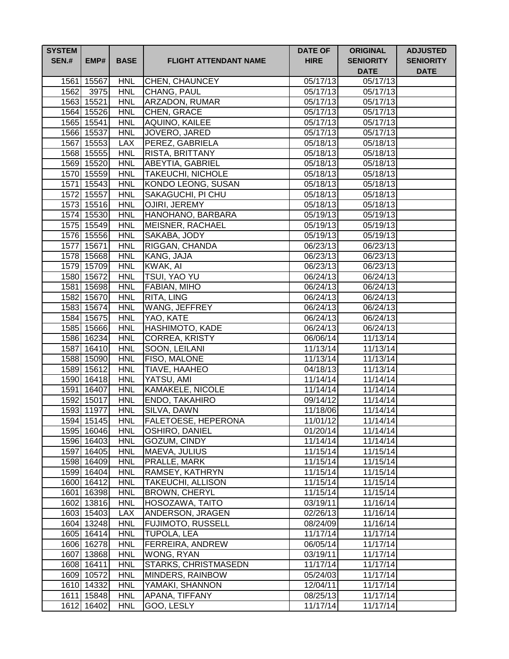| <b>SYSTEM</b><br><b>SEN.#</b> | EMP#                     | <b>BASE</b>              | <b>FLIGHT ATTENDANT NAME</b>      | <b>DATE OF</b><br><b>HIRE</b> | <b>ORIGINAL</b><br><b>SENIORITY</b><br><b>DATE</b> | <b>ADJUSTED</b><br><b>SENIORITY</b><br><b>DATE</b> |
|-------------------------------|--------------------------|--------------------------|-----------------------------------|-------------------------------|----------------------------------------------------|----------------------------------------------------|
| 1561                          | 15567                    | <b>HNL</b>               | <b>CHEN, CHAUNCEY</b>             | 05/17/13                      | 05/17/13                                           |                                                    |
| 1562                          | 3975                     | <b>HNL</b>               | CHANG, PAUL                       | 05/17/13                      | 05/17/13                                           |                                                    |
|                               | 1563 15521               | <b>HNL</b>               | <b>ARZADON, RUMAR</b>             | 05/17/13                      | 05/17/13                                           |                                                    |
|                               | 1564 15526               | <b>HNL</b>               | CHEN, GRACE                       | 05/17/13                      | 05/17/13                                           |                                                    |
|                               | 1565 15541               | <b>HNL</b>               | AQUINO, KAILEE                    | 05/17/13                      | $\overline{05}/17/13$                              |                                                    |
|                               | 1566 15537               | <b>HNL</b>               | JOVERO, JARED                     | 05/17/13                      | $\overline{05/17/13}$                              |                                                    |
|                               | 1567 15553               | <b>LAX</b>               | PEREZ, GABRIELA                   | 05/18/13                      | 05/18/13                                           |                                                    |
|                               | 1568 15555               | <b>HNL</b>               | <b>RISTA, BRITTANY</b>            | 05/18/13                      | 05/18/13                                           |                                                    |
|                               | 1569 15520               | <b>HNL</b>               | <b>ABEYTIA, GABRIEL</b>           | 05/18/13                      | 05/18/13                                           |                                                    |
|                               | 1570 15559               | <b>HNL</b>               | <b>TAKEUCHI, NICHOLE</b>          | 05/18/13                      | 05/18/13                                           |                                                    |
|                               | 1571 15543               | <b>HNL</b>               | <b>KONDO LEONG, SUSAN</b>         | 05/18/13                      | 05/18/13                                           |                                                    |
| 1572                          | 15557                    | <b>HNL</b>               | SAKAGUCHI, PI CHU                 | 05/18/13                      | 05/18/13                                           |                                                    |
|                               | 1573 15516               | <b>HNL</b>               | OJIRI, JEREMY                     | 05/18/13                      | 05/18/13                                           |                                                    |
|                               | 1574 15530               | <b>HNL</b>               | HANOHANO, BARBARA                 | 05/19/13                      | 05/19/13                                           |                                                    |
|                               | 1575 15549               | <b>HNL</b>               | <b>MEISNER, RACHAEL</b>           | 05/19/13                      | 05/19/13                                           |                                                    |
|                               | 1576 15556               | <b>HNL</b>               | SAKABA, JODY                      | 05/19/13                      | 05/19/13                                           |                                                    |
|                               | 1577 15671               | <b>HNL</b>               | RIGGAN, CHANDA                    | 06/23/13                      | 06/23/13                                           |                                                    |
|                               | 1578 15668               | <b>HNL</b>               | KANG, JAJA                        | 06/23/13                      | 06/23/13                                           |                                                    |
|                               | 1579 15709               | <b>HNL</b>               | KWAK, AI                          | 06/23/13                      | 06/23/13                                           |                                                    |
|                               | 1580 15672               | <b>HNL</b>               | <b>TSUI, YAO YU</b>               | 06/24/13                      | 06/24/13                                           |                                                    |
|                               | 1581 15698               | <b>HNL</b>               | <b>FABIAN, MIHO</b>               | 06/24/13                      | 06/24/13                                           |                                                    |
|                               | 1582 15670               | <b>HNL</b>               | RITA, LING                        | 06/24/13                      | $\overline{06}/24/13$                              |                                                    |
|                               | 1583 15674               | <b>HNL</b>               | WANG, JEFFREY                     | 06/24/13                      | 06/24/13                                           |                                                    |
|                               | 1584 15675               | <b>HNL</b>               | YAO, KATE                         | 06/24/13                      | 06/24/13                                           |                                                    |
|                               | 1585 15666               | <b>HNL</b>               | HASHIMOTO, KADE                   | 06/24/13                      | 06/24/13                                           |                                                    |
|                               | 1586 16234               | <b>HNL</b>               | CORREA, KRISTY                    | 06/06/14                      | 11/13/14                                           |                                                    |
|                               | 1587 16410               | <b>HNL</b><br><b>HNL</b> | SOON, LEILANI                     | 11/13/14                      | 11/13/14<br>11/13/14                               |                                                    |
|                               | 1588 15090<br>1589 15612 | <b>HNL</b>               | FISO, MALONE<br>TIAVE, HAAHEO     | 11/13/14<br>04/18/13          | 11/13/14                                           |                                                    |
|                               | 1590 16418               | <b>HNL</b>               | YATSU, AMI                        | 11/14/14                      | 11/14/14                                           |                                                    |
|                               | 1591 16407               | <b>HNL</b>               | KAMAKELE, NICOLE                  | 11/14/14                      | 11/14/14                                           |                                                    |
|                               | 1592 15017               | <b>HNL</b>               | <b>ENDO, TAKAHIRO</b>             | 09/14/12                      | 11/14/14                                           |                                                    |
|                               | 1593 11977               | <b>HNL</b>               | SILVA, DAWN                       | 11/18/06                      | 11/14/14                                           |                                                    |
|                               | 1594 15145               | <b>HNL</b>               | <b>FALETOESE, HEPERONA</b>        | 11/01/12                      | 11/14/14                                           |                                                    |
|                               | 1595 16046               | <b>HNL</b>               | OSHIRO, DANIEL                    | 01/20/14                      | 11/14/14                                           |                                                    |
|                               | 1596 16403               | <b>HNL</b>               | GOZUM, CINDY                      | 11/14/14                      | 11/14/14                                           |                                                    |
|                               | 1597 16405               | <b>HNL</b>               | MAEVA, JULIUS                     | 11/15/14                      | 11/15/14                                           |                                                    |
|                               | 1598 16409               | <b>HNL</b>               | PRALLE, MARK                      | 11/15/14                      | 11/15/14                                           |                                                    |
|                               | 1599 16404               | <b>HNL</b>               | RAMSEY, KATHRYN                   | 11/15/14                      | 11/15/14                                           |                                                    |
|                               | 1600 16412               | <b>HNL</b>               | <b>TAKEUCHI, ALLISON</b>          | 11/15/14                      | 11/15/14                                           |                                                    |
|                               | 1601 16398               | <b>HNL</b>               | <b>BROWN, CHERYL</b>              | 11/15/14                      | 11/15/14                                           |                                                    |
|                               | 1602 13816               | <b>HNL</b>               | HOSOZAWA, TAITO                   | 03/19/11                      | 11/16/14                                           |                                                    |
|                               | 1603 15403               | <b>LAX</b>               | ANDERSON, JRAGEN                  | 02/26/13                      | 11/16/14                                           |                                                    |
|                               | 1604 13248               | <b>HNL</b>               | FUJIMOTO, RUSSELL                 | 08/24/09                      | 11/16/14                                           |                                                    |
|                               | 1605 16414               | <b>HNL</b>               | TUPOLA, LEA                       | 11/17/14                      | 11/17/14                                           |                                                    |
|                               | 1606 16278               | <b>HNL</b>               | FERREIRA, ANDREW                  | 06/05/14                      | 11/17/14                                           |                                                    |
|                               | 1607 13868               | <b>HNL</b>               | WONG, RYAN                        | 03/19/11                      | 11/17/14                                           |                                                    |
|                               | 1608 16411               | <b>HNL</b>               | STARKS, CHRISTMASEDN              | 11/17/14                      | 11/17/14                                           |                                                    |
|                               | 1609 10572               | <b>HNL</b>               | MINDERS, RAINBOW                  | 05/24/03                      | 11/17/14                                           |                                                    |
|                               | 1610 14332               | <b>HNL</b><br><b>HNL</b> | YAMAKI, SHANNON<br>APANA, TIFFANY | 12/04/11                      | 11/17/14                                           |                                                    |
|                               | 1611 15848               | <b>HNL</b>               |                                   | 08/25/13                      | 11/17/14                                           |                                                    |
|                               | 1612 16402               |                          | GOO, LESLY                        | 11/17/14                      | 11/17/14                                           |                                                    |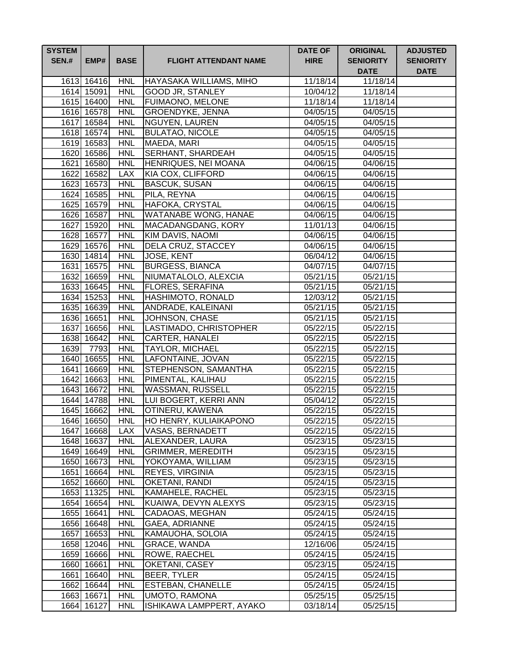| <b>SYSTEM</b><br><b>SEN.#</b> | EMP#                     | <b>BASE</b>              | <b>FLIGHT ATTENDANT NAME</b>                     | <b>DATE OF</b><br><b>HIRE</b> | <b>ORIGINAL</b><br><b>SENIORITY</b><br><b>DATE</b> | <b>ADJUSTED</b><br><b>SENIORITY</b><br><b>DATE</b> |
|-------------------------------|--------------------------|--------------------------|--------------------------------------------------|-------------------------------|----------------------------------------------------|----------------------------------------------------|
|                               | 1613 16416               | <b>HNL</b>               | HAYASAKA WILLIAMS, MIHO                          | 11/18/14                      | 11/18/14                                           |                                                    |
|                               | 1614 15091               | <b>HNL</b>               | <b>GOOD JR, STANLEY</b>                          | 10/04/12                      | 11/18/14                                           |                                                    |
|                               | 1615 16400               | <b>HNL</b>               | <b>FUIMAONO, MELONE</b>                          | 11/18/14                      | $\overline{11}/18/14$                              |                                                    |
|                               | 1616 16578               | <b>HNL</b>               | <b>GROENDYKE, JENNA</b>                          | 04/05/15                      | 04/05/15                                           |                                                    |
|                               | 1617 16584               | <b>HNL</b>               | NGUYEN, LAUREN                                   | 04/05/15                      | $\frac{1}{04}{\sqrt{05}}/15$                       |                                                    |
|                               | 1618 16574               | <b>HNL</b>               | <b>BULATAO, NICOLE</b>                           | 04/05/15                      | 04/05/15                                           |                                                    |
|                               | 1619 16583               | <b>HNL</b>               | MAEDA, MARI                                      | 04/05/15                      | 04/05/15                                           |                                                    |
|                               | 1620 16586               | <b>HNL</b>               | <b>SERHANT, SHARDEAH</b>                         | 04/05/15                      | 04/05/15                                           |                                                    |
|                               | 1621 16580               | <b>HNL</b>               | HENRIQUES, NEI MOANA                             | 04/06/15                      | 04/06/15                                           |                                                    |
|                               | 1622 16582               | <b>LAX</b>               | KIA COX, CLIFFORD                                | 04/06/15                      | 04/06/15                                           |                                                    |
|                               | 1623 16573               | <b>HNL</b>               | <b>BASCUK, SUSAN</b>                             | 04/06/15                      | 04/06/15                                           |                                                    |
|                               | 1624 16585               | <b>HNL</b>               | PILA, REYNA                                      | 04/06/15                      | 04/06/15                                           |                                                    |
|                               | 1625 16579               | <b>HNL</b>               | HAFOKA, CRYSTAL                                  | 04/06/15                      | 04/06/15                                           |                                                    |
|                               | 1626 16587               | <b>HNL</b>               | <b>WATANABE WONG, HANAE</b>                      | 04/06/15                      | 04/06/15                                           |                                                    |
|                               | 1627 15920               | <b>HNL</b>               | MACADANGDANG, KORY                               | 11/01/13                      | 04/06/15                                           |                                                    |
|                               | 1628 16577               | <b>HNL</b>               | <b>KIM DAVIS, NAOMI</b>                          | 04/06/15                      | 04/06/15                                           |                                                    |
|                               | 1629 16576               | <b>HNL</b>               | DELA CRUZ, STACCEY                               | 04/06/15                      | 04/06/15                                           |                                                    |
|                               | 1630 14814               | <b>HNL</b>               | <b>JOSE, KENT</b>                                | 06/04/12                      | 04/06/15                                           |                                                    |
|                               | 1631 16575               | <b>HNL</b>               | <b>BURGESS, BIANCA</b>                           | 04/07/15                      | $\overline{0}4/07/15$                              |                                                    |
|                               | 1632 16659               | <b>HNL</b>               | NIUMATALOLO, ALEXCIA                             | 05/21/15                      | 05/21/15                                           |                                                    |
|                               | 1633 16645               | <b>HNL</b>               | <b>FLORES, SERAFINA</b>                          | 05/21/15                      | 05/21/15                                           |                                                    |
|                               | 1634 15253               | <b>HNL</b>               | <b>HASHIMOTO, RONALD</b>                         | 12/03/12                      | 05/21/15                                           |                                                    |
|                               | 1635 16639               | <b>HNL</b>               | ANDRADE, KALEINANI                               | 05/21/15                      | 05/21/15                                           |                                                    |
|                               | 1636 16651               | <b>HNL</b><br><b>HNL</b> | JOHNSON, CHASE                                   | 05/21/15                      | 05/21/15                                           |                                                    |
|                               | 1637 16656<br>1638 16642 | <b>HNL</b>               | LASTIMADO, CHRISTOPHER<br><b>CARTER, HANALEI</b> | 05/22/15<br>05/22/15          | 05/22/15<br>05/22/15                               |                                                    |
| 1639                          | 7793                     | <b>HNL</b>               | <b>TAYLOR, MICHAEL</b>                           | 05/22/15                      | 05/22/15                                           |                                                    |
|                               | 1640 16655               | <b>HNL</b>               | LAFONTAINE, JOVAN                                | 05/22/15                      | 05/22/15                                           |                                                    |
|                               | 1641 16669               | <b>HNL</b>               | STEPHENSON, SAMANTHA                             | 05/22/15                      | 05/22/15                                           |                                                    |
|                               | 1642 16663               | <b>HNL</b>               | PIMENTAL, KALIHAU                                | 05/22/15                      | 05/22/15                                           |                                                    |
|                               | 1643 16672               | <b>HNL</b>               | <b>WASSMAN, RUSSELL</b>                          | 05/22/15                      | 05/22/15                                           |                                                    |
|                               | 1644 14788               | <b>HNL</b>               | LUI BOGERT, KERRI ANN                            | 05/04/12                      | 05/22/15                                           |                                                    |
|                               | 1645 16662               | <b>HNL</b>               | OTINERU, KAWENA                                  | 05/22/15                      | 05/22/15                                           |                                                    |
|                               | 1646 16650               | <b>HNL</b>               | <b>HO HENRY, KULIAIKAPONO</b>                    | 05/22/15                      | 05/22/15                                           |                                                    |
|                               | 1647 16668               | <b>LAX</b>               | VASAS, BERNADETT                                 | 05/22/15                      | 05/22/15                                           |                                                    |
|                               | 1648 16637               | <b>HNL</b>               | ALEXANDER, LAURA                                 | 05/23/15                      | $05/23/\overline{15}$                              |                                                    |
|                               | 1649 16649               | <b>HNL</b>               | <b>GRIMMER, MEREDITH</b>                         | 05/23/15                      | 05/23/15                                           |                                                    |
|                               | 1650 16673               | <b>HNL</b>               | YOKOYAMA, WILLIAM                                | 05/23/15                      | 05/23/15                                           |                                                    |
|                               | 1651 16664               | <b>HNL</b>               | <b>REYES, VIRGINIA</b>                           | 05/23/15                      | 05/23/15                                           |                                                    |
|                               | 1652 16660               | <b>HNL</b>               | OKETANI, RANDI                                   | 05/24/15                      | 05/23/15                                           |                                                    |
|                               | 1653 11325               | <b>HNL</b>               | KAMAHELE, RACHEL                                 | 05/23/15                      | 05/23/15                                           |                                                    |
|                               | 1654 16654               | <b>HNL</b>               | KUAIWA, DEVYN ALEXYS                             | 05/23/15                      | 05/23/15                                           |                                                    |
|                               | 1655 16641               | <b>HNL</b>               | CADAOAS, MEGHAN                                  | 05/24/15                      | 05/24/15                                           |                                                    |
|                               | 1656 16648               | <b>HNL</b>               | GAEA, ADRIANNE                                   | 05/24/15                      | 05/24/15                                           |                                                    |
|                               | 1657 16653               | <b>HNL</b>               | KAMAUOHA, SOLOIA                                 | 05/24/15                      | 05/24/15                                           |                                                    |
|                               | 1658 12046               | <b>HNL</b>               | GRACE, WANDA                                     | 12/16/06                      | 05/24/15                                           |                                                    |
|                               | 1659 16666               | <b>HNL</b>               | ROWE, RAECHEL                                    | 05/24/15                      | 05/24/15                                           |                                                    |
|                               | 1660 16661               | <b>HNL</b>               | OKETANI, CASEY                                   | 05/23/15                      | 05/24/15                                           |                                                    |
|                               | 1661 16640               | <b>HNL</b>               | BEER, TYLER                                      | 05/24/15                      | 05/24/15                                           |                                                    |
|                               | 1662 16644               | <b>HNL</b>               | <b>ESTEBAN, CHANELLE</b>                         | 05/24/15                      | 05/24/15                                           |                                                    |
|                               | 1663 16671               | <b>HNL</b>               | <b>UMOTO, RAMONA</b>                             | 05/25/15                      | 05/25/15                                           |                                                    |
|                               | 1664 16127               | <b>HNL</b>               | ISHIKAWA LAMPPERT, AYAKO                         | 03/18/14                      | 05/25/15                                           |                                                    |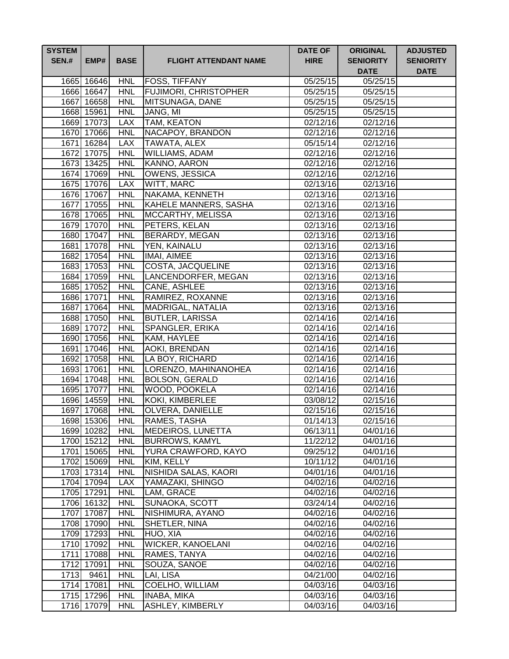| <b>SYSTEM</b><br><b>SEN.#</b> | EMP#                     | <b>BASE</b>              | <b>FLIGHT ATTENDANT NAME</b>          | <b>DATE OF</b><br><b>HIRE</b> | <b>ORIGINAL</b><br><b>SENIORITY</b> | <b>ADJUSTED</b><br><b>SENIORITY</b> |
|-------------------------------|--------------------------|--------------------------|---------------------------------------|-------------------------------|-------------------------------------|-------------------------------------|
|                               |                          |                          |                                       |                               | <b>DATE</b>                         | <b>DATE</b>                         |
|                               | 1665 16646               | <b>HNL</b>               | <b>FOSS, TIFFANY</b>                  | 05/25/15                      | 05/25/15                            |                                     |
|                               | 1666 16647               | <b>HNL</b>               | <b>FUJIMORI, CHRISTOPHER</b>          | $\overline{05}/25/15$         | 05/25/15                            |                                     |
|                               | 1667 16658               | <b>HNL</b>               | MITSUNAGA, DANE                       | 05/25/15                      | 05/25/15                            |                                     |
|                               | 1668 15961               | <b>HNL</b>               | JANG, MI                              | 05/25/15                      | 05/25/15                            |                                     |
|                               | 1669 17073               | <b>LAX</b>               | <b>TAM, KEATON</b>                    | 02/12/16                      | 02/12/16                            |                                     |
|                               | 1670 17066               | <b>HNL</b>               | NACAPOY, BRANDON                      | 02/12/16                      | 02/12/16                            |                                     |
|                               | 1671 16284               | <b>LAX</b><br><b>HNL</b> | TAWATA, ALEX<br><b>WILLIAMS, ADAM</b> | 05/15/14<br>02/12/16          | 02/12/16                            |                                     |
|                               | 1672 17075<br>1673 13425 | <b>HNL</b>               | <b>KANNO, AARON</b>                   | 02/12/16                      | 02/12/16<br>02/12/16                |                                     |
|                               | 1674 17069               | <b>HNL</b>               | <b>OWENS, JESSICA</b>                 | 02/12/16                      | 02/12/16                            |                                     |
|                               | 1675 17076               | <b>LAX</b>               | WITT, MARC                            | 02/13/16                      | 02/13/16                            |                                     |
|                               | 1676 17067               | <b>HNL</b>               | NAKAMA, KENNETH                       | 02/13/16                      | 02/13/16                            |                                     |
|                               | 1677 17055               | <b>HNL</b>               | KAHELE MANNERS, SASHA                 | 02/13/16                      | 02/13/16                            |                                     |
|                               | 1678 17065               | <b>HNL</b>               | MCCARTHY, MELISSA                     | 02/13/16                      | 02/13/16                            |                                     |
|                               | 1679 17070               | <b>HNL</b>               | PETERS, KELAN                         | 02/13/16                      | 02/13/16                            |                                     |
|                               | 1680 17047               | <b>HNL</b>               | <b>BERARDY, MEGAN</b>                 | 02/13/16                      | 02/13/16                            |                                     |
|                               | 1681 17078               | <b>HNL</b>               | <b>YEN, KAINALU</b>                   | 02/13/16                      | 02/13/16                            |                                     |
|                               | 1682 17054               | <b>HNL</b>               | IMAI, AIMEE                           | 02/13/16                      | 02/13/16                            |                                     |
|                               | 1683 17053               | <b>HNL</b>               | COSTA, JACQUELINE                     | 02/13/16                      | 02/13/16                            |                                     |
|                               | 1684 17059               | <b>HNL</b>               | LANCENDORFER, MEGAN                   | 02/13/16                      | 02/13/16                            |                                     |
|                               | 1685 17052               | <b>HNL</b>               | CANE, ASHLEE                          | 02/13/16                      | 02/13/16                            |                                     |
|                               | 1686 17071               | <b>HNL</b>               | RAMIREZ, ROXANNE                      | 02/13/16                      | $\overline{02/1}3/16$               |                                     |
|                               | 1687 17064               | <b>HNL</b>               | MADRIGAL, NATALIA                     | 02/13/16                      | 02/13/16                            |                                     |
|                               | 1688 17050               | <b>HNL</b>               | <b>BUTLER, LARISSA</b>                | 02/14/16                      | $\overline{02/14/16}$               |                                     |
|                               | 1689 17072               | <b>HNL</b>               | <b>SPANGLER, ERIKA</b>                | 02/14/16                      | 02/14/16                            |                                     |
|                               | 1690 17056               | <b>HNL</b>               | KAM, HAYLEE                           | 02/14/16                      | 02/14/16                            |                                     |
|                               | 1691 17046               | <b>HNL</b>               | AOKI, BRENDAN                         | 02/14/16                      | 02/14/16                            |                                     |
|                               | 1692 17058               | <b>HNL</b>               | LA BOY, RICHARD                       | 02/14/16                      | 02/14/16                            |                                     |
|                               | 1693 17061               | <b>HNL</b>               | LORENZO, MAHINANOHEA                  | 02/14/16                      | 02/14/16                            |                                     |
|                               | 1694 17048               | <b>HNL</b>               | <b>BOLSON, GERALD</b>                 | 02/14/16                      | 02/14/16                            |                                     |
|                               | 1695 17077               | <b>HNL</b>               | WOOD, POOKELA                         | 02/14/16                      | 02/14/16                            |                                     |
|                               | 1696 14559               | <b>HNL</b>               | KOKI, KIMBERLEE                       | 03/08/12                      | 02/15/16                            |                                     |
|                               | 1697 17068               | <b>HNL</b>               | OLVERA, DANIELLE                      | 02/15/16                      | 02/15/16                            |                                     |
|                               | 1698 15306               | <b>HNL</b>               | RAMES, TASHA                          | 01/14/13                      | 02/15/16                            |                                     |
|                               | 1699 10282               | <b>HNL</b>               | <b>MEDEIROS, LUNETTA</b>              | 06/13/11                      | 04/01/16                            |                                     |
|                               | 1700 15212               | <b>HNL</b>               | <b>BURROWS, KAMYL</b>                 | 11/22/12                      | 04/01/16                            |                                     |
|                               | 1701 15065               | <b>HNL</b>               | YURA CRAWFORD, KAYO                   | 09/25/12                      | 04/01/16                            |                                     |
|                               | 1702 15069               | <b>HNL</b>               | KIM, KELLY                            | 10/11/12                      | 04/01/16                            |                                     |
|                               | 1703 17314               | <b>HNL</b>               | NISHIDA SALAS, KAORI                  | 04/01/16                      | 04/01/16                            |                                     |
|                               | 1704 17094               | <b>LAX</b>               | YAMAZAKI, SHINGO                      | 04/02/16                      | 04/02/16                            |                                     |
|                               | 1705 17291               | <b>HNL</b>               | LAM, GRACE                            | 04/02/16                      | 04/02/16                            |                                     |
|                               | 1706 16132               | <b>HNL</b>               | SUNAOKA, SCOTT                        | 03/24/14                      | $\sqrt{04/02/16}$                   |                                     |
|                               | 1707 17087               | <b>HNL</b>               | NISHIMURA, AYANO                      | 04/02/16                      | 04/02/16                            |                                     |
|                               | 1708 17090               | <b>HNL</b>               | SHETLER, NINA                         | 04/02/16                      | 04/02/16                            |                                     |
|                               | 1709 17293               | <b>HNL</b>               | HUO, XIA                              | 04/02/16                      | 04/02/16                            |                                     |
|                               | 1710 17092               | <b>HNL</b>               | WICKER, KANOELANI                     | 04/02/16                      | 04/02/16                            |                                     |
|                               | 1711 17088               | <b>HNL</b>               | RAMES, TANYA                          | 04/02/16                      | 04/02/16                            |                                     |
|                               | 1712 17091               | <b>HNL</b>               | SOUZA, SANOE                          | 04/02/16                      | 04/02/16                            |                                     |
| 1713                          | 9461<br>1714 17081       | <b>HNL</b><br><b>HNL</b> | LAI, LISA<br>COELHO, WILLIAM          | 04/21/00<br>04/03/16          | 04/02/16<br>04/03/16                |                                     |
|                               | 1715 17296               | <b>HNL</b>               | <b>INABA, MIKA</b>                    | 04/03/16                      | 04/03/16                            |                                     |
|                               | 1716 17079               | <b>HNL</b>               | ASHLEY, KIMBERLY                      | 04/03/16                      | 04/03/16                            |                                     |
|                               |                          |                          |                                       |                               |                                     |                                     |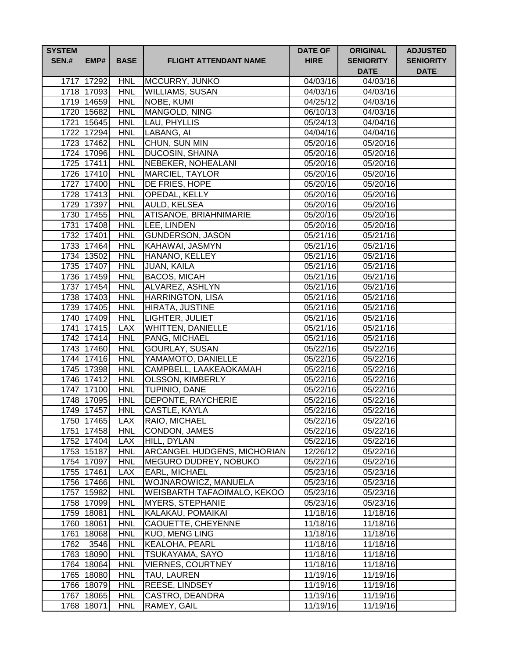| <b>SYSTEM</b><br><b>SEN.#</b> | EMP#                     | <b>BASE</b>              | <b>FLIGHT ATTENDANT NAME</b>       | <b>DATE OF</b><br><b>HIRE</b> | <b>ORIGINAL</b><br><b>SENIORITY</b><br><b>DATE</b> | <b>ADJUSTED</b><br><b>SENIORITY</b><br><b>DATE</b> |
|-------------------------------|--------------------------|--------------------------|------------------------------------|-------------------------------|----------------------------------------------------|----------------------------------------------------|
|                               | 1717 17292               | <b>HNL</b>               | MCCURRY, JUNKO                     | 04/03/16                      | 04/03/16                                           |                                                    |
|                               | 1718 17093               | <b>HNL</b>               | <b>WILLIAMS, SUSAN</b>             | 04/03/16                      | 04/03/16                                           |                                                    |
|                               | 1719 14659               | <b>HNL</b>               | NOBE, KUMI                         | 04/25/12                      | 04/03/16                                           |                                                    |
|                               | 1720 15682               | <b>HNL</b>               | MANGOLD, NING                      | 06/10/13                      | 04/03/16                                           |                                                    |
|                               | 1721 15645               | <b>HNL</b>               | LAU, PHYLLIS                       | 05/24/13                      | $\sqrt{04}/04/16$                                  |                                                    |
|                               | 1722 17294               | <b>HNL</b>               | LABANG, AI                         | 04/04/16                      | $\sqrt{04}/04/16$                                  |                                                    |
|                               | 1723 17462               | <b>HNL</b>               | CHUN, SUN MIN                      | 05/20/16                      | 05/20/16                                           |                                                    |
|                               | 1724 17096               | <b>HNL</b>               | <b>DUCOSIN, SHAINA</b>             | 05/20/16                      | 05/20/16                                           |                                                    |
|                               | 1725 17411               | <b>HNL</b>               | <b>NEBEKER, NOHEALANI</b>          | 05/20/16                      | 05/20/16                                           |                                                    |
|                               | 1726 17410               | <b>HNL</b>               | <b>MARCIEL, TAYLOR</b>             | 05/20/16                      | 05/20/16                                           |                                                    |
|                               | 1727 17400               | <b>HNL</b>               | DE FRIES, HOPE                     | 05/20/16                      | 05/20/16                                           |                                                    |
|                               | 1728 17413               | <b>HNL</b>               | OPEDAL, KELLY                      | 05/20/16                      | 05/20/16                                           |                                                    |
| 1729                          | 17397                    | <b>HNL</b>               | AULD, KELSEA                       | 05/20/16                      | 05/20/16                                           |                                                    |
|                               | 1730 17455               | <b>HNL</b>               | ATISANOE, BRIAHNIMARIE             | 05/20/16                      | 05/20/16                                           |                                                    |
|                               | 1731 17408               | <b>HNL</b>               | LEE, LINDEN                        | 05/20/16                      | 05/20/16                                           |                                                    |
|                               | 1732 17401               | <b>HNL</b>               | <b>GUNDERSON, JASON</b>            | 05/21/16                      | 05/21/16                                           |                                                    |
|                               | 1733 17464               | <b>HNL</b>               | KAHAWAI, JASMYN                    | 05/21/16                      | 05/21/16                                           |                                                    |
|                               | 1734 13502               | <b>HNL</b>               | HANANO, KELLEY                     | 05/21/16                      | $\overline{05/21/16}$                              |                                                    |
|                               | 1735 17407               | <b>HNL</b>               | <b>JUAN, KAILA</b>                 | 05/21/16                      | 05/21/16                                           |                                                    |
|                               | 1736 17459               | <b>HNL</b>               | <b>BACOS, MICAH</b>                | 05/21/16                      | 05/21/16                                           |                                                    |
|                               | 1737 17454               | <b>HNL</b>               | ALVAREZ, ASHLYN                    | 05/21/16                      | 05/21/16                                           |                                                    |
|                               | 1738 17403               | <b>HNL</b>               | <b>HARRINGTON, LISA</b>            | 05/21/16                      | 05/21/16                                           |                                                    |
|                               | 1739 17405<br>1740 17409 | <b>HNL</b>               | HIRATA, JUSTINE                    | 05/21/16                      | 05/21/16                                           |                                                    |
|                               | 1741 17415               | <b>HNL</b><br><b>LAX</b> | LIGHTER, JULIET                    | 05/21/16<br>05/21/16          | 05/21/16<br>05/21/16                               |                                                    |
|                               | 1742 17414               | <b>HNL</b>               | WHITTEN, DANIELLE<br>PANG, MICHAEL | 05/21/16                      | 05/21/16                                           |                                                    |
|                               | 1743 17460               | <b>HNL</b>               | GOURLAY, SUSAN                     | 05/22/16                      | 05/22/16                                           |                                                    |
|                               | 1744 17416               | <b>HNL</b>               | YAMAMOTO, DANIELLE                 | 05/22/16                      | 05/22/16                                           |                                                    |
|                               | 1745 17398               | <b>HNL</b>               | CAMPBELL, LAAKEAOKAMAH             | 05/22/16                      | 05/22/16                                           |                                                    |
|                               | 1746 17412               | <b>HNL</b>               | <b>OLSSON, KIMBERLY</b>            | 05/22/16                      | 05/22/16                                           |                                                    |
|                               | 1747 17100               | <b>HNL</b>               | TUPINIO, DANE                      | 05/22/16                      | 05/22/16                                           |                                                    |
|                               | 1748 17095               | <b>HNL</b>               | DEPONTE, RAYCHERIE                 | 05/22/16                      | 05/22/16                                           |                                                    |
|                               | 1749 17457               | <b>HNL</b>               | CASTLE, KAYLA                      | 05/22/16                      | 05/22/16                                           |                                                    |
|                               | 1750 17465               | LAX                      | <b>RAIO, MICHAEL</b>               | 05/22/16                      | 05/22/16                                           |                                                    |
|                               | 1751 17458               | <b>HNL</b>               | CONDON, JAMES                      | 05/22/16                      | 05/22/16                                           |                                                    |
|                               | 1752 17404               | <b>LAX</b>               | HILL, DYLAN                        | 05/22/16                      | 05/22/16                                           |                                                    |
|                               | 1753 15187               | <b>HNL</b>               | ARCANGEL HUDGENS, MICHORIAN        | 12/26/12                      | 05/22/16                                           |                                                    |
|                               | 1754 17097               | <b>HNL</b>               | MEGURO DUDREY, NOBUKO              | 05/22/16                      | 05/22/16                                           |                                                    |
|                               | 1755 17461               | <b>LAX</b>               | EARL, MICHAEL                      | 05/23/16                      | 05/23/16                                           |                                                    |
|                               | 1756 17466               | <b>HNL</b>               | WOJNAROWICZ, MANUELA               | 05/23/16                      | 05/23/16                                           |                                                    |
|                               | 1757 15982               | <b>HNL</b>               | WEISBARTH TAFAOIMALO, KEKOO        | 05/23/16                      | 05/23/16                                           |                                                    |
|                               | 1758 17099               | <b>HNL</b>               | <b>MYERS, STEPHANIE</b>            | 05/23/16                      | 05/23/16                                           |                                                    |
|                               | 1759 18081               | <b>HNL</b>               | KALAKAU, POMAIKAI                  | 11/18/16                      | 11/18/16                                           |                                                    |
|                               | 1760 18061               | <b>HNL</b>               | CAOUETTE, CHEYENNE                 | 11/18/16                      | 11/18/16                                           |                                                    |
| 1761                          | 18068                    | <b>HNL</b>               | KUO, MENG LING                     | 11/18/16                      | 11/18/16                                           |                                                    |
| 1762                          | 3546                     | <b>HNL</b>               | <b>KEALOHA, PEARL</b>              | 11/18/16                      | 11/18/16                                           |                                                    |
|                               | 1763 18090               | <b>HNL</b>               | TSUKAYAMA, SAYO                    | 11/18/16                      | 11/18/16                                           |                                                    |
|                               | 1764 18064               | <b>HNL</b>               | <b>VIERNES, COURTNEY</b>           | 11/18/16                      | 11/18/16                                           |                                                    |
|                               | 1765 18080               | <b>HNL</b>               | TAU, LAUREN                        | 11/19/16                      | 11/19/16                                           |                                                    |
|                               | 1766 18079               | <b>HNL</b>               | REESE, LINDSEY                     | 11/19/16                      | 11/19/16                                           |                                                    |
|                               | 1767 18065               | <b>HNL</b>               | CASTRO, DEANDRA                    | 11/19/16                      | 11/19/16                                           |                                                    |
|                               | 1768 18071               | <b>HNL</b>               | RAMEY, GAIL                        | 11/19/16                      | 11/19/16                                           |                                                    |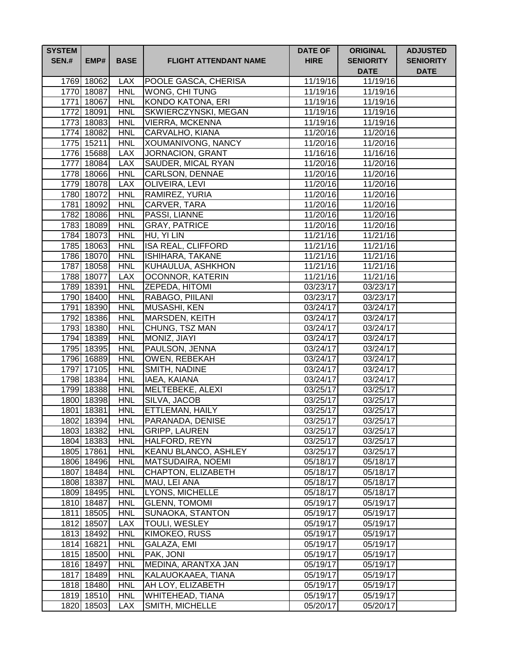| <b>SYSTEM</b><br><b>SEN.#</b> | EMP#                     | <b>BASE</b>              | <b>FLIGHT ATTENDANT NAME</b>            | <b>DATE OF</b><br><b>HIRE</b> | <b>ORIGINAL</b><br><b>SENIORITY</b><br><b>DATE</b> | <b>ADJUSTED</b><br><b>SENIORITY</b><br><b>DATE</b> |
|-------------------------------|--------------------------|--------------------------|-----------------------------------------|-------------------------------|----------------------------------------------------|----------------------------------------------------|
|                               | 1769 18062               | <b>LAX</b>               | POOLE GASCA, CHERISA                    | 11/19/16                      | 11/19/16                                           |                                                    |
|                               | 1770 18087               | <b>HNL</b>               | <b>WONG, CHI TUNG</b>                   | 11/19/16                      | 11/19/16                                           |                                                    |
|                               | 1771 18067               | <b>HNL</b>               | <b>KONDO KATONA, ERI</b>                | 11/19/16                      | 11/19/16                                           |                                                    |
|                               | 1772 18091               | <b>HNL</b>               | SKWIERCZYNSKI, MEGAN                    | 11/19/16                      | 11/19/16                                           |                                                    |
|                               | 1773 18083               | <b>HNL</b>               | <b>VIERRA, MCKENNA</b>                  | 11/19/16                      | 11/19/16                                           |                                                    |
|                               | 1774 18082               | <b>HNL</b>               | CARVALHO, KIANA                         | 11/20/16                      | 11/20/16                                           |                                                    |
|                               | 1775 15211               | <b>HNL</b>               | <b>XOUMANIVONG, NANCY</b>               | 11/20/16                      | $\overline{11}/20/16$                              |                                                    |
|                               | 1776 15688               | <b>LAX</b>               | <b>JORNACION, GRANT</b>                 | 11/16/16                      | 11/16/16                                           |                                                    |
|                               | 1777 18084               | <b>LAX</b>               | <b>SAUDER, MICAL RYAN</b>               | 11/20/16                      | 11/20/16                                           |                                                    |
|                               | 1778 18066               | <b>HNL</b>               | <b>CARLSON, DENNAE</b>                  | 11/20/16                      | 11/20/16                                           |                                                    |
|                               | 1779 18078               | <b>LAX</b>               | OLIVEIRA, LEVI                          | 11/20/16                      | 11/20/16                                           |                                                    |
|                               | 1780 18072               | <b>HNL</b>               | RAMIREZ, YURIA                          | 11/20/16                      | 11/20/16                                           |                                                    |
|                               | 1781 18092               | <b>HNL</b>               | CARVER, TARA                            | 11/20/16                      | 11/20/16                                           |                                                    |
|                               | 1782 18086               | <b>HNL</b>               | PASSI, LIANNE                           | 11/20/16                      | 11/20/16                                           |                                                    |
|                               | 1783 18089               | <b>HNL</b>               | <b>GRAY, PATRICE</b>                    | 11/20/16                      | 11/20/16                                           |                                                    |
|                               | 1784 18073               | <b>HNL</b>               | HU, YI LIN                              | 11/21/16                      | 11/21/16                                           |                                                    |
|                               | 1785 18063               | <b>HNL</b>               | <b>ISA REAL, CLIFFORD</b>               | 11/21/16                      | 11/21/16                                           |                                                    |
|                               | 1786 18070               | <b>HNL</b>               | <b>ISHIHARA, TAKANE</b>                 | 11/21/16                      | 11/21/16                                           |                                                    |
|                               | 1787 18058               | <b>HNL</b>               | KUHAULUA, ASHKHON                       | 11/21/16                      | 11/21/16                                           |                                                    |
|                               | 1788 18077               | <b>LAX</b>               | <b>OCONNOR, KATERIN</b>                 | 11/21/16                      | $\overline{11}/21/16$                              |                                                    |
|                               | 1789 18391               | <b>HNL</b>               | <b>ZEPEDA, HITOMI</b>                   | 03/23/17                      | $\overline{03}/23/17$                              |                                                    |
|                               | 1790 18400               | <b>HNL</b>               | RABAGO, PIILANI                         | 03/23/17                      | $\overline{03/2}3/17$                              |                                                    |
|                               | 1791 18390               | <b>HNL</b>               | <b>MUSASHI, KEN</b>                     | 03/24/17                      | 03/24/17                                           |                                                    |
|                               | 1792 18386<br>1793 18380 | <b>HNL</b><br><b>HNL</b> | <b>MARSDEN, KEITH</b><br>CHUNG, TSZ MAN | 03/24/17<br>03/24/17          | 03/24/17<br>03/24/17                               |                                                    |
|                               | 1794 18389               | <b>HNL</b>               | MONIZ, JIAYI                            | 03/24/17                      | $\overline{03}/24/17$                              |                                                    |
|                               | 1795 18395               | <b>HNL</b>               | PAULSON, JENNA                          | 03/24/17                      | 03/24/17                                           |                                                    |
|                               | 1796 16889               | <b>HNL</b>               | <b>OWEN, REBEKAH</b>                    | 03/24/17                      | 03/24/17                                           |                                                    |
|                               | 1797 17105               | <b>HNL</b>               | SMITH, NADINE                           | 03/24/17                      | 03/24/17                                           |                                                    |
|                               | 1798 18384               | <b>HNL</b>               | IAEA, KAIANA                            | 03/24/17                      | 03/24/17                                           |                                                    |
|                               | 1799 18388               | <b>HNL</b>               | MELTEBEKE, ALEXI                        | 03/25/17                      | 03/25/17                                           |                                                    |
|                               | 1800 18398               | <b>HNL</b>               | SILVA, JACOB                            | 03/25/17                      | 03/25/17                                           |                                                    |
|                               | 1801 18381               | <b>HNL</b>               | ETTLEMAN, HAILY                         | 03/25/17                      | 03/25/17                                           |                                                    |
|                               | 1802 18394               | <b>HNL</b>               | PARANADA, DENISE                        | 03/25/17                      | 03/25/17                                           |                                                    |
|                               | 1803 18382               | <b>HNL</b>               | <b>GRIPP, LAUREN</b>                    | 03/25/17                      | 03/25/17                                           |                                                    |
|                               | 1804 18383               | <b>HNL</b>               | HALFORD, REYN                           | 03/25/17                      | 03/25/17                                           |                                                    |
|                               | 1805 17861               | <b>HNL</b>               | KEANU BLANCO, ASHLEY                    | 03/25/17                      | 03/25/17                                           |                                                    |
|                               | 1806 18496               | <b>HNL</b>               | <b>MATSUDAIRA, NOEMI</b>                | 05/18/17                      | 05/18/17                                           |                                                    |
|                               | 1807 18484               | <b>HNL</b>               | CHAPTON, ELIZABETH                      | 05/18/17                      | 05/18/17                                           |                                                    |
|                               | 1808 18387               | <b>HNL</b>               | MAU, LEI ANA                            | 05/18/17                      | 05/18/17                                           |                                                    |
|                               | 1809 18495               | <b>HNL</b>               | LYONS, MICHELLE                         | 05/18/17                      | 05/18/17                                           |                                                    |
|                               | 1810 18487               | <b>HNL</b>               | <b>GLENN, TOMOMI</b>                    | 05/19/17                      | 05/19/17                                           |                                                    |
|                               | 1811 18505               | <b>HNL</b>               | SUNAOKA, STANTON                        | 05/19/17                      | 05/19/17                                           |                                                    |
|                               | 1812 18507               | <b>LAX</b>               | TOULI, WESLEY                           | 05/19/17                      | 05/19/17                                           |                                                    |
|                               | 1813 18492               | <b>HNL</b>               | KIMOKEO, RUSS                           | 05/19/17                      | 05/19/17                                           |                                                    |
|                               | 1814 16821               | <b>HNL</b>               | GALAZA, EMI                             | 05/19/17                      | 05/19/17                                           |                                                    |
|                               | 1815 18500               | <b>HNL</b>               | PAK, JONI                               | 05/19/17                      | 05/19/17                                           |                                                    |
|                               | 1816 18497               | <b>HNL</b>               | MEDINA, ARANTXA JAN                     | 05/19/17                      | 05/19/17                                           |                                                    |
|                               | 1817 18489               | <b>HNL</b>               | KALAUOKAAEA, TIANA                      | 05/19/17                      | 05/19/17                                           |                                                    |
|                               | 1818 18480               | <b>HNL</b>               | AH LOY, ELIZABETH                       | 05/19/17                      | 05/19/17                                           |                                                    |
|                               | 1819 18510               | <b>HNL</b>               | WHITEHEAD, TIANA                        | 05/19/17                      | 05/19/17                                           |                                                    |
|                               | 1820 18503               | <b>LAX</b>               | SMITH, MICHELLE                         | 05/20/17                      | 05/20/17                                           |                                                    |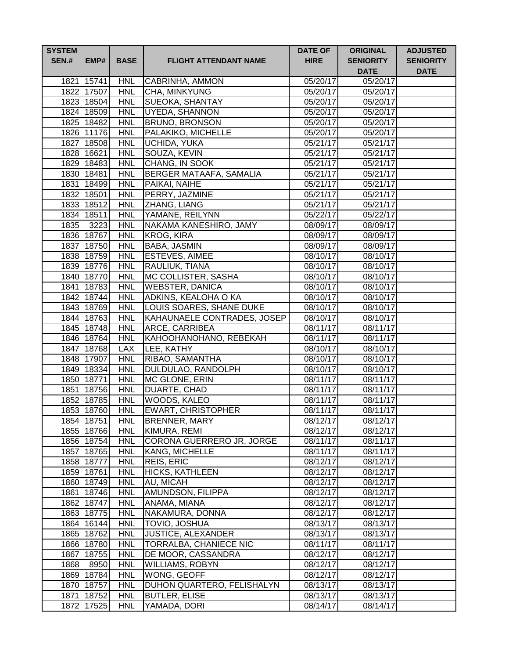| <b>SYSTEM</b><br><b>SEN.#</b> | EMP#                     | <b>BASE</b>              | <b>FLIGHT ATTENDANT NAME</b>             | <b>DATE OF</b><br><b>HIRE</b> | <b>ORIGINAL</b><br><b>SENIORITY</b><br><b>DATE</b> | <b>ADJUSTED</b><br><b>SENIORITY</b><br><b>DATE</b> |
|-------------------------------|--------------------------|--------------------------|------------------------------------------|-------------------------------|----------------------------------------------------|----------------------------------------------------|
|                               | 1821 15741               | <b>HNL</b>               | CABRINHA, AMMON                          | 05/20/17                      | 05/20/17                                           |                                                    |
|                               | 1822 17507               | <b>HNL</b>               | CHA, MINKYUNG                            | 05/20/17                      | 05/20/17                                           |                                                    |
|                               | 1823 18504               | <b>HNL</b>               | <b>SUEOKA, SHANTAY</b>                   | 05/20/17                      | 05/20/17                                           |                                                    |
|                               | 1824 18509               | <b>HNL</b>               | <b>UYEDA, SHANNON</b>                    | 05/20/17                      | 05/20/17                                           |                                                    |
|                               | 1825 18482               | <b>HNL</b>               | <b>BRUNO, BRONSON</b>                    | 05/20/17                      | 05/20/17                                           |                                                    |
|                               | 1826 11176               | <b>HNL</b>               | PALAKIKO, MICHELLE                       | 05/20/17                      | 05/20/17                                           |                                                    |
|                               | 1827 18508               | <b>HNL</b>               | <b>UCHIDA, YUKA</b>                      | 05/21/17                      | 05/21/17                                           |                                                    |
|                               | 1828 16621               | <b>HNL</b>               | SOUZA, KEVIN                             | 05/21/17                      | 05/21/17                                           |                                                    |
|                               | 1829 18483               | <b>HNL</b>               | CHANG, IN SOOK                           | 05/21/17                      | 05/21/17                                           |                                                    |
|                               | 1830 18481               | <b>HNL</b>               | <b>BERGER MATAAFA, SAMALIA</b>           | $05/21/\overline{17}$         | 05/21/17                                           |                                                    |
|                               | 1831 18499               | <b>HNL</b>               | PAIKAI, NAIHE                            | 05/21/17                      | 05/21/17                                           |                                                    |
|                               | 1832 18501               | <b>HNL</b>               | PERRY, JAZMINE                           | 05/21/17                      | 05/21/17                                           |                                                    |
|                               | 1833 18512               | <b>HNL</b>               | ZHANG, LIANG                             | 05/21/17                      | 05/21/17                                           |                                                    |
|                               | 1834 18511               | <b>HNL</b>               | YAMANE, REILYNN                          | 05/22/17                      | 05/22/17                                           |                                                    |
|                               | 1835 3223                | <b>HNL</b>               | NAKAMA KANESHIRO, JAMY                   | 08/09/17                      | 08/09/17                                           |                                                    |
|                               | 1836 18767               | <b>HNL</b>               | <b>KROG, KIRA</b>                        | 08/09/17                      | 08/09/17                                           |                                                    |
|                               | 1837 18750               | <b>HNL</b>               | BABA, JASMIN                             | 08/09/17                      | 08/09/17                                           |                                                    |
|                               | 1838 18759               | <b>HNL</b>               | <b>ESTEVES, AIMEE</b>                    | 08/10/17                      | 08/10/17                                           |                                                    |
|                               | 1839 18776               | <b>HNL</b>               | RAULIUK, TIANA                           | 08/10/17                      | 08/10/17                                           |                                                    |
|                               | 1840 18770               | <b>HNL</b>               | MC COLLISTER, SASHA                      | 08/10/17                      | 08/10/17                                           |                                                    |
|                               | 1841 18783               | <b>HNL</b>               | <b>WEBSTER, DANICA</b>                   | 08/10/17                      | 08/10/17                                           |                                                    |
|                               | 1842 18744               | <b>HNL</b>               | ADKINS, KEALOHA O KA                     | 08/10/17                      | 08/10/17                                           |                                                    |
|                               | 1843 18769               | <b>HNL</b>               | LOUIS SOARES, SHANE DUKE                 | 08/10/17                      | 08/10/17                                           |                                                    |
|                               | 1844 18763<br>1845 18748 | <b>HNL</b><br><b>HNL</b> | KAHAUNAELE CONTRADES, JOSEP              | 08/10/17                      | 08/10/17                                           |                                                    |
|                               | 1846 18764               | <b>HNL</b>               | ARCE, CARRIBEA<br>KAHOOHANOHANO, REBEKAH | 08/11/17<br>08/11/17          | 08/11/17<br>08/11/17                               |                                                    |
|                               | 1847 18768               | <b>LAX</b>               | LEE, KATHY                               | 08/10/17                      | 08/10/17                                           |                                                    |
|                               | 1848 17907               | <b>HNL</b>               | RIBAO, SAMANTHA                          | 08/10/17                      | 08/10/17                                           |                                                    |
|                               | 1849 18334               | <b>HNL</b>               | DULDULAO, RANDOLPH                       | 08/10/17                      | 08/10/17                                           |                                                    |
|                               | 1850 18771               | <b>HNL</b>               | MC GLONE, ERIN                           | 08/11/17                      | 08/11/17                                           |                                                    |
|                               | 1851 18756               | <b>HNL</b>               | DUARTE, CHAD                             | 08/11/17                      | 08/11/17                                           |                                                    |
|                               | 1852 18785               | <b>HNL</b>               | WOODS, KALEO                             | 08/11/17                      | 08/11/17                                           |                                                    |
|                               | 1853 18760               | <b>HNL</b>               | <b>EWART, CHRISTOPHER</b>                | 08/11/17                      | 08/11/17                                           |                                                    |
|                               | 1854 18751               | <b>HNL</b>               | <b>BRENNER, MARY</b>                     | 08/12/17                      | 08/12/17                                           |                                                    |
|                               | 1855 18766               | <b>HNL</b>               | KIMURA, REMI                             | 08/12/17                      | 08/12/17                                           |                                                    |
|                               | 1856 18754               | <b>HNL</b>               | CORONA GUERRERO JR, JORGE                | 08/11/17                      | 08/11/17                                           |                                                    |
|                               | 1857 18765               | <b>HNL</b>               | KANG, MICHELLE                           | 08/11/17                      | 08/11/17                                           |                                                    |
|                               | 1858 18777               | <b>HNL</b>               | REIS, ERIC                               | 08/12/17                      | 08/12/17                                           |                                                    |
|                               | 1859 18761               | <b>HNL</b>               | <b>HICKS, KATHLEEN</b>                   | 08/12/17                      | 08/12/17                                           |                                                    |
|                               | 1860 18749               | <b>HNL</b>               | AU, MICAH                                | 08/12/17                      | 08/12/17                                           |                                                    |
|                               | 1861 18746               | <b>HNL</b>               | AMUNDSON, FILIPPA                        | 08/12/17                      | 08/12/17                                           |                                                    |
|                               | 1862 18747               | <b>HNL</b>               | ANAMA, MIANA                             | 08/12/17                      | 08/12/17                                           |                                                    |
|                               | 1863 18775               | <b>HNL</b>               | NAKAMURA, DONNA                          | 08/12/17                      | 08/12/17                                           |                                                    |
|                               | 1864 16144               | <b>HNL</b>               | TOVIO, JOSHUA                            | 08/13/17                      | 08/13/17                                           |                                                    |
|                               | 1865 18762               | <b>HNL</b>               | JUSTICE, ALEXANDER                       | 08/13/17                      | 08/13/17                                           |                                                    |
|                               | 1866 18780               | <b>HNL</b>               | TORRALBA, CHANIECE NIC                   | 08/11/17                      | 08/11/17                                           |                                                    |
|                               | 1867 18755               | <b>HNL</b>               | DE MOOR, CASSANDRA                       | 08/12/17                      | 08/12/17                                           |                                                    |
| 1868                          | 8950                     | <b>HNL</b>               | <b>WILLIAMS, ROBYN</b>                   | 08/12/17                      | 08/12/17                                           |                                                    |
|                               | 1869 18784               | <b>HNL</b>               | WONG, GEOFF                              | 08/12/17                      | 08/12/17                                           |                                                    |
|                               | 1870 18757               | <b>HNL</b>               | DUHON QUARTERO, FELISHALYN               | 08/13/17                      | 08/13/17                                           |                                                    |
|                               | 1871 18752               | <b>HNL</b>               | <b>BUTLER, ELISE</b>                     | 08/13/17                      | 08/13/17                                           |                                                    |
|                               | 1872 17525               | <b>HNL</b>               | YAMADA, DORI                             | 08/14/17                      | 08/14/17                                           |                                                    |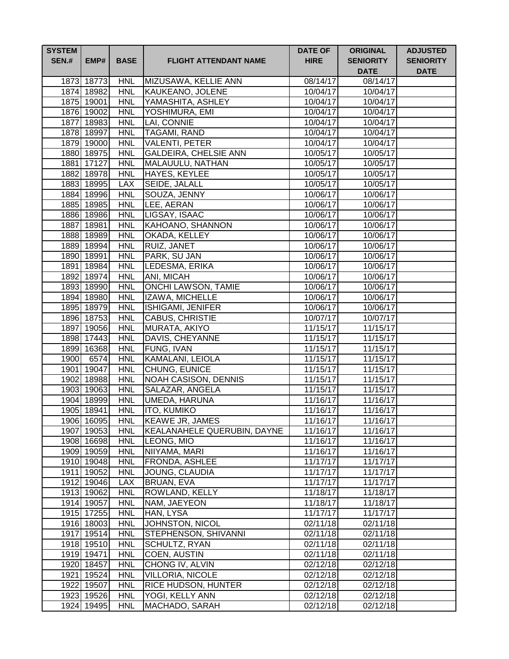| <b>SYSTEM</b><br><b>SEN.#</b> | EMP#                     | <b>BASE</b>              | <b>FLIGHT ATTENDANT NAME</b>         | <b>DATE OF</b><br><b>HIRE</b> | <b>ORIGINAL</b><br><b>SENIORITY</b><br><b>DATE</b> | <b>ADJUSTED</b><br><b>SENIORITY</b><br><b>DATE</b> |
|-------------------------------|--------------------------|--------------------------|--------------------------------------|-------------------------------|----------------------------------------------------|----------------------------------------------------|
|                               | 1873 18773               | <b>HNL</b>               | MIZUSAWA, KELLIE ANN                 | 08/14/17                      | 08/14/17                                           |                                                    |
|                               | 1874 18982               | <b>HNL</b>               | KAUKEANO, JOLENE                     | 10/04/17                      | 10/04/17                                           |                                                    |
|                               | 1875 19001               | <b>HNL</b>               | YAMASHITA, ASHLEY                    | 10/04/17                      | $10/04/\overline{17}$                              |                                                    |
|                               | 1876 19002               | <b>HNL</b>               | YOSHIMURA, EMI                       | 10/04/17                      | 10/04/17                                           |                                                    |
|                               | 1877 18983               | <b>HNL</b>               | LAI, CONNIE                          | 10/04/17                      | 10/04/17                                           |                                                    |
|                               | 1878 18997               | <b>HNL</b>               | <b>TAGAMI, RAND</b>                  | 10/04/17                      | 10/04/17                                           |                                                    |
|                               | 1879 19000               | <b>HNL</b>               | <b>VALENTI, PETER</b>                | 10/04/17                      | 10/04/17                                           |                                                    |
|                               | 1880 18975               | <b>HNL</b>               | <b>GALDEIRA, CHELSIE ANN</b>         | 10/05/17                      | 10/05/17                                           |                                                    |
|                               | 1881 17127               | <b>HNL</b>               | MALAUULU, NATHAN                     | 10/05/17                      | 10/05/17                                           |                                                    |
|                               | 1882 18978               | <b>HNL</b>               | HAYES, KEYLEE                        | 10/05/17                      | 10/05/17                                           |                                                    |
|                               | 1883 18995               | <b>LAX</b>               | <b>SEIDE, JALALL</b>                 | 10/05/17                      | 10/05/17                                           |                                                    |
|                               | 1884 18996               | <b>HNL</b>               | SOUZA, JENNY                         | 10/06/17                      | 10/06/17                                           |                                                    |
|                               | 1885 18985               | <b>HNL</b>               | LEE, AERAN                           | 10/06/17                      | 10/06/17                                           |                                                    |
|                               | 1886 18986               | <b>HNL</b>               | LIGSAY, ISAAC                        | 10/06/17                      | 10/06/17                                           |                                                    |
|                               | 1887 18981               | <b>HNL</b>               | <b>KAHOANO, SHANNON</b>              | 10/06/17                      | 10/06/17                                           |                                                    |
|                               | 1888 18989               | <b>HNL</b>               | OKADA, KELLEY                        | 10/06/17                      | 10/06/17                                           |                                                    |
|                               | 1889 18994               | <b>HNL</b>               | <b>RUIZ, JANET</b>                   | 10/06/17                      | 10/06/17                                           |                                                    |
|                               | 1890 18991               | <b>HNL</b>               | PARK, SU JAN                         | 10/06/17                      | 10/06/17                                           |                                                    |
|                               | 1891 18984               | <b>HNL</b>               | LEDESMA, ERIKA                       | 10/06/17                      | 10/06/17                                           |                                                    |
|                               | 1892 18974               | <b>HNL</b>               | ANI, MICAH                           | 10/06/17                      | 10/06/17                                           |                                                    |
|                               | 1893 18990               | <b>HNL</b>               | ONCHI LAWSON, TAMIE                  | 10/06/17                      | 10/06/17                                           |                                                    |
|                               | 1894 18980               | <b>HNL</b>               | IZAWA, MICHELLE                      | 10/06/17                      | 10/06/17                                           |                                                    |
|                               | 1895 18979               | <b>HNL</b><br><b>HNL</b> | ISHIGAMI, JENIFER<br>CABUS, CHRISTIE | 10/06/17                      | 10/06/17                                           |                                                    |
|                               | 1896 18753<br>1897 19056 | <b>HNL</b>               | MURATA, AKIYO                        | 10/07/17<br>11/15/17          | 10/07/17<br>11/15/17                               |                                                    |
|                               | 1898 17443               | <b>HNL</b>               | DAVIS, CHEYANNE                      | 11/15/17                      | 11/15/17                                           |                                                    |
|                               | 1899 16368               | <b>HNL</b>               | FUNG, IVAN                           | 11/15/17                      | 11/15/17                                           |                                                    |
|                               | 1900 6574                | <b>HNL</b>               | KAMALANI, LEIOLA                     | 11/15/17                      | 11/15/17                                           |                                                    |
|                               | 1901 19047               | <b>HNL</b>               | CHUNG, EUNICE                        | 11/15/17                      | 11/15/17                                           |                                                    |
|                               | 1902 18988               | <b>HNL</b>               | <b>NOAH CASISON, DENNIS</b>          | 11/15/17                      | 11/15/17                                           |                                                    |
|                               | 1903 19063               | <b>HNL</b>               | SALAZAR, ANGELA                      | 11/15/17                      | 11/15/17                                           |                                                    |
|                               | 1904 18999               | <b>HNL</b>               | UMEDA, HARUNA                        | 11/16/17                      | 11/16/17                                           |                                                    |
|                               | 1905 18941               | HNL                      | <b>ITO, KUMIKO</b>                   | 11/16/17                      | 11/16/17                                           |                                                    |
|                               | 1906 16095               | <b>HNL</b>               | KEAWE JR, JAMES                      | 11/16/17                      | 11/16/17                                           |                                                    |
|                               | 1907 19053               | <b>HNL</b>               | KEALANAHELE QUERUBIN, DAYNE          | 11/16/17                      | 11/16/17                                           |                                                    |
|                               | 1908 16698               | <b>HNL</b>               | LEONG, MIO                           | 11/16/17                      | 11/16/17                                           |                                                    |
|                               | 1909 19059               | <b>HNL</b>               | NIIYAMA, MARI                        | 11/16/17                      | 11/16/17                                           |                                                    |
|                               | 1910 19048               | <b>HNL</b>               | FRONDA, ASHLEE                       | 11/17/17                      | 11/17/17                                           |                                                    |
|                               | 1911 19052               | <b>HNL</b>               | JOUNG, CLAUDIA                       | 11/17/17                      | 11/17/17                                           |                                                    |
|                               | 1912 19046               | <b>LAX</b>               | BRUAN, EVA                           | 11/17/17                      | 11/17/17                                           |                                                    |
|                               | 1913 19062               | <b>HNL</b>               | ROWLAND, KELLY                       | 11/18/17                      | 11/18/17                                           |                                                    |
|                               | 1914 19057               | <b>HNL</b>               | NAM, JAEYEON                         | 11/18/17                      | 11/18/17                                           |                                                    |
|                               | 1915 17255               | <b>HNL</b>               | HAN, LYSA                            | 11/17/17                      | 11/17/17                                           |                                                    |
|                               | 1916 18003               | <b>HNL</b>               | JOHNSTON, NICOL                      | 02/11/18                      | 02/11/18                                           |                                                    |
|                               | 1917 19514               | <b>HNL</b>               | STEPHENSON, SHIVANNI                 | 02/11/18                      | 02/11/18                                           |                                                    |
|                               | 1918 19510               | <b>HNL</b>               | SCHULTZ, RYAN                        | 02/11/18                      | 02/11/18                                           |                                                    |
|                               | 1919 19471               | <b>HNL</b>               | COEN, AUSTIN                         | 02/11/18                      | 02/11/18                                           |                                                    |
|                               | 1920 18457               | <b>HNL</b>               | CHONG IV, ALVIN                      | 02/12/18                      | 02/12/18                                           |                                                    |
|                               | 1921 19524               | <b>HNL</b>               | <b>VILLORIA, NICOLE</b>              | 02/12/18                      | 02/12/18                                           |                                                    |
|                               | 1922 19507               | <b>HNL</b>               | RICE HUDSON, HUNTER                  | 02/12/18                      | 02/12/18                                           |                                                    |
|                               | 1923 19526               | <b>HNL</b>               | YOGI, KELLY ANN                      | 02/12/18                      | 02/12/18                                           |                                                    |
|                               | 1924 19495               | <b>HNL</b>               | MACHADO, SARAH                       | 02/12/18                      | 02/12/18                                           |                                                    |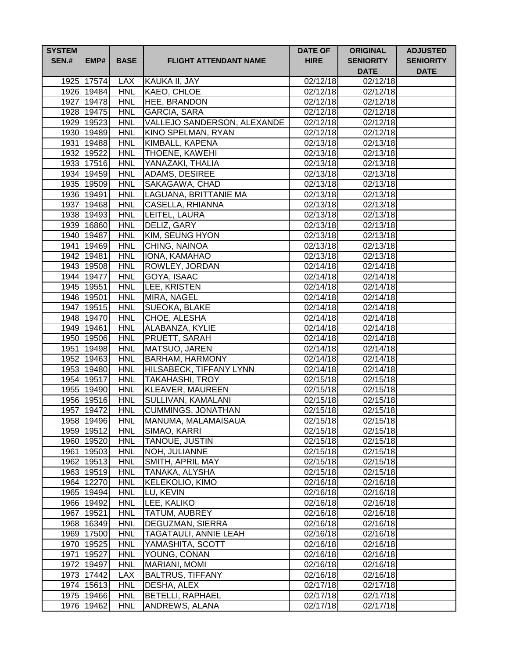| <b>SYSTEM</b><br><b>SEN.#</b> | EMP#       | <b>BASE</b> | <b>FLIGHT ATTENDANT NAME</b> | <b>DATE OF</b><br><b>HIRE</b> | <b>ORIGINAL</b><br><b>SENIORITY</b><br><b>DATE</b> | <b>ADJUSTED</b><br><b>SENIORITY</b><br><b>DATE</b> |
|-------------------------------|------------|-------------|------------------------------|-------------------------------|----------------------------------------------------|----------------------------------------------------|
|                               | 1925 17574 | <b>LAX</b>  | KAUKA II, JAY                | 02/12/18                      | 02/12/18                                           |                                                    |
|                               | 1926 19484 | <b>HNL</b>  | KAEO, CHLOE                  | 02/12/18                      | 02/12/18                                           |                                                    |
|                               | 1927 19478 | <b>HNL</b>  | <b>HEE, BRANDON</b>          | 02/12/18                      | 02/12/18                                           |                                                    |
|                               | 1928 19475 | <b>HNL</b>  | <b>GARCIA, SARA</b>          | 02/12/18                      | 02/12/18                                           |                                                    |
|                               | 1929 19523 | <b>HNL</b>  | VALLEJO SANDERSON, ALEXANDE  | 02/12/18                      | 02/12/18                                           |                                                    |
|                               | 1930 19489 | <b>HNL</b>  | KINO SPELMAN, RYAN           | 02/12/18                      | 02/12/18                                           |                                                    |
|                               | 1931 19488 | <b>HNL</b>  | KIMBALL, KAPENA              | 02/13/18                      | 02/13/18                                           |                                                    |
|                               | 1932 19522 | <b>HNL</b>  | <b>THOENE, KAWEHI</b>        | 02/13/18                      | 02/13/18                                           |                                                    |
|                               | 1933 17516 | <b>HNL</b>  | YANAZAKI, THALIA             | 02/13/18                      | 02/13/18                                           |                                                    |
|                               | 1934 19459 | <b>HNL</b>  | ADAMS, DESIREE               | 02/13/18                      | 02/13/18                                           |                                                    |
|                               | 1935 19509 | <b>HNL</b>  | SAKAGAWA, CHAD               | 02/13/18                      | 02/13/18                                           |                                                    |
|                               | 1936 19491 | <b>HNL</b>  | LAGUANA, BRITTANIE MA        | 02/13/18                      | 02/13/18                                           |                                                    |
|                               | 1937 19468 | <b>HNL</b>  | CASELLA, RHIANNA             | 02/13/18                      | 02/13/18                                           |                                                    |
|                               | 1938 19493 | <b>HNL</b>  | LEITEL, LAURA                | 02/13/18                      | 02/13/18                                           |                                                    |
|                               | 1939 16860 | <b>HNL</b>  | DELIZ, GARY                  | 02/13/18                      | 02/13/18                                           |                                                    |
|                               | 1940 19487 | <b>HNL</b>  | <b>KIM, SEUNG HYON</b>       | 02/13/18                      | 02/13/18                                           |                                                    |
|                               | 1941 19469 | <b>HNL</b>  | CHING, NAINOA                | 02/13/18                      | 02/13/18                                           |                                                    |
|                               | 1942 19481 | <b>HNL</b>  | IONA, KAMAHAO                | 02/13/18                      | 02/13/18                                           |                                                    |
|                               | 1943 19508 | <b>HNL</b>  | ROWLEY, JORDAN               | 02/14/18                      | 02/14/18                                           |                                                    |
|                               | 1944 19477 | <b>HNL</b>  | GOYA, ISAAC                  | 02/14/18                      | 02/14/18                                           |                                                    |
|                               | 1945 19551 | <b>HNL</b>  | LEE, KRISTEN                 | 02/14/18                      | 02/14/18                                           |                                                    |
|                               | 1946 19501 | <b>HNL</b>  | MIRA, NAGEL                  | 02/14/18                      | 02/14/18                                           |                                                    |
|                               | 1947 19515 | <b>HNL</b>  | SUEOKA, BLAKE                | 02/14/18                      | 02/14/18                                           |                                                    |
|                               | 1948 19470 | <b>HNL</b>  | CHOE, ALESHA                 | 02/14/18                      | $\overline{02/14/18}$                              |                                                    |
|                               | 1949 19461 | <b>HNL</b>  | ALABANZA, KYLIE              | 02/14/18                      | 02/14/18                                           |                                                    |
|                               | 1950 19506 | <b>HNL</b>  | PRUETT, SARAH                | 02/14/18                      | 02/14/18                                           |                                                    |
|                               | 1951 19498 | <b>HNL</b>  | MATSUO, JAREN                | 02/14/18                      | 02/14/18                                           |                                                    |
|                               | 1952 19463 | <b>HNL</b>  | <b>BARHAM, HARMONY</b>       | 02/14/18                      | 02/14/18                                           |                                                    |
|                               | 1953 19480 | <b>HNL</b>  | HILSABECK, TIFFANY LYNN      | 02/14/18                      | 02/14/18                                           |                                                    |
|                               | 1954 19517 | <b>HNL</b>  | <b>TAKAHASHI, TROY</b>       | 02/15/18                      | 02/15/18                                           |                                                    |
|                               | 1955 19490 | <b>HNL</b>  | KLEAVER, MAUREEN             | 02/15/18                      | 02/15/18                                           |                                                    |
|                               | 1956 19516 | <b>HNL</b>  | SULLIVAN, KAMALANI           | 02/15/18                      | 02/15/18                                           |                                                    |
|                               | 1957 19472 | <b>HNL</b>  | CUMMINGS, JONATHAN           | 02/15/18                      | 02/15/18                                           |                                                    |
|                               | 1958 19496 | <b>HNL</b>  | MANUMA, MALAMAISAUA          | 02/15/18                      | 02/15/18                                           |                                                    |
|                               | 1959 19512 | <b>HNL</b>  | SIMAO, KARRI                 | 02/15/18                      | 02/15/18                                           |                                                    |
|                               | 1960 19520 | <b>HNL</b>  | TANOUE, JUSTIN               | 02/15/18                      | 02/15/18                                           |                                                    |
|                               | 1961 19503 | <b>HNL</b>  | NOH, JULIANNE                | 02/15/18                      | 02/15/18                                           |                                                    |
|                               | 1962 19513 | <b>HNL</b>  | SMITH, APRIL MAY             | 02/15/18                      | 02/15/18                                           |                                                    |
|                               | 1963 19519 | <b>HNL</b>  | <b>TANAKA, ALYSHA</b>        | 02/15/18                      | 02/15/18                                           |                                                    |
|                               | 1964 12270 | <b>HNL</b>  | KELEKOLIO, KIMO              | 02/16/18                      | 02/16/18                                           |                                                    |
|                               | 1965 19494 | <b>HNL</b>  | LU, KEVIN                    | 02/16/18                      | $\overline{0}$ 2/16/18                             |                                                    |
|                               | 1966 19492 | <b>HNL</b>  | LEE, KALIKO                  | 02/16/18                      | 02/16/18                                           |                                                    |
|                               | 1967 19521 | <b>HNL</b>  | TATUM, AUBREY                | 02/16/18                      | 02/16/18                                           |                                                    |
|                               | 1968 16349 | <b>HNL</b>  | DEGUZMAN, SIERRA             | 02/16/18                      | 02/16/18                                           |                                                    |
|                               | 1969 17500 | <b>HNL</b>  | TAGATAULI, ANNIE LEAH        | 02/16/18                      | 02/16/18                                           |                                                    |
|                               | 1970 19525 | <b>HNL</b>  | YAMASHITA, SCOTT             | 02/16/18                      | 02/16/18                                           |                                                    |
|                               | 1971 19527 | <b>HNL</b>  | YOUNG, CONAN                 | 02/16/18                      | 02/16/18                                           |                                                    |
|                               | 1972 19497 | <b>HNL</b>  | MARIANI, MOMI                | 02/16/18                      | 02/16/18                                           |                                                    |
|                               | 1973 17442 | <b>LAX</b>  | <b>BALTRUS, TIFFANY</b>      | 02/16/18                      | 02/16/18                                           |                                                    |
|                               | 1974 15613 | <b>HNL</b>  | DESHA, ALEX                  | 02/17/18                      | 02/17/18                                           |                                                    |
|                               | 1975 19466 | <b>HNL</b>  | <b>BETELLI, RAPHAEL</b>      | 02/17/18                      | 02/17/18                                           |                                                    |
|                               | 1976 19462 | <b>HNL</b>  | ANDREWS, ALANA               | 02/17/18                      | 02/17/18                                           |                                                    |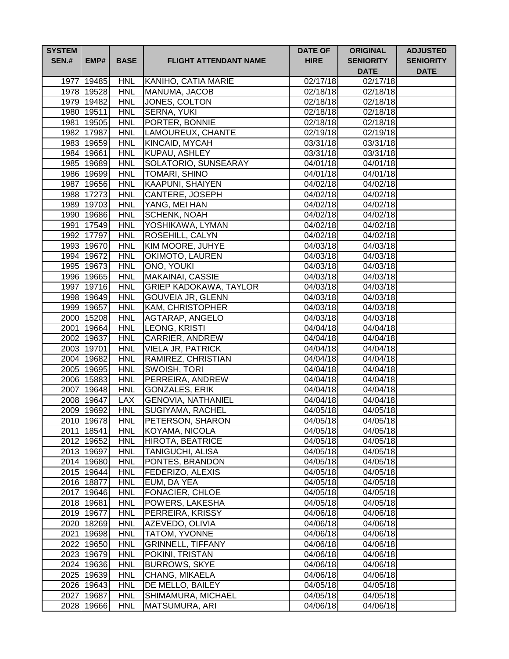| <b>SYSTEM</b><br><b>SEN.#</b> | EMP#                     | <b>BASE</b>              | <b>FLIGHT ATTENDANT NAME</b>         | <b>DATE OF</b><br><b>HIRE</b> | <b>ORIGINAL</b><br><b>SENIORITY</b><br><b>DATE</b> | <b>ADJUSTED</b><br><b>SENIORITY</b><br><b>DATE</b> |
|-------------------------------|--------------------------|--------------------------|--------------------------------------|-------------------------------|----------------------------------------------------|----------------------------------------------------|
| 1977                          | 19485                    | <b>HNL</b>               | KANIHO, CATIA MARIE                  | 02/17/18                      | 02/17/18                                           |                                                    |
|                               | 1978 19528               | <b>HNL</b>               | MANUMA, JACOB                        | 02/18/18                      | 02/18/18                                           |                                                    |
|                               | 1979 19482               | <b>HNL</b>               | JONES, COLTON                        | 02/18/18                      | 02/18/18                                           |                                                    |
|                               | 1980 19511               | <b>HNL</b>               | <b>SERNA, YUKI</b>                   | 02/18/18                      | $\overline{02/18/18}$                              |                                                    |
|                               | 1981 19505               | <b>HNL</b>               | PORTER, BONNIE                       | 02/18/18                      | 02/18/18                                           |                                                    |
|                               | 1982 17987               | <b>HNL</b>               | LAMOUREUX, CHANTE                    | 02/19/18                      | $\overline{02/19/18}$                              |                                                    |
|                               | 1983 19659               | <b>HNL</b>               | KINCAID, MYCAH                       | 03/31/18                      | 03/31/18                                           |                                                    |
|                               | 1984 19661               | <b>HNL</b>               | <b>KUPAU, ASHLEY</b>                 | 03/31/18                      | 03/31/18                                           |                                                    |
|                               | 1985 19689               | <b>HNL</b>               | SOLATORIO, SUNSEARAY                 | 04/01/18                      | 04/01/18                                           |                                                    |
|                               | 1986 19699               | <b>HNL</b>               | <b>TOMARI, SHINO</b>                 | 04/01/18                      | 04/01/18                                           |                                                    |
|                               | 1987 19656               | <b>HNL</b>               | <b>KAAPUNI, SHAIYEN</b>              | 04/02/18                      | 04/02/18                                           |                                                    |
|                               | 1988 17273               | <b>HNL</b>               | CANTERE, JOSEPH                      | 04/02/18                      | 04/02/18                                           |                                                    |
|                               | 1989 19703               | <b>HNL</b>               | YANG, MEI HAN                        | 04/02/18                      | 04/02/18                                           |                                                    |
|                               | 1990 19686               | <b>HNL</b>               | <b>SCHENK, NOAH</b>                  | 04/02/18                      | 04/02/18                                           |                                                    |
|                               | 1991 17549               | <b>HNL</b>               | YOSHIKAWA, LYMAN                     | 04/02/18                      | 04/02/18                                           |                                                    |
|                               | 1992 17797               | <b>HNL</b>               | <b>ROSEHILL, CALYN</b>               | 04/02/18                      | 04/02/18                                           |                                                    |
|                               | 1993 19670               | <b>HNL</b>               | KIM MOORE, JUHYE                     | 04/03/18                      | 04/03/18                                           |                                                    |
|                               | 1994 19672               | <b>HNL</b>               | OKIMOTO, LAUREN                      | 04/03/18                      | $\sqrt{04}/03/18$                                  |                                                    |
|                               | 1995 19673               | <b>HNL</b>               | ONO, YOUKI                           | 04/03/18                      | 04/03/18                                           |                                                    |
|                               | 1996 19665               | <b>HNL</b>               | <b>MAKAINAI, CASSIE</b>              | 04/03/18                      | 04/03/18                                           |                                                    |
|                               | 1997 19716               | <b>HNL</b>               | <b>GRIEP KADOKAWA, TAYLOR</b>        | 04/03/18                      | 04/03/18                                           |                                                    |
|                               | 1998 19649               | <b>HNL</b>               | <b>GOUVEIA JR, GLENN</b>             | 04/03/18                      | $\sqrt{04}/03/18$                                  |                                                    |
|                               | 1999 19657               | <b>HNL</b>               | <b>KAM, CHRISTOPHER</b>              | 04/03/18                      | 04/03/18                                           |                                                    |
|                               | 2000 15208               | <b>HNL</b>               | AGTARAP, ANGELO                      | 04/03/18                      | 04/03/18                                           |                                                    |
|                               | 2001 19664               | <b>HNL</b>               | LEONG, KRISTI                        | 04/04/18                      | 04/04/18                                           |                                                    |
|                               | 2002 19637               | <b>HNL</b>               | CARRIER, ANDREW                      | 04/04/18                      | 04/04/18                                           |                                                    |
|                               | 2003 19701               | <b>HNL</b>               | <b>VIELA JR, PATRICK</b>             | 04/04/18                      | 04/04/18                                           |                                                    |
|                               | 2004 19682               | <b>HNL</b>               | RAMIREZ, CHRISTIAN                   | 04/04/18                      | 04/04/18                                           |                                                    |
|                               | 2005 19695               | <b>HNL</b>               | SWOISH, TORI                         | 04/04/18                      | 04/04/18                                           |                                                    |
|                               | 2006 15883               | <b>HNL</b>               | PERREIRA, ANDREW                     | $\overline{0}$ 4/04/18        | 04/04/18                                           |                                                    |
|                               | 2007 19648               | <b>HNL</b>               | <b>GONZALES, ERIK</b>                | 04/04/18                      | 04/04/18                                           |                                                    |
|                               | 2008 19647               | <b>LAX</b>               | <b>GENOVIA, NATHANIEL</b>            | 04/04/18                      | 04/04/18                                           |                                                    |
|                               | 2009 19692               | <b>HNL</b>               | SUGIYAMA, RACHEL<br>PETERSON, SHARON | 04/05/18                      | 04/05/18                                           |                                                    |
|                               | 2010 19678<br>2011 18541 | <b>HNL</b><br><b>HNL</b> | KOYAMA, NICOLA                       | 04/05/18<br>04/05/18          | 04/05/18<br>04/05/18                               |                                                    |
|                               | 2012 19652               | <b>HNL</b>               | <b>HIROTA, BEATRICE</b>              | 04/05/18                      | 04/05/18                                           |                                                    |
|                               | 2013 19697               | <b>HNL</b>               | <b>TANIGUCHI, ALISA</b>              | 04/05/18                      | $\frac{04}{05}$ /18                                |                                                    |
|                               | 2014 19680               | <b>HNL</b>               | PONTES, BRANDON                      | 04/05/18                      | 04/05/18                                           |                                                    |
|                               | 2015 19644               | <b>HNL</b>               | FEDERIZO, ALEXIS                     | 04/05/18                      | 04/05/18                                           |                                                    |
|                               | 2016 18877               | <b>HNL</b>               | EUM, DA YEA                          | 04/05/18                      | 04/05/18                                           |                                                    |
|                               | 2017 19646               | <b>HNL</b>               | <b>FONACIER, CHLOE</b>               | 04/05/18                      | 04/05/18                                           |                                                    |
|                               | 2018 19681               | <b>HNL</b>               | POWERS, LAKESHA                      | 04/05/18                      | 04/05/18                                           |                                                    |
|                               | 2019 19677               | <b>HNL</b>               | PERREIRA, KRISSY                     | 04/06/18                      | 04/06/18                                           |                                                    |
|                               | 2020 18269               | <b>HNL</b>               | AZEVEDO, OLIVIA                      | 04/06/18                      | 04/06/18                                           |                                                    |
|                               | 2021 19698               | <b>HNL</b>               | TATOM, YVONNE                        | 04/06/18                      | 04/06/18                                           |                                                    |
|                               | 2022 19650               | <b>HNL</b>               | <b>GRINNELL, TIFFANY</b>             | 04/06/18                      | 04/06/18                                           |                                                    |
|                               | 2023 19679               | <b>HNL</b>               | POKINI, TRISTAN                      | 04/06/18                      | 04/06/18                                           |                                                    |
|                               | 2024 19636               | <b>HNL</b>               | <b>BURROWS, SKYE</b>                 | 04/06/18                      | 04/06/18                                           |                                                    |
|                               | 2025 19639               | <b>HNL</b>               | CHANG, MIKAELA                       | 04/06/18                      | 04/06/18                                           |                                                    |
|                               | 2026 19643               | <b>HNL</b>               | DE MELLO, BAILEY                     | 04/05/18                      | 04/05/18                                           |                                                    |
|                               | 2027 19687               | <b>HNL</b>               | SHIMAMURA, MICHAEL                   | 04/05/18                      | 04/05/18                                           |                                                    |
|                               | 2028 19666               | <b>HNL</b>               | MATSUMURA, ARI                       | 04/06/18                      | 04/06/18                                           |                                                    |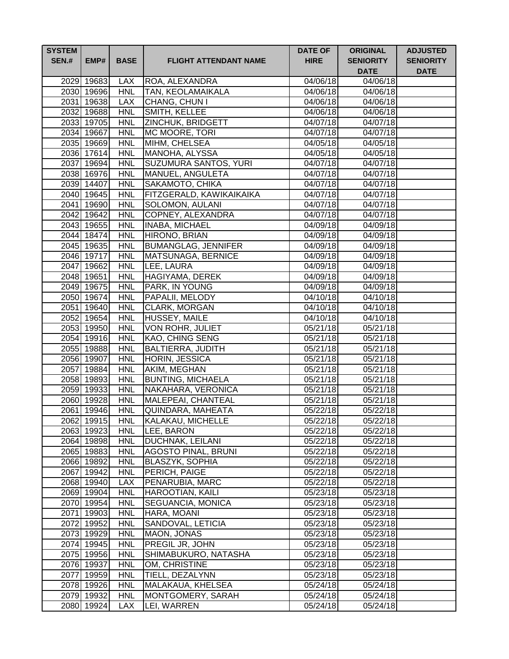| <b>SYSTEM</b><br><b>SEN.#</b> | EMP#                     | <b>BASE</b>              | <b>FLIGHT ATTENDANT NAME</b>      | <b>DATE OF</b><br><b>HIRE</b> | <b>ORIGINAL</b><br><b>SENIORITY</b><br><b>DATE</b> | <b>ADJUSTED</b><br><b>SENIORITY</b><br><b>DATE</b> |
|-------------------------------|--------------------------|--------------------------|-----------------------------------|-------------------------------|----------------------------------------------------|----------------------------------------------------|
|                               | 2029 19683               | <b>LAX</b>               | ROA, ALEXANDRA                    | 04/06/18                      | 04/06/18                                           |                                                    |
|                               | 2030 19696               | <b>HNL</b>               | <b>TAN, KEOLAMAIKALA</b>          | 04/06/18                      | 04/06/18                                           |                                                    |
|                               | 2031 19638               | <b>LAX</b>               | CHANG, CHUN I                     | 04/06/18                      | 04/06/18                                           |                                                    |
|                               | 2032 19688               | <b>HNL</b>               | SMITH, KELLEE                     | 04/06/18                      | 04/06/18                                           |                                                    |
|                               | 2033 19705               | <b>HNL</b>               | ZINCHUK, BRIDGETT                 | 04/07/18                      | 04/07/18                                           |                                                    |
|                               | 2034 19667               | <b>HNL</b>               | MC MOORE, TORI                    | 04/07/18                      | $\overline{04/07/18}$                              |                                                    |
|                               | 2035 19669               | <b>HNL</b>               | MIHM, CHELSEA                     | 04/05/18                      | $\overline{0}$ 4/05/18                             |                                                    |
|                               | 2036 17614               | <b>HNL</b>               | MANOHA, ALYSSA                    | 04/05/18                      | 04/05/18                                           |                                                    |
|                               | 2037 19694               | <b>HNL</b>               | <b>SUZUMURA SANTOS, YURI</b>      | 04/07/18                      | 04/07/18                                           |                                                    |
|                               | 2038 16976               | <b>HNL</b>               | MANUEL, ANGULETA                  | 04/07/18                      | 04/07/18                                           |                                                    |
|                               | 2039 14407               | <b>HNL</b>               | SAKAMOTO, CHIKA                   | 04/07/18                      | 04/07/18                                           |                                                    |
|                               | 2040 19645               | <b>HNL</b>               | FITZGERALD, KAWIKAIKAIKA          | 04/07/18                      | 04/07/18                                           |                                                    |
|                               | 2041 19690               | <b>HNL</b>               | SOLOMON, AULANI                   | 04/07/18                      | 04/07/18                                           |                                                    |
|                               | 2042 19642               | <b>HNL</b>               | COPNEY, ALEXANDRA                 | 04/07/18                      | 04/07/18                                           |                                                    |
|                               | 2043 19655               | <b>HNL</b>               | <b>INABA, MICHAEL</b>             | 04/09/18                      | 04/09/18                                           |                                                    |
|                               | 2044 18474               | <b>HNL</b>               | HIRONO, BRIAN                     | 04/09/18                      | 04/09/18                                           |                                                    |
|                               | 2045 19635               | <b>HNL</b>               | <b>BUMANGLAG, JENNIFER</b>        | 04/09/18                      | 04/09/18                                           |                                                    |
|                               | 2046 19717               | <b>HNL</b>               | MATSUNAGA, BERNICE                | 04/09/18                      | 04/09/18                                           |                                                    |
|                               | 2047 19662               | <b>HNL</b>               | LEE, LAURA                        | 04/09/18                      | 04/09/18                                           |                                                    |
|                               | 2048 19651               | <b>HNL</b>               | HAGIYAMA, DEREK                   | 04/09/18                      | 04/09/18                                           |                                                    |
|                               | 2049 19675               | <b>HNL</b>               | PARK, IN YOUNG                    | 04/09/18                      | 04/09/18                                           |                                                    |
|                               | 2050 19674               | <b>HNL</b>               | PAPALII, MELODY                   | 04/10/18                      | 04/10/18                                           |                                                    |
|                               | 2051 19640<br>2052 19654 | <b>HNL</b>               | <b>CLARK, MORGAN</b>              | 04/10/18                      | $\overline{0}4/10/18$<br>$\overline{0}4/10/18$     |                                                    |
|                               | 2053 19950               | <b>HNL</b><br><b>HNL</b> | HUSSEY, MAILE<br>VON ROHR, JULIET | 04/10/18<br>05/21/18          | 05/21/18                                           |                                                    |
|                               | 2054 19916               | <b>HNL</b>               | KAO, CHING SENG                   | 05/21/18                      | 05/21/18                                           |                                                    |
|                               | 2055 19888               | <b>HNL</b>               | <b>BALTIERRA, JUDITH</b>          | 05/21/18                      | 05/21/18                                           |                                                    |
|                               | 2056 19907               | <b>HNL</b>               | HORIN, JESSICA                    | 05/21/18                      | 05/21/18                                           |                                                    |
|                               | 2057 19884               | <b>HNL</b>               | AKIM, MEGHAN                      | 05/21/18                      | 05/21/18                                           |                                                    |
|                               | 2058 19893               | <b>HNL</b>               | <b>BUNTING, MICHAELA</b>          | 05/21/18                      | 05/21/18                                           |                                                    |
|                               | 2059 19933               | <b>HNL</b>               | NAKAHARA, VERONICA                | 05/21/18                      | 05/21/18                                           |                                                    |
|                               | 2060 19928               | <b>HNL</b>               | MALEPEAI, CHANTEAL                | 05/21/18                      | 05/21/18                                           |                                                    |
|                               | 2061 19946               | <b>HNL</b>               | QUINDARA, MAHEATA                 | 05/22/18                      | 05/22/18                                           |                                                    |
|                               | 2062 19915               | <b>HNL</b>               | KALAKAU, MICHELLE                 | 05/22/18                      | 05/22/18                                           |                                                    |
|                               | 2063 19923               | <b>HNL</b>               | LEE, BARON                        | 05/22/18                      | 05/22/18                                           |                                                    |
|                               | 2064 19898               | <b>HNL</b>               | DUCHNAK, LEILANI                  | 05/22/18                      | 05/22/18                                           |                                                    |
|                               | 2065 19883               | <b>HNL</b>               | <b>AGOSTO PINAL, BRUNI</b>        | 05/22/18                      | 05/22/18                                           |                                                    |
|                               | 2066 19892               | <b>HNL</b>               | BLASZYK, SOPHIA                   | 05/22/18                      | 05/22/18                                           |                                                    |
|                               | 2067 19942               | <b>HNL</b>               | PERICH, PAIGE                     | 05/22/18                      | 05/22/18                                           |                                                    |
|                               | 2068 19940               | <b>LAX</b>               | PENARUBIA, MARC                   | 05/22/18                      | 05/22/18                                           |                                                    |
|                               | 2069 19904               | <b>HNL</b>               | <b>HAROOTIAN, KAILI</b>           | 05/23/18                      | 05/23/18                                           |                                                    |
|                               | 2070 19954               | <b>HNL</b>               | <b>SEGUANCIA, MONICA</b>          | 05/23/18                      | 05/23/18                                           |                                                    |
|                               | 2071 19903               | <b>HNL</b>               | HARA, MOANI                       | 05/23/18                      | 05/23/18                                           |                                                    |
|                               | 2072 19952               | <b>HNL</b>               | SANDOVAL, LETICIA                 | 05/23/18                      | 05/23/18                                           |                                                    |
|                               | 2073 19929               | <b>HNL</b>               | MAON, JONAS                       | 05/23/18                      | 05/23/18                                           |                                                    |
|                               | 2074 19945               | <b>HNL</b>               | PREGIL JR, JOHN                   | 05/23/18                      | 05/23/18                                           |                                                    |
|                               | 2075 19956               | <b>HNL</b>               | SHIMABUKURO, NATASHA              | 05/23/18                      | 05/23/18                                           |                                                    |
|                               | 2076 19937               | <b>HNL</b>               | OM, CHRISTINE                     | 05/23/18                      | 05/23/18                                           |                                                    |
|                               | 2077 19959               | <b>HNL</b>               | TIELL, DEZALYNN                   | 05/23/18                      | 05/23/18                                           |                                                    |
|                               | 2078 19926               | <b>HNL</b>               | MALAKAUA, KHELSEA                 | 05/24/18                      | 05/24/18                                           |                                                    |
|                               | 2079 19932               | <b>HNL</b>               | MONTGOMERY, SARAH                 | 05/24/18                      | 05/24/18                                           |                                                    |
|                               | 2080 19924               | <b>LAX</b>               | LEI, WARREN                       | 05/24/18                      | 05/24/18                                           |                                                    |